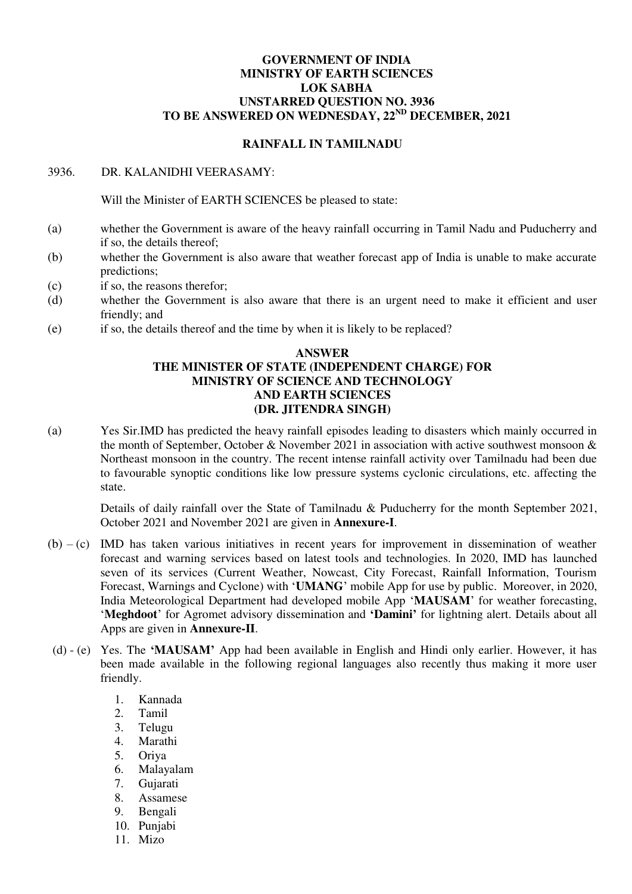# **GOVERNMENT OF INDIA MINISTRY OF EARTH SCIENCES LOK SABHA UNSTARRED QUESTION NO. 3936 TO BE ANSWERED ON WEDNESDAY, 22ND DECEMBER, 2021**

# **RAINFALL IN TAMILNADU**

## 3936. DR. KALANIDHI VEERASAMY:

Will the Minister of EARTH SCIENCES be pleased to state:

- (a) whether the Government is aware of the heavy rainfall occurring in Tamil Nadu and Puducherry and if so, the details thereof;
- (b) whether the Government is also aware that weather forecast app of India is unable to make accurate predictions;
- (c) if so, the reasons therefor;
- (d) whether the Government is also aware that there is an urgent need to make it efficient and user friendly; and
- (e) if so, the details thereof and the time by when it is likely to be replaced?

## **ANSWER THE MINISTER OF STATE (INDEPENDENT CHARGE) FOR MINISTRY OF SCIENCE AND TECHNOLOGY AND EARTH SCIENCES (DR. JITENDRA SINGH)**

(a) Yes Sir.IMD has predicted the heavy rainfall episodes leading to disasters which mainly occurred in the month of September, October & November 2021 in association with active southwest monsoon & Northeast monsoon in the country. The recent intense rainfall activity over Tamilnadu had been due to favourable synoptic conditions like low pressure systems cyclonic circulations, etc. affecting the state.

Details of daily rainfall over the State of Tamilnadu & Puducherry for the month September 2021, October 2021 and November 2021 are given in **Annexure-I**.

- (b) (c) IMD has taken various initiatives in recent years for improvement in dissemination of weather forecast and warning services based on latest tools and technologies. In 2020, IMD has launched seven of its services (Current Weather, Nowcast, City Forecast, Rainfall Information, Tourism Forecast, Warnings and Cyclone) with '**UMANG**' mobile App for use by public. Moreover, in 2020, India Meteorological Department had developed mobile App '**MAUSAM**' for weather forecasting, '**Meghdoot**' for Agromet advisory dissemination and **'Damini'** for lightning alert. Details about all Apps are given in **Annexure-II**.
- (d) (e) Yes. The **'MAUSAM'** App had been available in English and Hindi only earlier. However, it has been made available in the following regional languages also recently thus making it more user friendly.
	- 1. Kannada
	- 2. Tamil
	- 3. Telugu
	- 4. Marathi
	- 5. Oriya
	- 6. Malayalam
	- 7. Gujarati
	- 8. Assamese
	- 9. Bengali
	- 10. Punjabi
	- 11. Mizo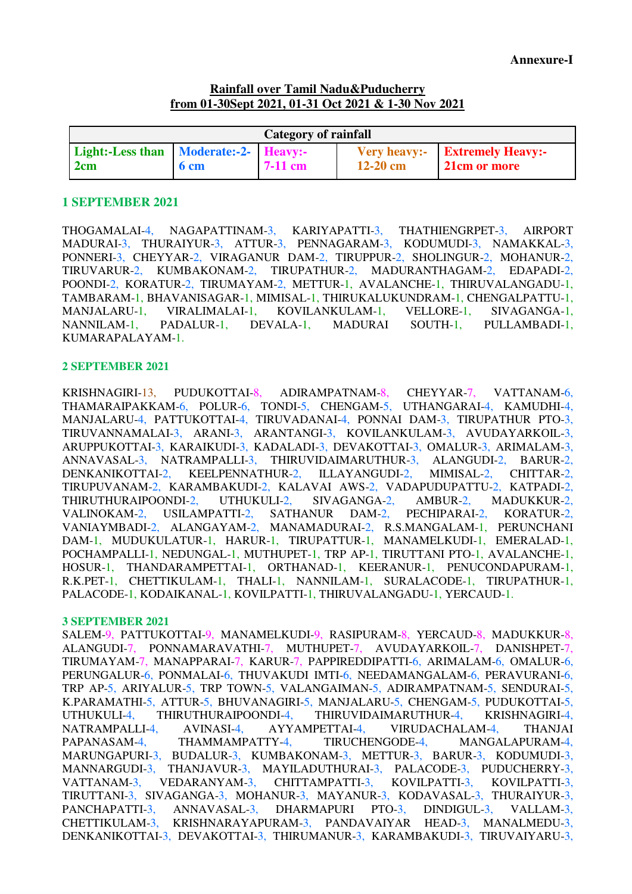# **Rainfall over Tamil Nadu&Puducherry from 01-30Sept 2021, 01-31 Oct 2021 & 1-30 Nov 2021**

| Category of rainfall                         |                 |           |            |                                                       |
|----------------------------------------------|-----------------|-----------|------------|-------------------------------------------------------|
| Light:-Less than Moderate:-2- Heavy:-<br>2cm | 6 <sub>cm</sub> | $7-11$ cm | $12-20$ cm | <b>Very heavy:-</b> Extremely Heavy:-<br>21cm or more |

### **1 SEPTEMBER 2021**

THOGAMALAI-4, NAGAPATTINAM-3, KARIYAPATTI-3, THATHIENGRPET-3, AIRPORT MADURAI-3, THURAIYUR-3, ATTUR-3, PENNAGARAM-3, KODUMUDI-3, NAMAKKAL-3, PONNERI-3, CHEYYAR-2, VIRAGANUR DAM-2, TIRUPPUR-2, SHOLINGUR-2, MOHANUR-2, TIRUVARUR-2, KUMBAKONAM-2, TIRUPATHUR-2, MADURANTHAGAM-2, EDAPADI-2, POONDI-2, KORATUR-2, TIRUMAYAM-2, METTUR-1, AVALANCHE-1, THIRUVALANGADU-1, TAMBARAM-1, BHAVANISAGAR-1, MIMISAL-1, THIRUKALUKUNDRAM-1, CHENGALPATTU-1, MANJALARU-1, VIRALIMALAI-1, KOVILANKULAM-1, VELLORE-1, SIVAGANGA-1, NANNILAM-1, PADALUR-1, DEVALA-1, MADURAI SOUTH-1, PULLAMBADI-1, KUMARAPALAYAM-1.

## **2 SEPTEMBER 2021**

KRISHNAGIRI-13, PUDUKOTTAI-8, ADIRAMPATNAM-8, CHEYYAR-7, VATTANAM-6, THAMARAIPAKKAM-6, POLUR-6, TONDI-5, CHENGAM-5, UTHANGARAI-4, KAMUDHI-4, MANJALARU-4, PATTUKOTTAI-4, TIRUVADANAI-4, PONNAI DAM-3, TIRUPATHUR PTO-3, TIRUVANNAMALAI-3, ARANI-3, ARANTANGI-3, KOVILANKULAM-3, AVUDAYARKOIL-3, ARUPPUKOTTAI-3, KARAIKUDI-3, KADALADI-3, DEVAKOTTAI-3, OMALUR-3, ARIMALAM-3, ANNAVASAL-3, NATRAMPALLI-3, THIRUVIDAIMARUTHUR-3, ALANGUDI-2, BARUR-2, DENKANIKOTTAI-2, KEELPENNATHUR-2, ILLAYANGUDI-2, MIMISAL-2, CHITTAR-2, TIRUPUVANAM-2, KARAMBAKUDI-2, KALAVAI AWS-2, VADAPUDUPATTU-2, KATPADI-2, THIRUTHURAIPOONDI-2, UTHUKULI-2, SIVAGANGA-2, AMBUR-2, MADUKKUR-2, VALINOKAM-2, USILAMPATTI-2, SATHANUR DAM-2, PECHIPARAI-2, KORATUR-2, VANIAYMBADI-2, ALANGAYAM-2, MANAMADURAI-2, R.S.MANGALAM-1, PERUNCHANI DAM-1, MUDUKULATUR-1, HARUR-1, TIRUPATTUR-1, MANAMELKUDI-1, EMERALAD-1, POCHAMPALLI-1, NEDUNGAL-1, MUTHUPET-1, TRP AP-1, TIRUTTANI PTO-1, AVALANCHE-1, HOSUR-1, THANDARAMPETTAI-1, ORTHANAD-1, KEERANUR-1, PENUCONDAPURAM-1, R.K.PET-1, CHETTIKULAM-1, THALI-1, NANNILAM-1, SURALACODE-1, TIRUPATHUR-1, PALACODE-1, KODAIKANAL-1, KOVILPATTI-1, THIRUVALANGADU-1, YERCAUD-1.

### **3 SEPTEMBER 2021**

SALEM-9, PATTUKOTTAI-9, MANAMELKUDI-9, RASIPURAM-8, YERCAUD-8, MADUKKUR-8, ALANGUDI-7, PONNAMARAVATHI-7, MUTHUPET-7, AVUDAYARKOIL-7, DANISHPET-7, TIRUMAYAM-7, MANAPPARAI-7, KARUR-7, PAPPIREDDIPATTI-6, ARIMALAM-6, OMALUR-6, PERUNGALUR-6, PONMALAI-6, THUVAKUDI IMTI-6, NEEDAMANGALAM-6, PERAVURANI-6, TRP AP-5, ARIYALUR-5, TRP TOWN-5, VALANGAIMAN-5, ADIRAMPATNAM-5, SENDURAI-5, K.PARAMATHI-5, ATTUR-5, BHUVANAGIRI-5, MANJALARU-5, CHENGAM-5, PUDUKOTTAI-5, UTHUKULI-4, THIRUTHURAIPOONDI-4, THIRUVIDAIMARUTHUR-4, KRISHNAGIRI-4, NATRAMPALLI-4. AVINASI-4, AYYAMPETTAI-4, VIRUDACHALAM-4, THANJAI NATRAMPALLI-4, AVINASI-4, AYYAMPETTAI-4, VIRUDACHALAM-4, THANJAI PAPANASAM-4, THAMMAMPATTY-4, TIRUCHENGODE-4, MANGALAPURAM-4, MARUNGAPURI-3, BUDALUR-3, KUMBAKONAM-3, METTUR-3, BARUR-3, KODUMUDI-3, MANNARGUDI-3, THANJAVUR-3, MAYILADUTHURAI-3, PALACODE-3, PUDUCHERRY-3, VATTANAM-3, VEDARANYAM-3, CHITTAMPATTI-3, KOVILPATTI-3, KOVILPATTI-3, TIRUTTANI-3, SIVAGANGA-3, MOHANUR-3, MAYANUR-3, KODAVASAL-3, THURAIYUR-3, PANCHAPATTI-3, ANNAVASAL-3, DHARMAPURI PTO-3, DINDIGUL-3, VALLAM-3, CHETTIKULAM-3, KRISHNARAYAPURAM-3, PANDAVAIYAR HEAD-3, MANALMEDU-3, DENKANIKOTTAI-3, DEVAKOTTAI-3, THIRUMANUR-3, KARAMBAKUDI-3, TIRUVAIYARU-3,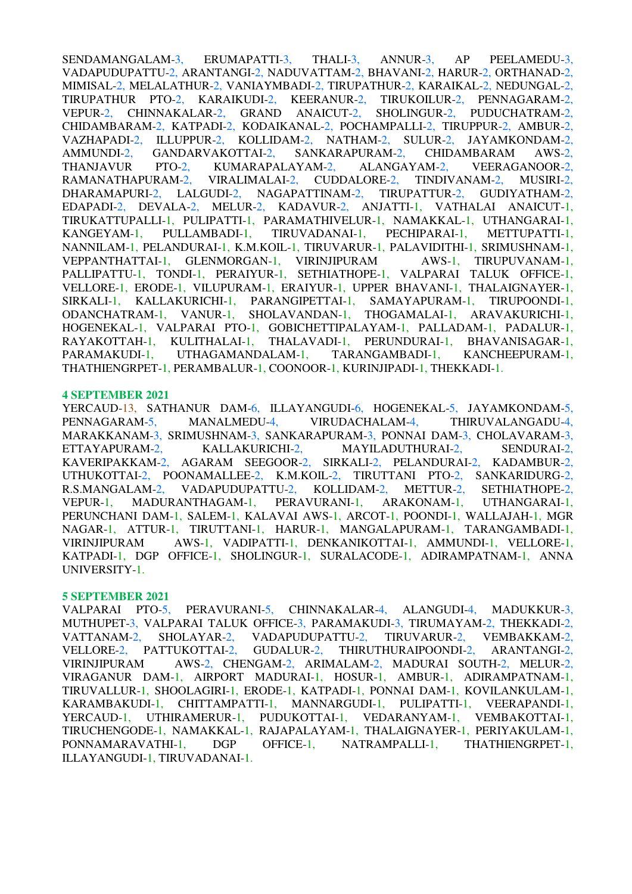SENDAMANGALAM-3, ERUMAPATTI-3, THALI-3, ANNUR-3, AP PEELAMEDU-3, VADAPUDUPATTU-2, ARANTANGI-2, NADUVATTAM-2, BHAVANI-2, HARUR-2, ORTHANAD-2, MIMISAL-2, MELALATHUR-2, VANIAYMBADI-2, TIRUPATHUR-2, KARAIKAL-2, NEDUNGAL-2, TIRUPATHUR PTO-2, KARAIKUDI-2, KEERANUR-2, TIRUKOILUR-2, PENNAGARAM-2, VEPUR-2, CHINNAKALAR-2, GRAND ANAICUT-2, SHOLINGUR-2, PUDUCHATRAM-2, CHIDAMBARAM-2, KATPADI-2, KODAIKANAL-2, POCHAMPALLI-2, TIRUPPUR-2, AMBUR-2, VAZHAPADI-2, ILLUPPUR-2, KOLLIDAM-2, NATHAM-2, SULUR-2, JAYAMKONDAM-2, AMMUNDI-2, GANDARVAKOTTAI-2, SANKARAPURAM-2, CHIDAMBARAM AWS-2, THANJAVUR PTO-2, KUMARAPALAYAM-2, ALANGAYAM-2, VEERAGANOOR-2, RAMANATHAPURAM-2, VIRALIMALAI-2, CUDDALORE-2, TINDIVANAM-2, MUSIRI-2, DHARAMAPURI-2, LALGUDI-2, NAGAPATTINAM-2, TIRUPATTUR-2, GUDIYATHAM-2, EDAPADI-2, DEVALA-2, MELUR-2, KADAVUR-2, ANJATTI-1, VATHALAI ANAICUT-1, TIRUKATTUPALLI-1, PULIPATTI-1, PARAMATHIVELUR-1, NAMAKKAL-1, UTHANGARAI-1, KANGEYAM-1, PULLAMBADI-1, TIRUVADANAI-1, PECHIPARAI-1, METTUPATTI-1, KANGEYAM-1, PULLAMBADI-1, TIRUVADANAI-1, PECHIPARAI-1, METTUPATTI-1, NANNILAM-1, PELANDURAI-1, K.M.KOIL-1, TIRUVARUR-1, PALAVIDITHI-1, SRIMUSHNAM-1, VEPPANTHATTAI-1, GLENMORGAN-1, VIRINJIPURAM AWS-1, TIRUPUVANAM-1, VEPPANTHATTAI-1, GLENMORGAN-1, VIRINJIPURAM AWS-1, TIRUPUVANAM-1, PALLIPATTU-1, TONDI-1, PERAIYUR-1, SETHIATHOPE-1, VALPARAI TALUK OFFICE-1, VELLORE-1, ERODE-1, VILUPURAM-1, ERAIYUR-1, UPPER BHAVANI-1, THALAIGNAYER-1, SIRKALI-1, KALLAKURICHI-1, PARANGIPETTAI-1, SAMAYAPURAM-1, TIRUPOONDI-1, ODANCHATRAM-1, VANUR-1, SHOLAVANDAN-1, THOGAMALAI-1, ARAVAKURICHI-1, HOGENEKAL-1, VALPARAI PTO-1, GOBICHETTIPALAYAM-1, PALLADAM-1, PADALUR-1, RAYAKOTTAH-1, KULITHALAI-1, THALAVADI-1, PERUNDURAI-1, BHAVANISAGAR-1, PARAMAKUDI-1, UTHAGAMANDALAM-1, TARANGAMBADI-1, KANCHEEPURAM-1, THATHIENGRPET-1, PERAMBALUR-1, COONOOR-1, KURINJIPADI-1, THEKKADI-1.

### **4 SEPTEMBER 2021**

YERCAUD-13, SATHANUR DAM-6, ILLAYANGUDI-6, HOGENEKAL-5, JAYAMKONDAM-5, PENNAGARAM-5, MANALMEDU-4, VIRUDACHALAM-4, THIRUVALANGADU-4, MARAKKANAM-3, SRIMUSHNAM-3, SANKARAPURAM-3, PONNAI DAM-3, CHOLAVARAM-3, ETTAYAPURAM-2, KALLAKURICHI-2, MAYILADUTHURAI-2, SENDURAI-2, KAVERIPAKKAM-2, AGARAM SEEGOOR-2, SIRKALI-2, PELANDURAI-2, KADAMBUR-2, UTHUKOTTAI-2, POONAMALLEE-2, K.M.KOIL-2, TIRUTTANI PTO-2, SANKARIDURG-2, R.S.MANGALAM-2, VADAPUDUPATTU-2, KOLLIDAM-2, METTUR-2, SETHIATHOPE-2, VEPUR-1, MADURANTHAGAM-1, PERAVURANI-1, ARAKONAM-1, UTHANGARAI-1, PERUNCHANI DAM-1, SALEM-1, KALAVAI AWS-1, ARCOT-1, POONDI-1, WALLAJAH-1, MGR NAGAR-1, ATTUR-1, TIRUTTANI-1, HARUR-1, MANGALAPURAM-1, TARANGAMBADI-1, VIRINJIPURAM AWS-1, VADIPATTI-1, DENKANIKOTTAI-1, AMMUNDI-1, VELLORE-1, KATPADI-1, DGP OFFICE-1, SHOLINGUR-1, SURALACODE-1, ADIRAMPATNAM-1, ANNA UNIVERSITY-1.

### **5 SEPTEMBER 2021**

VALPARAI PTO-5, PERAVURANI-5, CHINNAKALAR-4, ALANGUDI-4, MADUKKUR-3, MUTHUPET-3, VALPARAI TALUK OFFICE-3, PARAMAKUDI-3, TIRUMAYAM-2, THEKKADI-2, VATTANAM-2, SHOLAYAR-2, VADAPUDUPATTU-2, TIRUVARUR-2, VEMBAKKAM-2, VELLORE-2, PATTUKOTTAI-2, GUDALUR-2, THIRUTHURAIPOONDI-2, ARANTANGI-2, VIRINJIPURAM AWS-2, CHENGAM-2, ARIMALAM-2, MADURAI SOUTH-2, MELUR-2, VIRAGANUR DAM-1, AIRPORT MADURAI-1, HOSUR-1, AMBUR-1, ADIRAMPATNAM-1, TIRUVALLUR-1, SHOOLAGIRI-1, ERODE-1, KATPADI-1, PONNAI DAM-1, KOVILANKULAM-1, KARAMBAKUDI-1, CHITTAMPATTI-1, MANNARGUDI-1, PULIPATTI-1, VEERAPANDI-1, YERCAUD-1, UTHIRAMERUR-1, PUDUKOTTAI-1, VEDARANYAM-1, VEMBAKOTTAI-1, TIRUCHENGODE-1, NAMAKKAL-1, RAJAPALAYAM-1, THALAIGNAYER-1, PERIYAKULAM-1, PONNAMARAVATHI-1, DGP OFFICE-1, NATRAMPALLI-1, THATHIENGRPET-1, ILLAYANGUDI-1, TIRUVADANAI-1.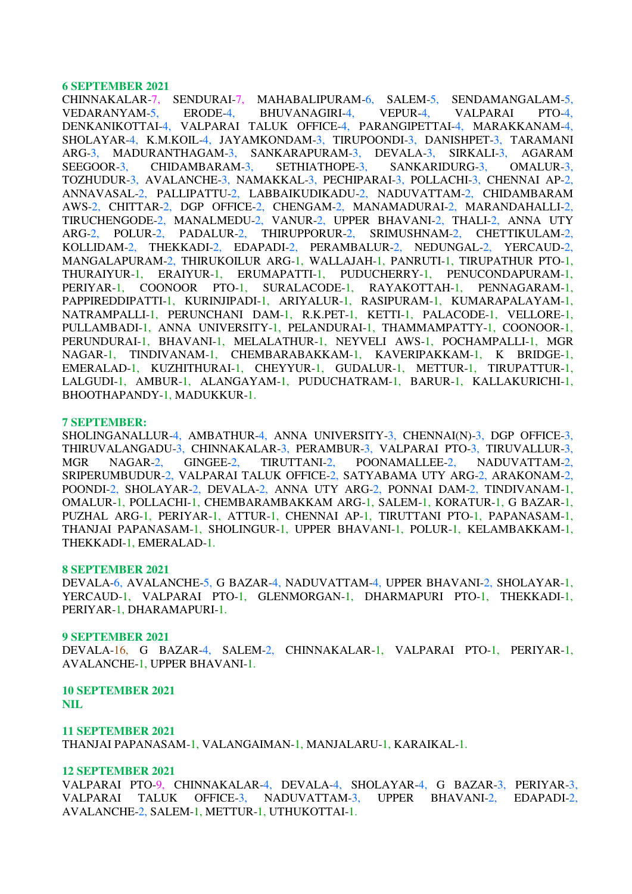CHINNAKALAR-7, SENDURAI-7, MAHABALIPURAM-6, SALEM-5, SENDAMANGALAM-5, VEDARANYAM-5, ERODE-4, BHUVANAGIRI-4, VEPUR-4, VALPARAI PTO-4, DENKANIKOTTAI-4, VALPARAI TALUK OFFICE-4, PARANGIPETTAI-4, MARAKKANAM-4, SHOLAYAR-4, K.M.KOIL-4, JAYAMKONDAM-3, TIRUPOONDI-3, DANISHPET-3, TARAMANI ARG-3, MADURANTHAGAM-3, SANKARAPURAM-3, DEVALA-3, SIRKALI-3, AGARAM SEEGOOR-3, CHIDAMBARAM-3, SETHIATHOPE-3, SANKARIDURG-3, OMALUR-3, TOZHUDUR-3, AVALANCHE-3, NAMAKKAL-3, PECHIPARAI-3, POLLACHI-3, CHENNAI AP-2, ANNAVASAL-2, PALLIPATTU-2, LABBAIKUDIKADU-2, NADUVATTAM-2, CHIDAMBARAM AWS-2, CHITTAR-2, DGP OFFICE-2, CHENGAM-2, MANAMADURAI-2, MARANDAHALLI-2, TIRUCHENGODE-2, MANALMEDU-2, VANUR-2, UPPER BHAVANI-2, THALI-2, ANNA UTY ARG-2, POLUR-2, PADALUR-2, THIRUPPORUR-2, SRIMUSHNAM-2, CHETTIKULAM-2, KOLLIDAM-2, THEKKADI-2, EDAPADI-2, PERAMBALUR-2, NEDUNGAL-2, YERCAUD-2, MANGALAPURAM-2, THIRUKOILUR ARG-1, WALLAJAH-1, PANRUTI-1, TIRUPATHUR PTO-1, THURAIYUR-1, ERAIYUR-1, ERUMAPATTI-1, PUDUCHERRY-1, PENUCONDAPURAM-1, PERIYAR-1, COONOOR PTO-1, SURALACODE-1, RAYAKOTTAH-1, PENNAGARAM-1, PAPPIREDDIPATTI-1, KURINJIPADI-1, ARIYALUR-1, RASIPURAM-1, KUMARAPALAYAM-1, NATRAMPALLI-1, PERUNCHANI DAM-1, R.K.PET-1, KETTI-1, PALACODE-1, VELLORE-1, PULLAMBADI-1, ANNA UNIVERSITY-1, PELANDURAI-1, THAMMAMPATTY-1, COONOOR-1, PERUNDURAI-1, BHAVANI-1, MELALATHUR-1, NEYVELI AWS-1, POCHAMPALLI-1, MGR NAGAR-1, TINDIVANAM-1, CHEMBARABAKKAM-1, KAVERIPAKKAM-1, K BRIDGE-1, EMERALAD-1, KUZHITHURAI-1, CHEYYUR-1, GUDALUR-1, METTUR-1, TIRUPATTUR-1, LALGUDI-1, AMBUR-1, ALANGAYAM-1, PUDUCHATRAM-1, BARUR-1, KALLAKURICHI-1, BHOOTHAPANDY-1, MADUKKUR-1.

#### **7 SEPTEMBER:**

SHOLINGANALLUR-4, AMBATHUR-4, ANNA UNIVERSITY-3, CHENNAI(N)-3, DGP OFFICE-3, THIRUVALANGADU-3, CHINNAKALAR-3, PERAMBUR-3, VALPARAI PTO-3, TIRUVALLUR-3, MGR NAGAR-2, GINGEE-2, TIRUTTANI-2, POONAMALLEE-2, NADUVATTAM-2, SRIPERUMBUDUR-2, VALPARAI TALUK OFFICE-2, SATYABAMA UTY ARG-2, ARAKONAM-2, POONDI-2, SHOLAYAR-2, DEVALA-2, ANNA UTY ARG-2, PONNAI DAM-2, TINDIVANAM-1, OMALUR-1, POLLACHI-1, CHEMBARAMBAKKAM ARG-1, SALEM-1, KORATUR-1, G BAZAR-1, PUZHAL ARG-1, PERIYAR-1, ATTUR-1, CHENNAI AP-1, TIRUTTANI PTO-1, PAPANASAM-1, THANJAI PAPANASAM-1, SHOLINGUR-1, UPPER BHAVANI-1, POLUR-1, KELAMBAKKAM-1, THEKKADI-1, EMERALAD-1.

#### **8 SEPTEMBER 2021**

DEVALA-6, AVALANCHE-5, G BAZAR-4, NADUVATTAM-4, UPPER BHAVANI-2, SHOLAYAR-1, YERCAUD-1, VALPARAI PTO-1, GLENMORGAN-1, DHARMAPURI PTO-1, THEKKADI-1, PERIYAR-1, DHARAMAPURI-1.

#### **9 SEPTEMBER 2021**

DEVALA-16, G BAZAR-4, SALEM-2, CHINNAKALAR-1, VALPARAI PTO-1, PERIYAR-1, AVALANCHE-1, UPPER BHAVANI-1.

**10 SEPTEMBER 2021 NIL** 

**11 SEPTEMBER 2021**  THANJAI PAPANASAM-1, VALANGAIMAN-1, MANJALARU-1, KARAIKAL-1.

### **12 SEPTEMBER 2021**

VALPARAI PTO-9, CHINNAKALAR-4, DEVALA-4, SHOLAYAR-4, G BAZAR-3, PERIYAR-3, VALPARAI TALUK OFFICE-3, NADUVATTAM-3, UPPER BHAVANI-2, EDAPADI-2, AVALANCHE-2, SALEM-1, METTUR-1, UTHUKOTTAI-1.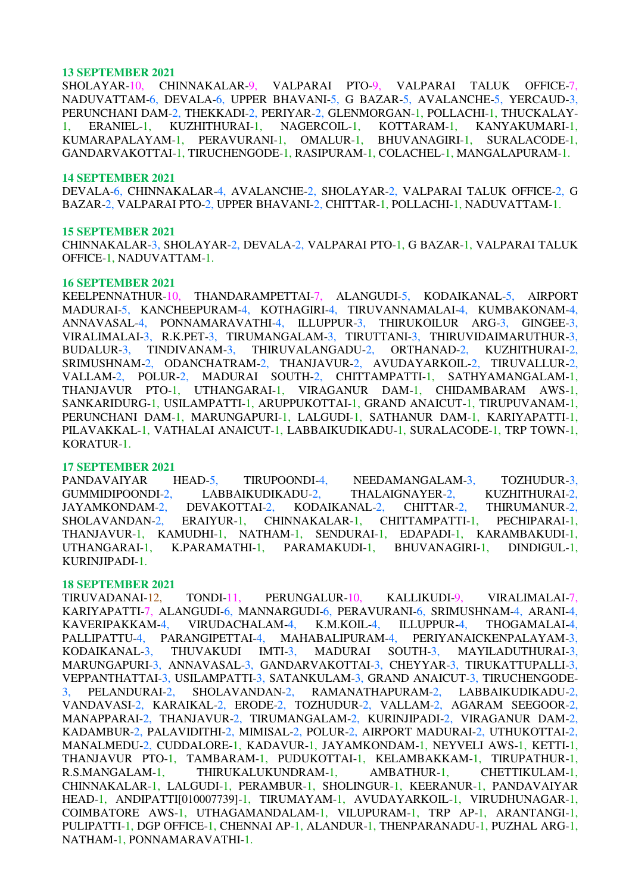SHOLAYAR-10, CHINNAKALAR-9, VALPARAI PTO-9, VALPARAI TALUK OFFICE-7, NADUVATTAM-6, DEVALA-6, UPPER BHAVANI-5, G BAZAR-5, AVALANCHE-5, YERCAUD-3, PERUNCHANI DAM-2, THEKKADI-2, PERIYAR-2, GLENMORGAN-1, POLLACHI-1, THUCKALAY-1, ERANIEL-1, KUZHITHURAI-1, NAGERCOIL-1, KOTTARAM-1, KANYAKUMARI-1, KUMARAPALAYAM-1, PERAVURANI-1, OMALUR-1, BHUVANAGIRI-1, SURALACODE-1, GANDARVAKOTTAI-1, TIRUCHENGODE-1, RASIPURAM-1, COLACHEL-1, MANGALAPURAM-1.

#### **14 SEPTEMBER 2021**

DEVALA-6, CHINNAKALAR-4, AVALANCHE-2, SHOLAYAR-2, VALPARAI TALUK OFFICE-2, G BAZAR-2, VALPARAI PTO-2, UPPER BHAVANI-2, CHITTAR-1, POLLACHI-1, NADUVATTAM-1.

### **15 SEPTEMBER 2021**

CHINNAKALAR-3, SHOLAYAR-2, DEVALA-2, VALPARAI PTO-1, G BAZAR-1, VALPARAI TALUK OFFICE-1, NADUVATTAM-1.

#### **16 SEPTEMBER 2021**

KEELPENNATHUR-10, THANDARAMPETTAI-7, ALANGUDI-5, KODAIKANAL-5, AIRPORT MADURAI-5, KANCHEEPURAM-4, KOTHAGIRI-4, TIRUVANNAMALAI-4, KUMBAKONAM-4, ANNAVASAL-4, PONNAMARAVATHI-4, ILLUPPUR-3, THIRUKOILUR ARG-3, GINGEE-3, VIRALIMALAI-3, R.K.PET-3, TIRUMANGALAM-3, TIRUTTANI-3, THIRUVIDAIMARUTHUR-3, BUDALUR-3, TINDIVANAM-3, THIRUVALANGADU-2, ORTHANAD-2, KUZHITHURAI-2, SRIMUSHNAM-2, ODANCHATRAM-2, THANJAVUR-2, AVUDAYARKOIL-2, TIRUVALLUR-2, VALLAM-2, POLUR-2, MADURAI SOUTH-2, CHITTAMPATTI-1, SATHYAMANGALAM-1, THANJAVUR PTO-1, UTHANGARAI-1, VIRAGANUR DAM-1, CHIDAMBARAM AWS-1, SANKARIDURG-1, USILAMPATTI-1, ARUPPUKOTTAI-1, GRAND ANAICUT-1, TIRUPUVANAM-1, PERUNCHANI DAM-1, MARUNGAPURI-1, LALGUDI-1, SATHANUR DAM-1, KARIYAPATTI-1, PILAVAKKAL-1, VATHALAI ANAICUT-1, LABBAIKUDIKADU-1, SURALACODE-1, TRP TOWN-1, KORATUR-1.

### **17 SEPTEMBER 2021**

PANDAVAIYAR HEAD-5, TIRUPOONDI-4, NEEDAMANGALAM-3, TOZHUDUR-3, GUMMIDIPOONDI-2, LABBAIKUDIKADU-2, THALAIGNAYER-2, KUZHITHURAI-2, JAYAMKONDAM-2, DEVAKOTTAI-2, KODAIKANAL-2, CHITTAR-2, THIRUMANUR-2, SHOLAVANDAN-2, ERAIYUR-1, CHINNAKALAR-1, CHITTAMPATTI-1, PECHIPARAI-1, THANJAVUR-1, KAMUDHI-1, NATHAM-1, SENDURAI-1, EDAPADI-1, KARAMBAKUDI-1, UTHANGARAI-1, K.PARAMATHI-1, PARAMAKUDI-1, BHUVANAGIRI-1, DINDIGUL-1, KURINJIPADI-1.

### **18 SEPTEMBER 2021**

TIRUVADANAI-12, TONDI-11, PERUNGALUR-10, KALLIKUDI-9, VIRALIMALAI-7, KARIYAPATTI-7, ALANGUDI-6, MANNARGUDI-6, PERAVURANI-6, SRIMUSHNAM-4, ARANI-4, KAVERIPAKKAM-4, VIRUDACHALAM-4, K.M.KOIL-4, ILLUPPUR-4, THOGAMALAI-4, PALLIPATTU-4, PARANGIPETTAI-4, MAHABALIPURAM-4, PERIYANAICKENPALAYAM-3, KODAIKANAL-3, THUVAKUDI IMTI-3, MADURAI SOUTH-3, MAYILADUTHURAI-3, MARUNGAPURI-3, ANNAVASAL-3, GANDARVAKOTTAI-3, CHEYYAR-3, TIRUKATTUPALLI-3, VEPPANTHATTAI-3, USILAMPATTI-3, SATANKULAM-3, GRAND ANAICUT-3, TIRUCHENGODE-3, PELANDURAI-2, SHOLAVANDAN-2, RAMANATHAPURAM-2, LABBAIKUDIKADU-2, VANDAVASI-2, KARAIKAL-2, ERODE-2, TOZHUDUR-2, VALLAM-2, AGARAM SEEGOOR-2, MANAPPARAI-2, THANJAVUR-2, TIRUMANGALAM-2, KURINJIPADI-2, VIRAGANUR DAM-2, KADAMBUR-2, PALAVIDITHI-2, MIMISAL-2, POLUR-2, AIRPORT MADURAI-2, UTHUKOTTAI-2, MANALMEDU-2, CUDDALORE-1, KADAVUR-1, JAYAMKONDAM-1, NEYVELI AWS-1, KETTI-1, THANJAVUR PTO-1, TAMBARAM-1, PUDUKOTTAI-1, KELAMBAKKAM-1, TIRUPATHUR-1, R.S.MANGALAM-1, THIRUKALUKUNDRAM-1, AMBATHUR-1, CHETTIKULAM-1, CHINNAKALAR-1, LALGUDI-1, PERAMBUR-1, SHOLINGUR-1, KEERANUR-1, PANDAVAIYAR HEAD-1, ANDIPATTI[010007739]-1, TIRUMAYAM-1, AVUDAYARKOIL-1, VIRUDHUNAGAR-1, COIMBATORE AWS-1, UTHAGAMANDALAM-1, VILUPURAM-1, TRP AP-1, ARANTANGI-1, PULIPATTI-1, DGP OFFICE-1, CHENNAI AP-1, ALANDUR-1, THENPARANADU-1, PUZHAL ARG-1, NATHAM-1, PONNAMARAVATHI-1.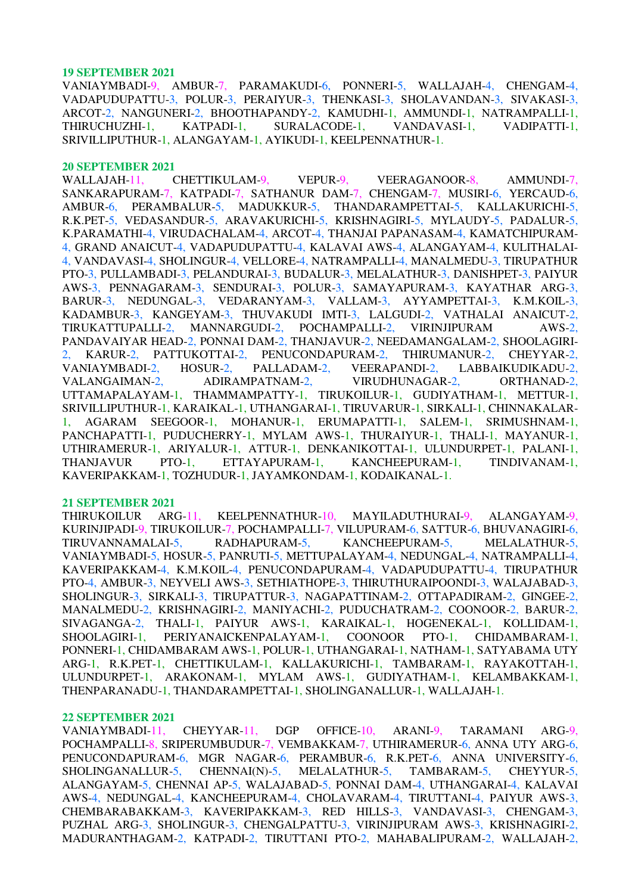VANIAYMBADI-9, AMBUR-7, PARAMAKUDI-6, PONNERI-5, WALLAJAH-4, CHENGAM-4, VADAPUDUPATTU-3, POLUR-3, PERAIYUR-3, THENKASI-3, SHOLAVANDAN-3, SIVAKASI-3, ARCOT-2, NANGUNERI-2, BHOOTHAPANDY-2, KAMUDHI-1, AMMUNDI-1, NATRAMPALLI-1, THIRUCHUZHI-1, KATPADI-1, SURALACODE-1, VANDAVASI-1, VADIPATTI-1, SRIVILLIPUTHUR-1, ALANGAYAM-1, AYIKUDI-1, KEELPENNATHUR-1.

#### **20 SEPTEMBER 2021**

WALLAJAH-11, CHETTIKULAM-9, VEPUR-9, VEERAGANOOR-8, AMMUNDI-7, SANKARAPURAM-7, KATPADI-7, SATHANUR DAM-7, CHENGAM-7, MUSIRI-6, YERCAUD-6, AMBUR-6, PERAMBALUR-5, MADUKKUR-5, THANDARAMPETTAI-5, KALLAKURICHI-5, R.K.PET-5, VEDASANDUR-5, ARAVAKURICHI-5, KRISHNAGIRI-5, MYLAUDY-5, PADALUR-5, K.PARAMATHI-4, VIRUDACHALAM-4, ARCOT-4, THANJAI PAPANASAM-4, KAMATCHIPURAM-4, GRAND ANAICUT-4, VADAPUDUPATTU-4, KALAVAI AWS-4, ALANGAYAM-4, KULITHALAI-4, VANDAVASI-4, SHOLINGUR-4, VELLORE-4, NATRAMPALLI-4, MANALMEDU-3, TIRUPATHUR PTO-3, PULLAMBADI-3, PELANDURAI-3, BUDALUR-3, MELALATHUR-3, DANISHPET-3, PAIYUR AWS-3, PENNAGARAM-3, SENDURAI-3, POLUR-3, SAMAYAPURAM-3, KAYATHAR ARG-3, BARUR-3, NEDUNGAL-3, VEDARANYAM-3, VALLAM-3, AYYAMPETTAI-3, K.M.KOIL-3, KADAMBUR-3, KANGEYAM-3, THUVAKUDI IMTI-3, LALGUDI-2, VATHALAI ANAICUT-2, TIRUKATTUPALLI-2, MANNARGUDI-2, POCHAMPALLI-2, VIRINJIPURAM AWS-2, PANDAVAIYAR HEAD-2, PONNAI DAM-2, THANJAVUR-2, NEEDAMANGALAM-2, SHOOLAGIRI-KARUR-2, PATTUKOTTAI-2, PENUCONDAPURAM-2, THIRUMANUR-2, CHEYYAR-2,<br>IIAYMBADI-2, HOSUR-2, PALLADAM-2, VEERAPANDI-2, LABBAIKUDIKADU-2. VANIAYMBADI-2, HOSUR-2, PALLADAM-2, VEERAPANDI-2, LABBAIKUDIKADU-2, VALANGAIMAN-2, ADIRAMPATNAM-2, VIRUDHUNAGAR-2, ORTHANAD-2, UTTAMAPALAYAM-1, THAMMAMPATTY-1, TIRUKOILUR-1, GUDIYATHAM-1, METTUR-1, SRIVILLIPUTHUR-1, KARAIKAL-1, UTHANGARAI-1, TIRUVARUR-1, SIRKALI-1, CHINNAKALAR-1, AGARAM SEEGOOR-1, MOHANUR-1, ERUMAPATTI-1, SALEM-1, SRIMUSHNAM-1, PANCHAPATTI-1, PUDUCHERRY-1, MYLAM AWS-1, THURAIYUR-1, THALI-1, MAYANUR-1, UTHIRAMERUR-1, ARIYALUR-1, ATTUR-1, DENKANIKOTTAI-1, ULUNDURPET-1, PALANI-1, THANJAVUR PTO-1, ETTAYAPURAM-1, KANCHEEPURAM-1, TINDIVANAM-1, KAVERIPAKKAM-1, TOZHUDUR-1, JAYAMKONDAM-1, KODAIKANAL-1.

### **21 SEPTEMBER 2021**

THIRUKOILUR ARG-11, KEELPENNATHUR-10, MAYILADUTHURAI-9, ALANGAYAM-9, KURINJIPADI-9, TIRUKOILUR-7, POCHAMPALLI-7, VILUPURAM-6, SATTUR-6, BHUVANAGIRI-6, TIRUVANNAMALAI-5, RADHAPURAM-5, KANCHEEPURAM-5, MELALATHUR-5, VANIAYMBADI-5, HOSUR-5, PANRUTI-5, METTUPALAYAM-4, NEDUNGAL-4, NATRAMPALLI-4, KAVERIPAKKAM-4, K.M.KOIL-4, PENUCONDAPURAM-4, VADAPUDUPATTU-4, TIRUPATHUR PTO-4, AMBUR-3, NEYVELI AWS-3, SETHIATHOPE-3, THIRUTHURAIPOONDI-3, WALAJABAD-3, SHOLINGUR-3, SIRKALI-3, TIRUPATTUR-3, NAGAPATTINAM-2, OTTAPADIRAM-2, GINGEE-2, MANALMEDU-2, KRISHNAGIRI-2, MANIYACHI-2, PUDUCHATRAM-2, COONOOR-2, BARUR-2, SIVAGANGA-2, THALI-1, PAIYUR AWS-1, KARAIKAL-1, HOGENEKAL-1, KOLLIDAM-1, SHOOLAGIRI-1, PERIYANAICKENPALAYAM-1, COONOOR PTO-1, CHIDAMBARAM-1, PONNERI-1, CHIDAMBARAM AWS-1, POLUR-1, UTHANGARAI-1, NATHAM-1, SATYABAMA UTY ARG-1, R.K.PET-1, CHETTIKULAM-1, KALLAKURICHI-1, TAMBARAM-1, RAYAKOTTAH-1, ULUNDURPET-1, ARAKONAM-1, MYLAM AWS-1, GUDIYATHAM-1, KELAMBAKKAM-1, THENPARANADU-1, THANDARAMPETTAI-1, SHOLINGANALLUR-1, WALLAJAH-1.

### **22 SEPTEMBER 2021**

VANIAYMBADI-11, CHEYYAR-11, DGP OFFICE-10, ARANI-9, TARAMANI ARG-9, POCHAMPALLI-8, SRIPERUMBUDUR-7, VEMBAKKAM-7, UTHIRAMERUR-6, ANNA UTY ARG-6, PENUCONDAPURAM-6, MGR NAGAR-6, PERAMBUR-6, R.K.PET-6, ANNA UNIVERSITY-6, SHOLINGANALLUR-5, CHENNAI(N)-5, MELALATHUR-5, TAMBARAM-5, CHEYYUR-5, ALANGAYAM-5, CHENNAI AP-5, WALAJABAD-5, PONNAI DAM-4, UTHANGARAI-4, KALAVAI AWS-4, NEDUNGAL-4, KANCHEEPURAM-4, CHOLAVARAM-4, TIRUTTANI-4, PAIYUR AWS-3, CHEMBARABAKKAM-3, KAVERIPAKKAM-3, RED HILLS-3, VANDAVASI-3, CHENGAM-3, PUZHAL ARG-3, SHOLINGUR-3, CHENGALPATTU-3, VIRINJIPURAM AWS-3, KRISHNAGIRI-2, MADURANTHAGAM-2, KATPADI-2, TIRUTTANI PTO-2, MAHABALIPURAM-2, WALLAJAH-2,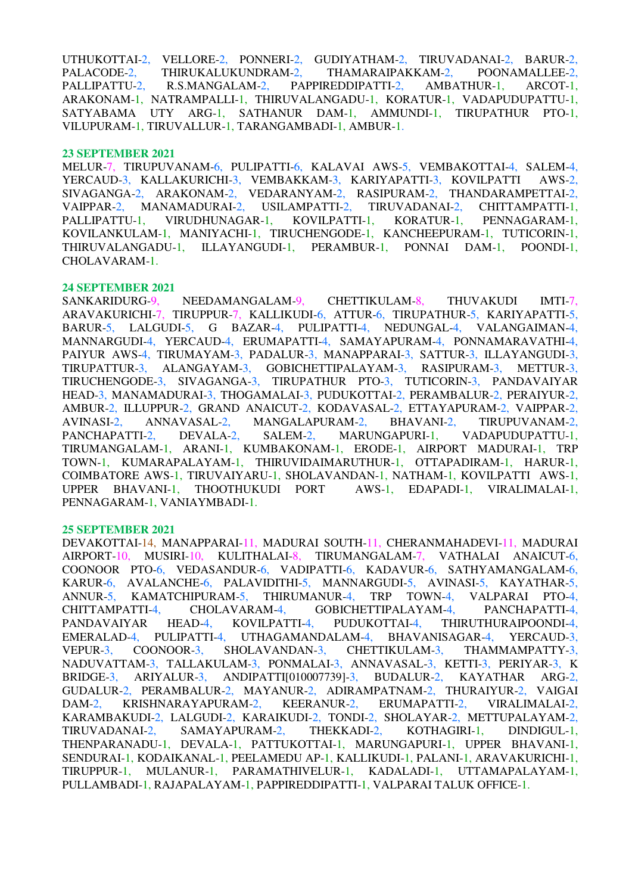UTHUKOTTAI-2, VELLORE-2, PONNERI-2, GUDIYATHAM-2, TIRUVADANAI-2, BARUR-2, PALACODE-2, THIRUKALUKUNDRAM-2, THAMARAIPAKKAM-2, POONAMALLEE-2, PALLIPATTU-2, R.S.MANGALAM-2, PAPPIREDDIPATTI-2, AMBATHUR-1, ARCOT-1, ARAKONAM-1, NATRAMPALLI-1, THIRUVALANGADU-1, KORATUR-1, VADAPUDUPATTU-1, SATYABAMA UTY ARG-1, SATHANUR DAM-1, AMMUNDI-1, TIRUPATHUR PTO-1, VILUPURAM-1, TIRUVALLUR-1, TARANGAMBADI-1, AMBUR-1.

### **23 SEPTEMBER 2021**

MELUR-7, TIRUPUVANAM-6, PULIPATTI-6, KALAVAI AWS-5, VEMBAKOTTAI-4, SALEM-4, YERCAUD-3, KALLAKURICHI-3, VEMBAKKAM-3, KARIYAPATTI-3, KOVILPATTI AWS-2, SIVAGANGA-2, ARAKONAM-2, VEDARANYAM-2, RASIPURAM-2, THANDARAMPETTAI-2, VAIPPAR-2, MANAMADURAI-2, USILAMPATTI-2, TIRUVADANAI-2, CHITTAMPATTI-1, PALLIPATTU-1, VIRUDHUNAGAR-1, KOVILPATTI-1, KORATUR-1, PENNAGARAM-1, KOVILANKULAM-1, MANIYACHI-1, TIRUCHENGODE-1, KANCHEEPURAM-1, TUTICORIN-1, THIRUVALANGADU-1, ILLAYANGUDI-1, PERAMBUR-1, PONNAI DAM-1, POONDI-1, CHOLAVARAM-1.

## **24 SEPTEMBER 2021**

SANKARIDURG-9, NEEDAMANGALAM-9, CHETTIKULAM-8, THUVAKUDI IMTI-7, ARAVAKURICHI-7, TIRUPPUR-7, KALLIKUDI-6, ATTUR-6, TIRUPATHUR-5, KARIYAPATTI-5, BARUR-5, LALGUDI-5, G BAZAR-4, PULIPATTI-4, NEDUNGAL-4, VALANGAIMAN-4, MANNARGUDI-4, YERCAUD-4, ERUMAPATTI-4, SAMAYAPURAM-4, PONNAMARAVATHI-4, PAIYUR AWS-4, TIRUMAYAM-3, PADALUR-3, MANAPPARAI-3, SATTUR-3, ILLAYANGUDI-3, TIRUPATTUR-3, ALANGAYAM-3, GOBICHETTIPALAYAM-3, RASIPURAM-3, METTUR-3, TIRUCHENGODE-3, SIVAGANGA-3, TIRUPATHUR PTO-3, TUTICORIN-3, PANDAVAIYAR HEAD-3, MANAMADURAI-3, THOGAMALAI-3, PUDUKOTTAI-2, PERAMBALUR-2, PERAIYUR-2, AMBUR-2, ILLUPPUR-2, GRAND ANAICUT-2, KODAVASAL-2, ETTAYAPURAM-2, VAIPPAR-2, AVINASI-2, ANNAVASAL-2, MANGALAPURAM-2, BHAVANI-2, TIRUPUVANAM-2, PANCHAPATTI-2, DEVALA-2, SALEM-2, MARUNGAPURI-1, VADAPUDUPATTU-1, TIRUMANGALAM-1, ARANI-1, KUMBAKONAM-1, ERODE-1, AIRPORT MADURAI-1, TRP TOWN-1, KUMARAPALAYAM-1, THIRUVIDAIMARUTHUR-1, OTTAPADIRAM-1, HARUR-1, COIMBATORE AWS-1, TIRUVAIYARU-1, SHOLAVANDAN-1, NATHAM-1, KOVILPATTI AWS-1, UPPER BHAVANI-1, THOOTHUKUDI PORT AWS-1, EDAPADI-1, VIRALIMALAI-1, UPPER BHAVANI-1, THOOTHUKUDI PORT PENNAGARAM-1, VANIAYMBADI-1.

## **25 SEPTEMBER 2021**

DEVAKOTTAI-14, MANAPPARAI-11, MADURAI SOUTH-11, CHERANMAHADEVI-11, MADURAI AIRPORT-10, MUSIRI-10, KULITHALAI-8, TIRUMANGALAM-7, VATHALAI ANAICUT-6, COONOOR PTO-6, VEDASANDUR-6, VADIPATTI-6, KADAVUR-6, SATHYAMANGALAM-6, KARUR-6, AVALANCHE-6, PALAVIDITHI-5, MANNARGUDI-5, AVINASI-5, KAYATHAR-5, ANNUR-5, KAMATCHIPURAM-5, THIRUMANUR-4, TRP TOWN-4, VALPARAI PTO-4, CHITTAMPATTI-4, CHOLAVARAM-4, GOBICHETTIPALAYAM-4, PANCHAPATTI-4, PANDAVAIYAR HEAD-4, KOVILPATTI-4, PUDUKOTTAI-4, THIRUTHURAIPOONDI-4, EMERALAD-4, PULIPATTI-4, UTHAGAMANDALAM-4, BHAVANISAGAR-4, YERCAUD-3, VEPUR-3, COONOOR-3, SHOLAVANDAN-3, CHETTIKULAM-3, THAMMAMPATTY-3, NADUVATTAM-3, TALLAKULAM-3, PONMALAI-3, ANNAVASAL-3, KETTI-3, PERIYAR-3, K BRIDGE-3, ARIYALUR-3, ANDIPATTI[010007739]-3, BUDALUR-2, KAYATHAR ARG-2, GUDALUR-2, PERAMBALUR-2, MAYANUR-2, ADIRAMPATNAM-2, THURAIYUR-2, VAIGAI DAM-2, KRISHNARAYAPURAM-2, KEERANUR-2, ERUMAPATTI-2, VIRALIMALAI-2, DAM-2, KRISHNARAYAPURAM-2, KEERANUR-2, ERUMAPATTI-2, VIRALIMALAI-2, KARAMBAKUDI-2, LALGUDI-2, KARAIKUDI-2, TONDI-2, SHOLAYAR-2, METTUPALAYAM-2, TIRUVADANAI-2, SAMAYAPURAM-2, THEKKADI-2, KOTHAGIRI-1. DINDIGUL-1. TIRUVADANAI-2, SAMAYAPURAM-2, THEKKADI-2, KOTHAGIRI-1, DINDIGUL-1, THENPARANADU-1, DEVALA-1, PATTUKOTTAI-1, MARUNGAPURI-1, UPPER BHAVANI-1, SENDURAI-1, KODAIKANAL-1, PEELAMEDU AP-1, KALLIKUDI-1, PALANI-1, ARAVAKURICHI-1, TIRUPPUR-1, MULANUR-1, PARAMATHIVELUR-1, KADALADI-1, UTTAMAPALAYAM-1, PULLAMBADI-1, RAJAPALAYAM-1, PAPPIREDDIPATTI-1, VALPARAI TALUK OFFICE-1.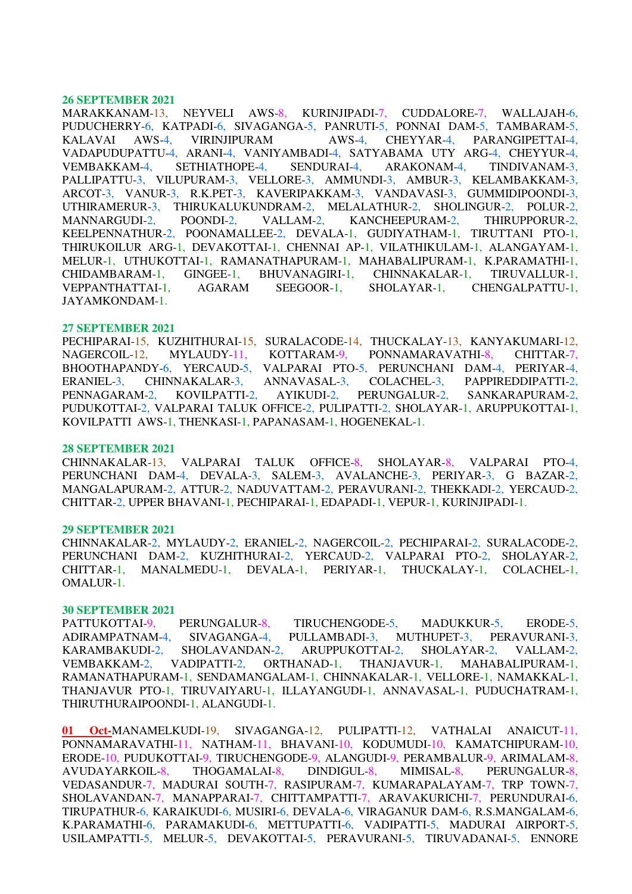MARAKKANAM-13, NEYVELI AWS-8, KURINJIPADI-7, CUDDALORE-7, WALLAJAH-6, PUDUCHERRY-6, KATPADI-6, SIVAGANGA-5, PANRUTI-5, PONNAI DAM-5, TAMBARAM-5, KALAVAI AWS-4, VIRINJIPURAM AWS-4, CHEYYAR-4, PARANGIPETTAI-4, VADAPUDUPATTU-4, ARANI-4, VANIYAMBADI-4, SATYABAMA UTY ARG-4, CHEYYUR-4, VEMBAKKAM-4, SETHIATHOPE-4, SENDURAI-4, ARAKONAM-4, TINDIVANAM-3, PALLIPATTU-3, VILUPURAM-3, VELLORE-3, AMMUNDI-3, AMBUR-3, KELAMBAKKAM-3, ARCOT-3, VANUR-3, R.K.PET-3, KAVERIPAKKAM-3, VANDAVASI-3, GUMMIDIPOONDI-3, UTHIRAMERUR-3, THIRUKALUKUNDRAM-2, MELALATHUR-2, SHOLINGUR-2, POLUR-2, MANNARGUDI-2, POONDI-2, VALLAM-2, KANCHEEPURAM-2, THIRUPPORUR-2, KEELPENNATHUR-2, POONAMALLEE-2, DEVALA-1, GUDIYATHAM-1, TIRUTTANI PTO-1, THIRUKOILUR ARG-1, DEVAKOTTAI-1, CHENNAI AP-1, VILATHIKULAM-1, ALANGAYAM-1, MELUR-1, UTHUKOTTAI-1, RAMANATHAPURAM-1, MAHABALIPURAM-1, K.PARAMATHI-1, CHIDAMBARAM-1, GINGEE-1, BHUVANAGIRI-1, CHINNAKALAR-1, TIRUVALLUR-1, VEPPANTHATTAI-1, AGARAM SEEGOOR-1, SHOLAYAR-1, CHENGALPATTU-1, JAYAMKONDAM-1.

### **27 SEPTEMBER 2021**

PECHIPARAI-15, KUZHITHURAI-15, SURALACODE-14, THUCKALAY-13, KANYAKUMARI-12, NAGERCOIL-12, MYLAUDY-11, KOTTARAM-9, PONNAMARAVATHI-8, CHITTAR-7, BHOOTHAPANDY-6, YERCAUD-5, VALPARAI PTO-5, PERUNCHANI DAM-4, PERIYAR-4, ERANIEL-3, CHINNAKALAR-3, ANNAVASAL-3, COLACHEL-3, PAPPIREDDIPATTI-2, PENNAGARAM-2, KOVILPATTI-2, AYIKUDI-2, PERUNGALUR-2, SANKARAPURAM-2, PUDUKOTTAI-2, VALPARAI TALUK OFFICE-2, PULIPATTI-2, SHOLAYAR-1, ARUPPUKOTTAI-1, KOVILPATTI AWS-1, THENKASI-1, PAPANASAM-1, HOGENEKAL-1.

### **28 SEPTEMBER 2021**

CHINNAKALAR-13, VALPARAI TALUK OFFICE-8, SHOLAYAR-8, VALPARAI PTO-4, PERUNCHANI DAM-4, DEVALA-3, SALEM-3, AVALANCHE-3, PERIYAR-3, G BAZAR-2, MANGALAPURAM-2, ATTUR-2, NADUVATTAM-2, PERAVURANI-2, THEKKADI-2, YERCAUD-2, CHITTAR-2, UPPER BHAVANI-1, PECHIPARAI-1, EDAPADI-1, VEPUR-1, KURINJIPADI-1.

### **29 SEPTEMBER 2021**

CHINNAKALAR-2, MYLAUDY-2, ERANIEL-2, NAGERCOIL-2, PECHIPARAI-2, SURALACODE-2, PERUNCHANI DAM-2, KUZHITHURAI-2, YERCAUD-2, VALPARAI PTO-2, SHOLAYAR-2, CHITTAR-1, MANALMEDU-1, DEVALA-1, PERIYAR-1, THUCKALAY-1, COLACHEL-1, OMALUR-1.

### **30 SEPTEMBER 2021**

PATTUKOTTAI-9, PERUNGALUR-8, TIRUCHENGODE-5, MADUKKUR-5, ERODE-5, ADIRAMPATNAM-4, SIVAGANGA-4, PULLAMBADI-3, MUTHUPET-3, PERAVURANI-3, KARAMBAKUDI-2, SHOLAVANDAN-2, ARUPPUKOTTAI-2, SHOLAYAR-2, VALLAM-2, VEMBAKKAM-2, VADIPATTI-2, ORTHANAD-1, THANJAVUR-1, MAHABALIPURAM-1, RAMANATHAPURAM-1, SENDAMANGALAM-1, CHINNAKALAR-1, VELLORE-1, NAMAKKAL-1, THANJAVUR PTO-1, TIRUVAIYARU-1, ILLAYANGUDI-1, ANNAVASAL-1, PUDUCHATRAM-1, THIRUTHURAIPOONDI-1, ALANGUDI-1.

**01 Oct-**MANAMELKUDI-19, SIVAGANGA-12, PULIPATTI-12, VATHALAI ANAICUT-11, PONNAMARAVATHI-11, NATHAM-11, BHAVANI-10, KODUMUDI-10, KAMATCHIPURAM-10, ERODE-10, PUDUKOTTAI-9, TIRUCHENGODE-9, ALANGUDI-9, PERAMBALUR-9, ARIMALAM-8, AVUDAYARKOIL-8, THOGAMALAI-8, DINDIGUL-8, MIMISAL-8, PERUNGALUR-8, VEDASANDUR-7, MADURAI SOUTH-7, RASIPURAM-7, KUMARAPALAYAM-7, TRP TOWN-7, SHOLAVANDAN-7, MANAPPARAI-7, CHITTAMPATTI-7, ARAVAKURICHI-7, PERUNDURAI-6, TIRUPATHUR-6, KARAIKUDI-6, MUSIRI-6, DEVALA-6, VIRAGANUR DAM-6, R.S.MANGALAM-6, K.PARAMATHI-6, PARAMAKUDI-6, METTUPATTI-6, VADIPATTI-5, MADURAI AIRPORT-5, USILAMPATTI-5, MELUR-5, DEVAKOTTAI-5, PERAVURANI-5, TIRUVADANAI-5, ENNORE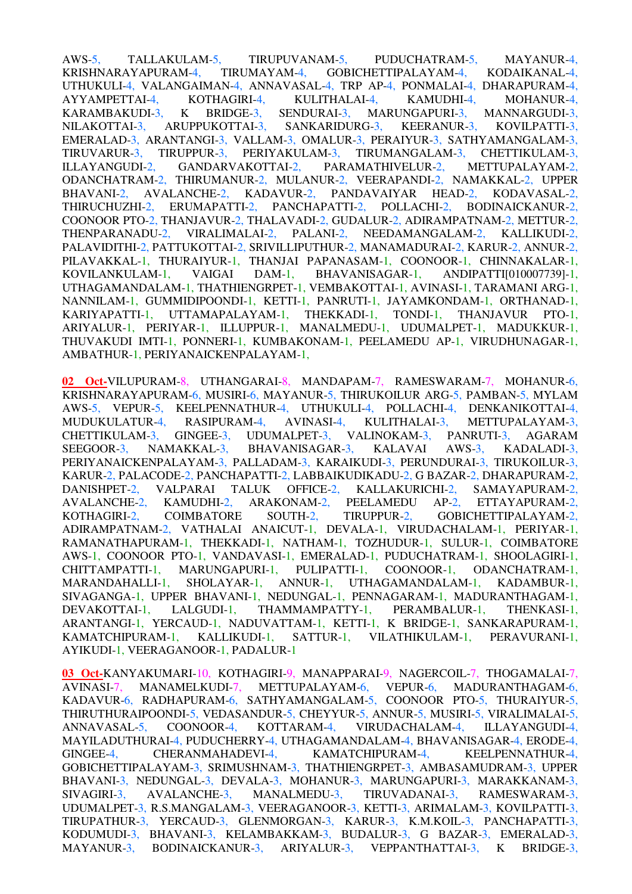AWS-5, TALLAKULAM-5, TIRUPUVANAM-5, PUDUCHATRAM-5, MAYANUR-4, KRISHNARAYAPURAM-4, TIRUMAYAM-4, GOBICHETTIPALAYAM-4, KODAIKANAL-4, UTHUKULI-4, VALANGAIMAN-4, ANNAVASAL-4, TRP AP-4, PONMALAI-4, DHARAPURAM-4, AYYAMPETTAI-4, KOTHAGIRI-4, KULITHALAI-4, KAMUDHI-4, MOHANUR-4, KARAMBAKUDI-3, K BRIDGE-3, SENDURAI-3, MARUNGAPURI-3, MANNARGUDI-3, NILAKOTTAI-3, ARUPPUKOTTAI-3, SANKARIDURG-3, KEERANUR-3, KOVILPATTI-3, EMERALAD-3, ARANTANGI-3, VALLAM-3, OMALUR-3, PERAIYUR-3, SATHYAMANGALAM-3, TIRUVARUR-3, TIRUPPUR-3, PERIYAKULAM-3, TIRUMANGALAM-3, CHETTIKULAM-3, ILLAYANGUDI-2, GANDARVAKOTTAI-2, PARAMATHIVELUR-2, METTUPALAYAM-2, ODANCHATRAM-2, THIRUMANUR-2, MULANUR-2, VEERAPANDI-2, NAMAKKAL-2, UPPER BHAVANI-2, AVALANCHE-2, KADAVUR-2, PANDAVAIYAR HEAD-2, KODAVASAL-2, THIRUCHUZHI-2, ERUMAPATTI-2, PANCHAPATTI-2, POLLACHI-2, BODINAICKANUR-2, COONOOR PTO-2, THANJAVUR-2, THALAVADI-2, GUDALUR-2, ADIRAMPATNAM-2, METTUR-2, THENPARANADU-2, VIRALIMALAI-2, PALANI-2, NEEDAMANGALAM-2, KALLIKUDI-2, PALAVIDITHI-2, PATTUKOTTAI-2, SRIVILLIPUTHUR-2, MANAMADURAI-2, KARUR-2, ANNUR-2, PILAVAKKAL-1, THURAIYUR-1, THANJAI PAPANASAM-1, COONOOR-1, CHINNAKALAR-1, KOVILANKULAM-1, VAIGAI DAM-1, BHAVANISAGAR-1, ANDIPATTI[010007739]-1, UTHAGAMANDALAM-1, THATHIENGRPET-1, VEMBAKOTTAI-1, AVINASI-1, TARAMANI ARG-1, NANNILAM-1, GUMMIDIPOONDI-1, KETTI-1, PANRUTI-1, JAYAMKONDAM-1, ORTHANAD-1, KARIYAPATTI-1, UTTAMAPALAYAM-1, THEKKADI-1, TONDI-1, THANJAVUR PTO-1, ARIYALUR-1, PERIYAR-1, ILLUPPUR-1, MANALMEDU-1, UDUMALPET-1, MADUKKUR-1, THUVAKUDI IMTI-1, PONNERI-1, KUMBAKONAM-1, PEELAMEDU AP-1, VIRUDHUNAGAR-1, AMBATHUR-1, PERIYANAICKENPALAYAM-1,

**02 Oct-**VILUPURAM-8, UTHANGARAI-8, MANDAPAM-7, RAMESWARAM-7, MOHANUR-6, KRISHNARAYAPURAM-6, MUSIRI-6, MAYANUR-5, THIRUKOILUR ARG-5, PAMBAN-5, MYLAM AWS-5, VEPUR-5, KEELPENNATHUR-4, UTHUKULI-4, POLLACHI-4, DENKANIKOTTAI-4, MUDUKULATUR-4, RASIPURAM-4, AVINASI-4, KULITHALAI-3, METTUPALAYAM-3, CHETTIKULAM-3, GINGEE-3, UDUMALPET-3, VALINOKAM-3, PANRUTI-3, AGARAM SEEGOOR-3, NAMAKKAL-3, BHAVANISAGAR-3, KALAVAI AWS-3, KADALADI-3, PERIYANAICKENPALAYAM-3, PALLADAM-3, KARAIKUDI-3, PERUNDURAI-3, TIRUKOILUR-3, KARUR-2, PALACODE-2, PANCHAPATTI-2, LABBAIKUDIKADU-2, G BAZAR-2, DHARAPURAM-2, DANISHPET-2, VALPARAI TALUK OFFICE-2, KALLAKURICHI-2, SAMAYAPURAM-2, AVALANCHE-2, KAMUDHI-2, ARAKONAM-2, PEELAMEDU AP-2, ETTAYAPURAM-2, KOTHAGIRI-2, COIMBATORE SOUTH-2, TIRUPPUR-2, GOBICHETTIPALAYAM-2, ADIRAMPATNAM-2, VATHALAI ANAICUT-1, DEVALA-1, VIRUDACHALAM-1, PERIYAR-1, RAMANATHAPURAM-1, THEKKADI-1, NATHAM-1, TOZHUDUR-1, SULUR-1, COIMBATORE AWS-1, COONOOR PTO-1, VANDAVASI-1, EMERALAD-1, PUDUCHATRAM-1, SHOOLAGIRI-1, CHITTAMPATTI-1, MARUNGAPURI-1, PULIPATTI-1, COONOOR-1, ODANCHATRAM-1, MARANDAHALLI-1, SHOLAYAR-1, ANNUR-1, UTHAGAMANDALAM-1, KADAMBUR-1, SIVAGANGA-1, UPPER BHAVANI-1, NEDUNGAL-1, PENNAGARAM-1, MADURANTHAGAM-1, DEVAKOTTAI-1, LALGUDI-1, THAMMAMPATTY-1, PERAMBALUR-1, THENKASI-1, ARANTANGI-1, YERCAUD-1, NADUVATTAM-1, KETTI-1, K BRIDGE-1, SANKARAPURAM-1, KAMATCHIPURAM-1, KALLIKUDI-1, SATTUR-1, VILATHIKULAM-1, PERAVURANI-1, AYIKUDI-1, VEERAGANOOR-1, PADALUR-1

**03 Oct-**KANYAKUMARI-10, KOTHAGIRI-9, MANAPPARAI-9, NAGERCOIL-7, THOGAMALAI-7, AVINASI-7, MANAMELKUDI-7, METTUPALAYAM-6, VEPUR-6, MADURANTHAGAM-6, KADAVUR-6, RADHAPURAM-6, SATHYAMANGALAM-5, COONOOR PTO-5, THURAIYUR-5, THIRUTHURAIPOONDI-5, VEDASANDUR-5, CHEYYUR-5, ANNUR-5, MUSIRI-5, VIRALIMALAI-5, ANNAVASAL-5, COONOOR-4, KOTTARAM-4, VIRUDACHALAM-4, ILLAYANGUDI-4, MAYILADUTHURAI-4, PUDUCHERRY-4, UTHAGAMANDALAM-4, BHAVANISAGAR-4, ERODE-4, GINGEE-4, CHERANMAHADEVI-4, KAMATCHIPURAM-4, KEELPENNATHUR-4, GOBICHETTIPALAYAM-3, SRIMUSHNAM-3, THATHIENGRPET-3, AMBASAMUDRAM-3, UPPER BHAVANI-3, NEDUNGAL-3, DEVALA-3, MOHANUR-3, MARUNGAPURI-3, MARAKKANAM-3, SIVAGIRI-3, AVALANCHE-3, MANALMEDU-3, TIRUVADANAI-3, RAMESWARAM-3, UDUMALPET-3, R.S.MANGALAM-3, VEERAGANOOR-3, KETTI-3, ARIMALAM-3, KOVILPATTI-3, TIRUPATHUR-3, YERCAUD-3, GLENMORGAN-3, KARUR-3, K.M.KOIL-3, PANCHAPATTI-3, KODUMUDI-3, BHAVANI-3, KELAMBAKKAM-3, BUDALUR-3, G BAZAR-3, EMERALAD-3, MAYANUR-3, BODINAICKANUR-3, ARIYALUR-3, VEPPANTHATTAI-3, K BRIDGE-3,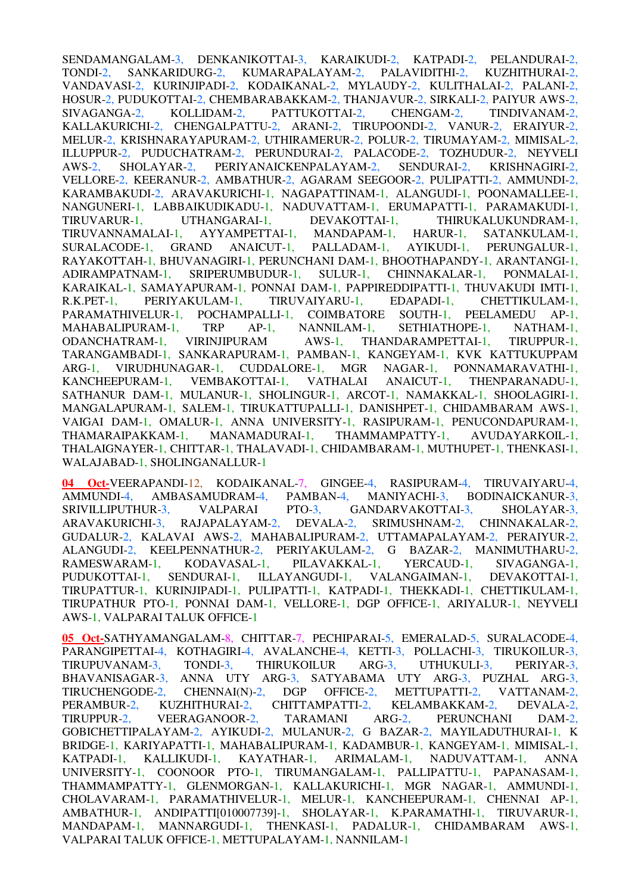SENDAMANGALAM-3, DENKANIKOTTAI-3, KARAIKUDI-2, KATPADI-2, PELANDURAI-2, TONDI-2, SANKARIDURG-2, KUMARAPALAYAM-2, PALAVIDITHI-2, KUZHITHURAI-2, VANDAVASI-2, KURINJIPADI-2, KODAIKANAL-2, MYLAUDY-2, KULITHALAI-2, PALANI-2, HOSUR-2, PUDUKOTTAI-2, CHEMBARABAKKAM-2, THANJAVUR-2, SIRKALI-2, PAIYUR AWS-2, SIVAGANGA-2, KOLLIDAM-2, PATTUKOTTAI-2, CHENGAM-2, TINDIVANAM-2, KALLAKURICHI-2, CHENGALPATTU-2, ARANI-2, TIRUPOONDI-2, VANUR-2, ERAIYUR-2, MELUR-2, KRISHNARAYAPURAM-2, UTHIRAMERUR-2, POLUR-2, TIRUMAYAM-2, MIMISAL-2, ILLUPPUR-2, PUDUCHATRAM-2, PERUNDURAI-2, PALACODE-2, TOZHUDUR-2, NEYVELI AWS-2, SHOLAYAR-2, PERIYANAICKENPALAYAM-2, SENDURAI-2, KRISHNAGIRI-2, VELLORE-2, KEERANUR-2, AMBATHUR-2, AGARAM SEEGOOR-2, PULIPATTI-2, AMMUNDI-2, KARAMBAKUDI-2, ARAVAKURICHI-1, NAGAPATTINAM-1, ALANGUDI-1, POONAMALLEE-1, NANGUNERI-1, LABBAIKUDIKADU-1, NADUVATTAM-1, ERUMAPATTI-1, PARAMAKUDI-1, TIRUVARUR-1, UTHANGARAI-1, DEVAKOTTAI-1, THIRUKALUKUNDRAM-1, TIRUVANNAMALAI-1, AYYAMPETTAI-1, MANDAPAM-1, HARUR-1, SATANKULAM-1, SURALACODE-1, GRAND ANAICUT-1, PALLADAM-1, AYIKUDI-1, PERUNGALUR-1, RAYAKOTTAH-1, BHUVANAGIRI-1, PERUNCHANI DAM-1, BHOOTHAPANDY-1, ARANTANGI-1, ADIRAMPATNAM-1, SRIPERUMBUDUR-1, SULUR-1, CHINNAKALAR-1, PONMALAI-1, KARAIKAL-1, SAMAYAPURAM-1, PONNAI DAM-1, PAPPIREDDIPATTI-1, THUVAKUDI IMTI-1, R.K.PET-1, PERIYAKULAM-1, TIRUVAIYARU-1, EDAPADI-1, CHETTIKULAM-1, PARAMATHIVELUR-1, POCHAMPALLI-1, COIMBATORE SOUTH-1, PEELAMEDU AP-1, MAHABALIPURAM-1, TRP AP-1, NANNILAM-1, SETHIATHOPE-1, NATHAM-1, ODANCHATRAM-1, VIRINJIPURAM AWS-1, THANDARAMPETTAI-1, TIRUPPUR-1, TARANGAMBADI-1, SANKARAPURAM-1, PAMBAN-1, KANGEYAM-1, KVK KATTUKUPPAM ARG-1, VIRUDHUNAGAR-1, CUDDALORE-1, MGR NAGAR-1, PONNAMARAVATHI-1, KANCHEEPURAM-1, VEMBAKOTTAI-1, VATHALAI ANAICUT-1, THENPARANADU-1, KANCHEEPURAM-1, VEMBAKOTTAI-1, VATHALAI ANAICUT-1, THENPARANADU-1, SATHANUR DAM-1, MULANUR-1, SHOLINGUR-1, ARCOT-1, NAMAKKAL-1, SHOOLAGIRI-1, MANGALAPURAM-1, SALEM-1, TIRUKATTUPALLI-1, DANISHPET-1, CHIDAMBARAM AWS-1, VAIGAI DAM-1, OMALUR-1, ANNA UNIVERSITY-1, RASIPURAM-1, PENUCONDAPURAM-1, THAMARAIPAKKAM-1, MANAMADURAI-1, THAMMAMPATTY-1, AVUDAYARKOIL-1, THALAIGNAYER-1, CHITTAR-1, THALAVADI-1, CHIDAMBARAM-1, MUTHUPET-1, THENKASI-1, WALAJABAD-1, SHOLINGANALLUR-1

**04 Oct-**VEERAPANDI-12, KODAIKANAL-7, GINGEE-4, RASIPURAM-4, TIRUVAIYARU-4, AMMUNDI-4, AMBASAMUDRAM-4, PAMBAN-4, MANIYACHI-3, BODINAICKANUR-3, AMMUNDI-4, AMBASAMUDRAM-4, PAMBAN-4, MANIYACHI-3, BODINAICKANUR-3, SRIVILLIPUTHUR-3, VALPARAI PTO-3, GANDARVAKOTTAI-3, SHOLAYAR-3, ARAVAKURICHI-3, RAJAPALAYAM-2, DEVALA-2, SRIMUSHNAM-2, CHINNAKALAR-2, GUDALUR-2, KALAVAI AWS-2, MAHABALIPURAM-2, UTTAMAPALAYAM-2, PERAIYUR-2, ALANGUDI-2, KEELPENNATHUR-2, PERIYAKULAM-2, G BAZAR-2, MANIMUTHARU-2, RAMESWARAM-1, KODAVASAL-1, PILAVAKKAL-1, YERCAUD-1, SIVAGANGA-1, PUDUKOTTAI-1, SENDURAI-1, ILLAYANGUDI-1, VALANGAIMAN-1, DEVAKOTTAI-1, TIRUPATTUR-1, KURINJIPADI-1, PULIPATTI-1, KATPADI-1, THEKKADI-1, CHETTIKULAM-1, TIRUPATHUR PTO-1, PONNAI DAM-1, VELLORE-1, DGP OFFICE-1, ARIYALUR-1, NEYVELI AWS-1, VALPARAI TALUK OFFICE-1

**05 Oct-**SATHYAMANGALAM-8, CHITTAR-7, PECHIPARAI-5, EMERALAD-5, SURALACODE-4, PARANGIPETTAI-4, KOTHAGIRI-4, AVALANCHE-4, KETTI-3, POLLACHI-3, TIRUKOILUR-3, TIRUPUVANAM-3, TONDI-3, THIRUKOILUR ARG-3, UTHUKULI-3, PERIYAR-3, BHAVANISAGAR-3, ANNA UTY ARG-3, SATYABAMA UTY ARG-3, PUZHAL ARG-3, TIRUCHENGODE-2, CHENNAI(N)-2, DGP OFFICE-2, METTUPATTI-2, VATTANAM-2, PERAMBUR-2, KUZHITHURAI-2, CHITTAMPATTI-2, KELAMBAKKAM-2, DEVALA-2, TIRUPPUR-2, VEERAGANOOR-2, TARAMANI ARG-2, PERUNCHANI DAM-2, GOBICHETTIPALAYAM-2, AYIKUDI-2, MULANUR-2, G BAZAR-2, MAYILADUTHURAI-1, K BRIDGE-1, KARIYAPATTI-1, MAHABALIPURAM-1, KADAMBUR-1, KANGEYAM-1, MIMISAL-1, KATPADI-1, KALLIKUDI-1, KAYATHAR-1, ARIMALAM-1, NADUVATTAM-1, ANNA UNIVERSITY-1, COONOOR PTO-1, TIRUMANGALAM-1, PALLIPATTU-1, PAPANASAM-1, THAMMAMPATTY-1, GLENMORGAN-1, KALLAKURICHI-1, MGR NAGAR-1, AMMUNDI-1, CHOLAVARAM-1, PARAMATHIVELUR-1, MELUR-1, KANCHEEPURAM-1, CHENNAI AP-1, AMBATHUR-1, ANDIPATTI[010007739]-1, SHOLAYAR-1, K.PARAMATHI-1, TIRUVARUR-1, MANDAPAM-1, MANNARGUDI-1, THENKASI-1, PADALUR-1, CHIDAMBARAM AWS-1, VALPARAI TALUK OFFICE-1, METTUPALAYAM-1, NANNILAM-1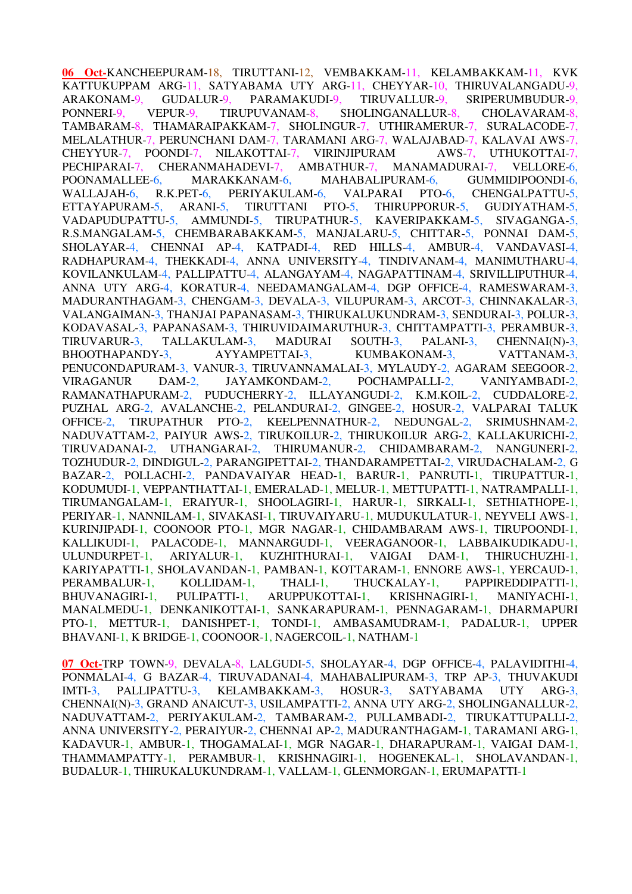**06 Oct-**KANCHEEPURAM-18, TIRUTTANI-12, VEMBAKKAM-11, KELAMBAKKAM-11, KVK KATTUKUPPAM ARG-11, SATYABAMA UTY ARG-11, CHEYYAR-10, THIRUVALANGADU-9, ARAKONAM-9, GUDALUR-9, PARAMAKUDI-9, TIRUVALLUR-9, SRIPERUMBUDUR-9, PONNERI-9, VEPUR-9, TIRUPUVANAM-8, SHOLINGANALLUR-8, CHOLAVARAM-8, TAMBARAM-8, THAMARAIPAKKAM-7, SHOLINGUR-7, UTHIRAMERUR-7, SURALACODE-7, MELALATHUR-7, PERUNCHANI DAM-7, TARAMANI ARG-7, WALAJABAD-7, KALAVAI AWS-7, CHEYYUR-7. POONDI-7. NILAKOTTAI-7, VIRINJIPURAM AWS-7, UTHUKOTTAI-7, CHEYYUR-7, POONDI-7, NILAKOTTAI-7, VIRINJIPURAM PECHIPARAI-7, CHERANMAHADEVI-7, AMBATHUR-7, MANAMADURAI-7, VELLORE-6, POONAMALLEE-6, MARAKKANAM-6, MAHABALIPURAM-6, GUMMIDIPOONDI-6, WALLAJAH-6, R.K.PET-6, PERIYAKULAM-6, VALPARAI PTO-6, CHENGALPATTU-5, ETTAYAPURAM-5, ARANI-5, TIRUTTANI PTO-5, THIRUPPORUR-5, GUDIYATHAM-5, VADAPUDUPATTU-5, AMMUNDI-5, TIRUPATHUR-5, KAVERIPAKKAM-5, SIVAGANGA-5, R.S.MANGALAM-5, CHEMBARABAKKAM-5, MANJALARU-5, CHITTAR-5, PONNAI DAM-5, SHOLAYAR-4, CHENNAI AP-4, KATPADI-4, RED HILLS-4, AMBUR-4, VANDAVASI-4, RADHAPURAM-4, THEKKADI-4, ANNA UNIVERSITY-4, TINDIVANAM-4, MANIMUTHARU-4, KOVILANKULAM-4, PALLIPATTU-4, ALANGAYAM-4, NAGAPATTINAM-4, SRIVILLIPUTHUR-4, ANNA UTY ARG-4, KORATUR-4, NEEDAMANGALAM-4, DGP OFFICE-4, RAMESWARAM-3, MADURANTHAGAM-3, CHENGAM-3, DEVALA-3, VILUPURAM-3, ARCOT-3, CHINNAKALAR-3, VALANGAIMAN-3, THANJAI PAPANASAM-3, THIRUKALUKUNDRAM-3, SENDURAI-3, POLUR-3, KODAVASAL-3, PAPANASAM-3, THIRUVIDAIMARUTHUR-3, CHITTAMPATTI-3, PERAMBUR-3, TIRUVARUR-3, TALLAKULAM-3, MADURAI SOUTH-3, PALANI-3, CHENNAI(N)-3, BHOOTHAPANDY-3, AYYAMPETTAI-3, KUMBAKONAM-3, VATTANAM-3, PENUCONDAPURAM-3, VANUR-3, TIRUVANNAMALAI-3, MYLAUDY-2, AGARAM SEEGOOR-2, VIRAGANUR DAM-2, JAYAMKONDAM-2, POCHAMPALLI-2, VANIYAMBADI-2, RAMANATHAPURAM-2, PUDUCHERRY-2, ILLAYANGUDI-2, K.M.KOIL-2, CUDDALORE-2, PUZHAL ARG-2, AVALANCHE-2, PELANDURAI-2, GINGEE-2, HOSUR-2, VALPARAI TALUK OFFICE-2, TIRUPATHUR PTO-2, KEELPENNATHUR-2, NEDUNGAL-2, SRIMUSHNAM-2, NADUVATTAM-2, PAIYUR AWS-2, TIRUKOILUR-2, THIRUKOILUR ARG-2, KALLAKURICHI-2, TIRUVADANAI-2, UTHANGARAI-2, THIRUMANUR-2, CHIDAMBARAM-2, NANGUNERI-2, TOZHUDUR-2, DINDIGUL-2, PARANGIPETTAI-2, THANDARAMPETTAI-2, VIRUDACHALAM-2, G BAZAR-2, POLLACHI-2, PANDAVAIYAR HEAD-1, BARUR-1, PANRUTI-1, TIRUPATTUR-1, KODUMUDI-1, VEPPANTHATTAI-1, EMERALAD-1, MELUR-1, METTUPATTI-1, NATRAMPALLI-1, TIRUMANGALAM-1, ERAIYUR-1, SHOOLAGIRI-1, HARUR-1, SIRKALI-1, SETHIATHOPE-1, PERIYAR-1, NANNILAM-1, SIVAKASI-1, TIRUVAIYARU-1, MUDUKULATUR-1, NEYVELI AWS-1, KURINJIPADI-1, COONOOR PTO-1, MGR NAGAR-1, CHIDAMBARAM AWS-1, TIRUPOONDI-1, KALLIKUDI-1, PALACODE-1, MANNARGUDI-1, VEERAGANOOR-1, LABBAIKUDIKADU-1, ULUNDURPET-1, ARIYALUR-1, KUZHITHURAI-1, VAIGAI DAM-1, THIRUCHUZHI-1, KARIYAPATTI-1, SHOLAVANDAN-1, PAMBAN-1, KOTTARAM-1, ENNORE AWS-1, YERCAUD-1, PERAMBALUR-1, KOLLIDAM-1, THALI-1, THUCKALAY-1, PAPPIREDDIPATTI-1, BHUVANAGIRI-1, PULIPATTI-1, ARUPPUKOTTAI-1, KRISHNAGIRI-1, MANIYACHI-1, MANALMEDU-1, DENKANIKOTTAI-1, SANKARAPURAM-1, PENNAGARAM-1, DHARMAPURI PTO-1, METTUR-1, DANISHPET-1, TONDI-1, AMBASAMUDRAM-1, PADALUR-1, UPPER BHAVANI-1, K BRIDGE-1, COONOOR-1, NAGERCOIL-1, NATHAM-1

**07 Oct-**TRP TOWN-9, DEVALA-8, LALGUDI-5, SHOLAYAR-4, DGP OFFICE-4, PALAVIDITHI-4, PONMALAI-4, G BAZAR-4, TIRUVADANAI-4, MAHABALIPURAM-3, TRP AP-3, THUVAKUDI IMTI-3, PALLIPATTU-3, KELAMBAKKAM-3, HOSUR-3, SATYABAMA UTY ARG-3, CHENNAI(N)-3, GRAND ANAICUT-3, USILAMPATTI-2, ANNA UTY ARG-2, SHOLINGANALLUR-2, NADUVATTAM-2, PERIYAKULAM-2, TAMBARAM-2, PULLAMBADI-2, TIRUKATTUPALLI-2, ANNA UNIVERSITY-2, PERAIYUR-2, CHENNAI AP-2, MADURANTHAGAM-1, TARAMANI ARG-1, KADAVUR-1, AMBUR-1, THOGAMALAI-1, MGR NAGAR-1, DHARAPURAM-1, VAIGAI DAM-1, THAMMAMPATTY-1, PERAMBUR-1, KRISHNAGIRI-1, HOGENEKAL-1, SHOLAVANDAN-1, BUDALUR-1, THIRUKALUKUNDRAM-1, VALLAM-1, GLENMORGAN-1, ERUMAPATTI-1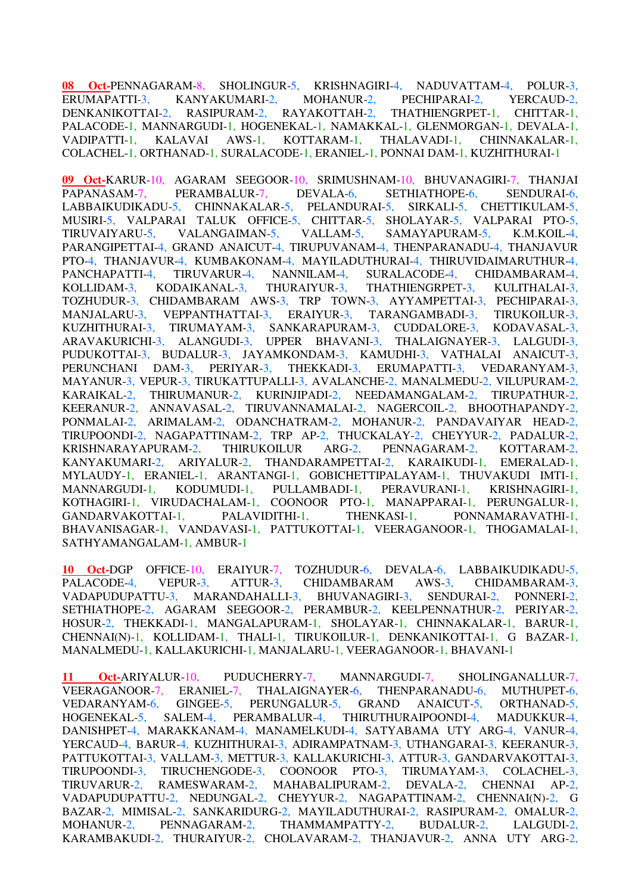**08 Oct-**PENNAGARAM-8, SHOLINGUR-5, KRISHNAGIRI-4, NADUVATTAM-4, POLUR-3, ERUMAPATTI-3, KANYAKUMARI-2, MOHANUR-2, PECHIPARAI-2, YERCAUD-2, DENKANIKOTTAI-2, RASIPURAM-2, RAYAKOTTAH-2, THATHIENGRPET-1, CHITTAR-1, PALACODE-1, MANNARGUDI-1, HOGENEKAL-1, NAMAKKAL-1, GLENMORGAN-1, DEVALA-1, VADIPATTI-1, KALAVAI AWS-1, KOTTARAM-1, THALAVADI-1, CHINNAKALAR-1, COLACHEL-1, ORTHANAD-1, SURALACODE-1, ERANIEL-1, PONNAI DAM-1, KUZHITHURAI-1

**09 Oct-**KARUR-10, AGARAM SEEGOOR-10, SRIMUSHNAM-10, BHUVANAGIRI-7, THANJAI PAPANASAM-7, PERAMBALUR-7, DEVALA-6, SETHIATHOPE-6, SENDURAI-6, LABBAIKUDIKADU-5, CHINNAKALAR-5, PELANDURAI-5, SIRKALI-5, CHETTIKULAM-5, MUSIRI-5, VALPARAI TALUK OFFICE-5, CHITTAR-5, SHOLAYAR-5, VALPARAI PTO-5, TIRUVAIYARU-5, VALANGAIMAN-5, VALLAM-5, SAMAYAPURAM-5, K.M.KOIL-4, PARANGIPETTAI-4, GRAND ANAICUT-4, TIRUPUVANAM-4, THENPARANADU-4, THANJAVUR PTO-4, THANJAVUR-4, KUMBAKONAM-4, MAYILADUTHURAI-4, THIRUVIDAIMARUTHUR-4, PANCHAPATTI-4, TIRUVARUR-4, NANNILAM-4, SURALACODE-4, CHIDAMBARAM-4, KOLLIDAM-3, KODAIKANAL-3, THURAIYUR-3, THATHIENGRPET-3, KULITHALAI-3, TOZHUDUR-3, CHIDAMBARAM AWS-3, TRP TOWN-3, AYYAMPETTAI-3, PECHIPARAI-3, MANJALARU-3, VEPPANTHATTAI-3, ERAIYUR-3, TARANGAMBADI-3, TIRUKOILUR-3, KUZHITHURAI-3, TIRUMAYAM-3, SANKARAPURAM-3, CUDDALORE-3, KODAVASAL-3, ARAVAKURICHI-3, ALANGUDI-3, UPPER BHAVANI-3, THALAIGNAYER-3, LALGUDI-3, PUDUKOTTAI-3, BUDALUR-3, JAYAMKONDAM-3, KAMUDHI-3, VATHALAI ANAICUT-3, PERUNCHANI DAM-3, PERIYAR-3, THEKKADI-3, ERUMAPATTI-3, VEDARANYAM-3, MAYANUR-3, VEPUR-3, TIRUKATTUPALLI-3, AVALANCHE-2, MANALMEDU-2, VILUPURAM-2, KARAIKAL-2, THIRUMANUR-2, KURINJIPADI-2, NEEDAMANGALAM-2, TIRUPATHUR-2, KEERANUR-2, ANNAVASAL-2, TIRUVANNAMALAI-2, NAGERCOIL-2, BHOOTHAPANDY-2, PONMALAI-2, ARIMALAM-2, ODANCHATRAM-2, MOHANUR-2, PANDAVAIYAR HEAD-2, TIRUPOONDI-2, NAGAPATTINAM-2, TRP AP-2, THUCKALAY-2, CHEYYUR-2, PADALUR-2, KRISHNARAYAPURAM-2, THIRUKOILUR ARG-2, PENNAGARAM-2, KOTTARAM-2, KANYAKUMARI-2, ARIYALUR-2, THANDARAMPETTAI-2, KARAIKUDI-1, EMERALAD-1, MYLAUDY-1, ERANIEL-1, ARANTANGI-1, GOBICHETTIPALAYAM-1, THUVAKUDI IMTI-1, MANNARGUDI-1, KODUMUDI-1, PULLAMBADI-1, PERAVURANI-1, KRISHNAGIRI-1, KOTHAGIRI-1, VIRUDACHALAM-1, COONOOR PTO-1, MANAPPARAI-1, PERUNGALUR-1, GANDARVAKOTTAI-1, PALAVIDITHI-1, THENKASI-1, PONNAMARAVATHI-1, BHAVANISAGAR-1, VANDAVASI-1, PATTUKOTTAI-1, VEERAGANOOR-1, THOGAMALAI-1, SATHYAMANGALAM-1, AMBUR-1

**10 Oct-**DGP OFFICE-10, ERAIYUR-7, TOZHUDUR-6, DEVALA-6, LABBAIKUDIKADU-5, PALACODE-4, VEPUR-3, ATTUR-3, CHIDAMBARAM AWS-3, CHIDAMBARAM-3, VADAPUDUPATTU-3, MARANDAHALLI-3, BHUVANAGIRI-3, SENDURAI-2, PONNERI-2, SETHIATHOPE-2, AGARAM SEEGOOR-2, PERAMBUR-2, KEELPENNATHUR-2, PERIYAR-2, HOSUR-2, THEKKADI-1, MANGALAPURAM-1, SHOLAYAR-1, CHINNAKALAR-1, BARUR-1, CHENNAI(N)-1, KOLLIDAM-1, THALI-1, TIRUKOILUR-1, DENKANIKOTTAI-1, G BAZAR-1, MANALMEDU-1, KALLAKURICHI-1, MANJALARU-1, VEERAGANOOR-1, BHAVANI-1

**11 Oct-**ARIYALUR-10, PUDUCHERRY-7, MANNARGUDI-7, SHOLINGANALLUR-7, VEERAGANOOR-7, ERANIEL-7, THALAIGNAYER-6, THENPARANADU-6, MUTHUPET-6, VEDARANYAM-6, GINGEE-5, PERUNGALUR-5, GRAND ANAICUT-5, ORTHANAD-5, HOGENEKAL-5, SALEM-4, PERAMBALUR-4, THIRUTHURAIPOONDI-4, MADUKKUR-4, DANISHPET-4, MARAKKANAM-4, MANAMELKUDI-4, SATYABAMA UTY ARG-4, VANUR-4, YERCAUD-4, BARUR-4, KUZHITHURAI-3, ADIRAMPATNAM-3, UTHANGARAI-3, KEERANUR-3, PATTUKOTTAI-3, VALLAM-3, METTUR-3, KALLAKURICHI-3, ATTUR-3, GANDARVAKOTTAI-3, TIRUPOONDI-3, TIRUCHENGODE-3, COONOOR PTO-3, TIRUMAYAM-3, COLACHEL-3, TIRUVARUR-2, RAMESWARAM-2, MAHABALIPURAM-2, DEVALA-2, CHENNAI AP-2, VADAPUDUPATTU-2, NEDUNGAL-2, CHEYYUR-2, NAGAPATTINAM-2, CHENNAI(N)-2, G BAZAR-2, MIMISAL-2, SANKARIDURG-2, MAYILADUTHURAI-2, RASIPURAM-2, OMALUR-2, MOHANUR-2, PENNAGARAM-2, THAMMAMPATTY-2, BUDALUR-2, LALGUDI-2, KARAMBAKUDI-2, THURAIYUR-2, CHOLAVARAM-2, THANJAVUR-2, ANNA UTY ARG-2,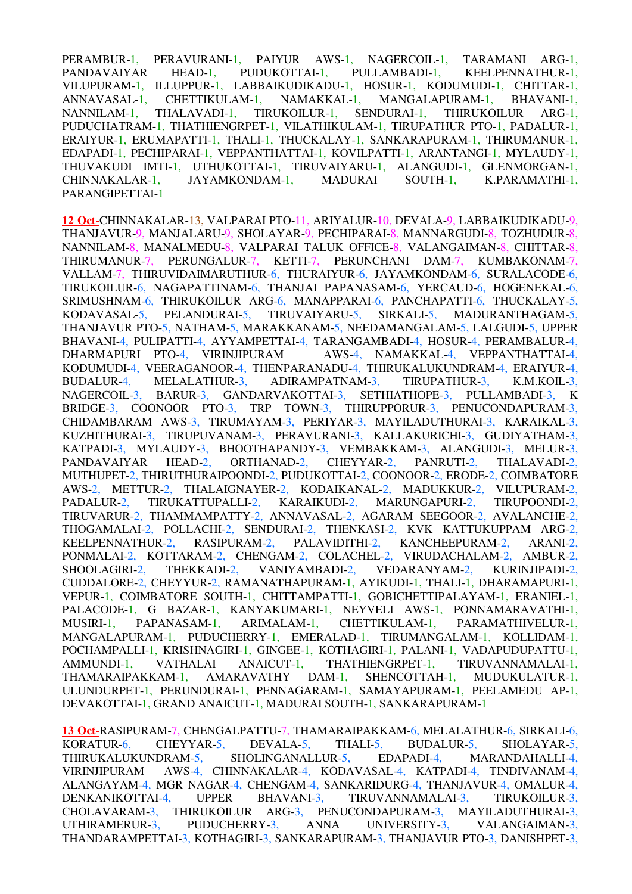PERAMBUR-1, PERAVURANI-1, PAIYUR AWS-1, NAGERCOIL-1, TARAMANI ARG-1, PANDAVAIYAR HEAD-1, PUDUKOTTAI-1, PULLAMBADI-1, KEELPENNATHUR-1, VILUPURAM-1, ILLUPPUR-1, LABBAIKUDIKADU-1, HOSUR-1, KODUMUDI-1, CHITTAR-1, ANNAVASAL-1, CHETTIKULAM-1, NAMAKKAL-1, MANGALAPURAM-1, BHAVANI-1, NANNILAM-1, THALAVADI-1, TIRUKOILUR-1, SENDURAI-1, THIRUKOILUR ARG-1, PUDUCHATRAM-1, THATHIENGRPET-1, VILATHIKULAM-1, TIRUPATHUR PTO-1, PADALUR-1, ERAIYUR-1, ERUMAPATTI-1, THALI-1, THUCKALAY-1, SANKARAPURAM-1, THIRUMANUR-1, EDAPADI-1, PECHIPARAI-1, VEPPANTHATTAI-1, KOVILPATTI-1, ARANTANGI-1, MYLAUDY-1, THUVAKUDI IMTI-1, UTHUKOTTAI-1, TIRUVAIYARU-1, ALANGUDI-1, GLENMORGAN-1, CHINNAKALAR-1, JAYAMKONDAM-1, MADURAI SOUTH-1, K.PARAMATHI-1, PARANGIPETTAI-1

**12 Oct-**CHINNAKALAR-13, VALPARAI PTO-11, ARIYALUR-10, DEVALA-9, LABBAIKUDIKADU-9, THANJAVUR-9, MANJALARU-9, SHOLAYAR-9, PECHIPARAI-8, MANNARGUDI-8, TOZHUDUR-8, NANNILAM-8, MANALMEDU-8, VALPARAI TALUK OFFICE-8, VALANGAIMAN-8, CHITTAR-8, THIRUMANUR-7, PERUNGALUR-7, KETTI-7, PERUNCHANI DAM-7, KUMBAKONAM-7, VALLAM-7, THIRUVIDAIMARUTHUR-6, THURAIYUR-6, JAYAMKONDAM-6, SURALACODE-6, TIRUKOILUR-6, NAGAPATTINAM-6, THANJAI PAPANASAM-6, YERCAUD-6, HOGENEKAL-6, SRIMUSHNAM-6, THIRUKOILUR ARG-6, MANAPPARAI-6, PANCHAPATTI-6, THUCKALAY-5, KODAVASAL-5, PELANDURAI-5, TIRUVAIYARU-5, SIRKALI-5, MADURANTHAGAM-5, THANJAVUR PTO-5, NATHAM-5, MARAKKANAM-5, NEEDAMANGALAM-5, LALGUDI-5, UPPER BHAVANI-4, PULIPATTI-4, AYYAMPETTAI-4, TARANGAMBADI-4, HOSUR-4, PERAMBALUR-4, DHARMAPURI PTO-4, VIRINJIPURAM AWS-4, NAMAKKAL-4, VEPPANTHATTAI-4, KODUMUDI-4, VEERAGANOOR-4, THENPARANADU-4, THIRUKALUKUNDRAM-4, ERAIYUR-4, BUDALUR-4, MELALATHUR-3, ADIRAMPATNAM-3, TIRUPATHUR-3, K.M.KOIL-3, NAGERCOIL-3, BARUR-3, GANDARVAKOTTAI-3, SETHIATHOPE-3, PULLAMBADI-3, K BRIDGE-3, COONOOR PTO-3, TRP TOWN-3, THIRUPPORUR-3, PENUCONDAPURAM-3, CHIDAMBARAM AWS-3, TIRUMAYAM-3, PERIYAR-3, MAYILADUTHURAI-3, KARAIKAL-3, KUZHITHURAI-3, TIRUPUVANAM-3, PERAVURANI-3, KALLAKURICHI-3, GUDIYATHAM-3, KATPADI-3, MYLAUDY-3, BHOOTHAPANDY-3, VEMBAKKAM-3, ALANGUDI-3, MELUR-3, PANDAVAIYAR HEAD-2, ORTHANAD-2, CHEYYAR-2, PANRUTI-2, THALAVADI-2, MUTHUPET-2, THIRUTHURAIPOONDI-2, PUDUKOTTAI-2, COONOOR-2, ERODE-2, COIMBATORE AWS-2, METTUR-2, THALAIGNAYER-2, KODAIKANAL-2, MADUKKUR-2, VILUPURAM-2, PADALUR-2, TIRUKATTUPALLI-2, KARAIKUDI-2, MARUNGAPURI-2, TIRUPOONDI-2, TIRUVARUR-2, THAMMAMPATTY-2, ANNAVASAL-2, AGARAM SEEGOOR-2, AVALANCHE-2, THOGAMALAI-2, POLLACHI-2, SENDURAI-2, THENKASI-2, KVK KATTUKUPPAM ARG-2, KEELPENNATHUR-2, RASIPURAM-2, PALAVIDITHI-2, KANCHEEPURAM-2, ARANI-2, PONMALAI-2, KOTTARAM-2, CHENGAM-2, COLACHEL-2, VIRUDACHALAM-2, AMBUR-2, SHOOLAGIRI-2, THEKKADI-2, VANIYAMBADI-2, VEDARANYAM-2, KURINJIPADI-2, CUDDALORE-2, CHEYYUR-2, RAMANATHAPURAM-1, AYIKUDI-1, THALI-1, DHARAMAPURI-1, VEPUR-1, COIMBATORE SOUTH-1, CHITTAMPATTI-1, GOBICHETTIPALAYAM-1, ERANIEL-1, PALACODE-1, G BAZAR-1, KANYAKUMARI-1, NEYVELI AWS-1, PONNAMARAVATHI-1, MUSIRI-1, PAPANASAM-1, ARIMALAM-1, CHETTIKULAM-1, PARAMATHIVELUR-1, MANGALAPURAM-1, PUDUCHERRY-1, EMERALAD-1, TIRUMANGALAM-1, KOLLIDAM-1, POCHAMPALLI-1, KRISHNAGIRI-1, GINGEE-1, KOTHAGIRI-1, PALANI-1, VADAPUDUPATTU-1, AMMUNDI-1, VATHALAI ANAICUT-1, THATHIENGRPET-1, TIRUVANNAMALAI-1, THAMARAIPAKKAM-1, AMARAVATHY DAM-1, SHENCOTTAH-1, MUDUKULATUR-1, ULUNDURPET-1, PERUNDURAI-1, PENNAGARAM-1, SAMAYAPURAM-1, PEELAMEDU AP-1, DEVAKOTTAI-1, GRAND ANAICUT-1, MADURAI SOUTH-1, SANKARAPURAM-1

**13 Oct-**RASIPURAM-7, CHENGALPATTU-7, THAMARAIPAKKAM-6, MELALATHUR-6, SIRKALI-6, KORATUR-6, CHEYYAR-5, DEVALA-5, THALI-5, BUDALUR-5, SHOLAYAR-5, THIRUKALUKUNDRAM-5, SHOLINGANALLUR-5, EDAPADI-4, MARANDAHALLI-4, VIRINJIPURAM AWS-4, CHINNAKALAR-4, KODAVASAL-4, KATPADI-4, TINDIVANAM-4, ALANGAYAM-4, MGR NAGAR-4, CHENGAM-4, SANKARIDURG-4, THANJAVUR-4, OMALUR-4, DENKANIKOTTAI-4, UPPER BHAVANI-3, TIRUVANNAMALAI-3, TIRUKOILUR-3, DENKANIKOTTAI-4, UPPER BHAVANI-3, TIRUVANNAMALAI-3, TIRUKOILUR-3, CHOLAVARAM-3, THIRUKOILUR ARG-3, PENUCONDAPURAM-3, MAYILADUTHURAI-3, UTHIRAMERUR-3, PUDUCHERRY-3, ANNA UNIVERSITY-3, VALANGAIMAN-3, THANDARAMPETTAI-3, KOTHAGIRI-3, SANKARAPURAM-3, THANJAVUR PTO-3, DANISHPET-3,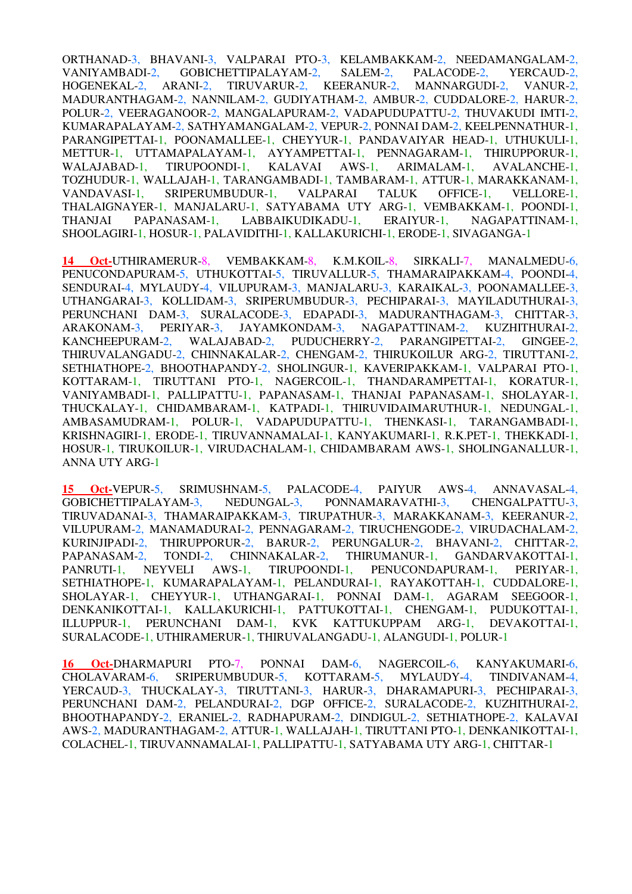ORTHANAD-3, BHAVANI-3, VALPARAI PTO-3, KELAMBAKKAM-2, NEEDAMANGALAM-2, VANIYAMBADI-2, GOBICHETTIPALAYAM-2, SALEM-2, PALACODE-2, YERCAUD-2, HOGENEKAL-2, ARANI-2, TIRUVARUR-2, KEERANUR-2, MANNARGUDI-2, VANUR-2, MADURANTHAGAM-2, NANNILAM-2, GUDIYATHAM-2, AMBUR-2, CUDDALORE-2, HARUR-2, POLUR-2, VEERAGANOOR-2, MANGALAPURAM-2, VADAPUDUPATTU-2, THUVAKUDI IMTI-2, KUMARAPALAYAM-2, SATHYAMANGALAM-2, VEPUR-2, PONNAI DAM-2, KEELPENNATHUR-1, PARANGIPETTAI-1, POONAMALLEE-1, CHEYYUR-1, PANDAVAIYAR HEAD-1, UTHUKULI-1, METTUR-1, UTTAMAPALAYAM-1, AYYAMPETTAI-1, PENNAGARAM-1, THIRUPPORUR-1, WALAJABAD-1, TIRUPOONDI-1, KALAVAI AWS-1, ARIMALAM-1, AVALANCHE-1, TOZHUDUR-1, WALLAJAH-1, TARANGAMBADI-1, TAMBARAM-1, ATTUR-1, MARAKKANAM-1, VANDAVASI-1, SRIPERUMBUDUR-1, VALPARAI TALUK OFFICE-1, VELLORE-1, THALAIGNAYER-1, MANJALARU-1, SATYABAMA UTY ARG-1, VEMBAKKAM-1, POONDI-1, THANJAI PAPANASAM-1, LABBAIKUDIKADU-1, ERAIYUR-1, NAGAPATTINAM-1, SHOOLAGIRI-1, HOSUR-1, PALAVIDITHI-1, KALLAKURICHI-1, ERODE-1, SIVAGANGA-1

**14 Oct-**UTHIRAMERUR-8, VEMBAKKAM-8, K.M.KOIL-8, SIRKALI-7, MANALMEDU-6, PENUCONDAPURAM-5, UTHUKOTTAI-5, TIRUVALLUR-5, THAMARAIPAKKAM-4, POONDI-4, SENDURAI-4, MYLAUDY-4, VILUPURAM-3, MANJALARU-3, KARAIKAL-3, POONAMALLEE-3, UTHANGARAI-3, KOLLIDAM-3, SRIPERUMBUDUR-3, PECHIPARAI-3, MAYILADUTHURAI-3, PERUNCHANI DAM-3, SURALACODE-3, EDAPADI-3, MADURANTHAGAM-3, CHITTAR-3, ARAKONAM-3, PERIYAR-3, JAYAMKONDAM-3, NAGAPATTINAM-2, KUZHITHURAI-2, KANCHEEPURAM-2, WALAJABAD-2, PUDUCHERRY-2, PARANGIPETTAI-2, GINGEE-2, THIRUVALANGADU-2, CHINNAKALAR-2, CHENGAM-2, THIRUKOILUR ARG-2, TIRUTTANI-2, SETHIATHOPE-2, BHOOTHAPANDY-2, SHOLINGUR-1, KAVERIPAKKAM-1, VALPARAI PTO-1, KOTTARAM-1, TIRUTTANI PTO-1, NAGERCOIL-1, THANDARAMPETTAI-1, KORATUR-1, VANIYAMBADI-1, PALLIPATTU-1, PAPANASAM-1, THANJAI PAPANASAM-1, SHOLAYAR-1, THUCKALAY-1, CHIDAMBARAM-1, KATPADI-1, THIRUVIDAIMARUTHUR-1, NEDUNGAL-1, AMBASAMUDRAM-1, POLUR-1, VADAPUDUPATTU-1, THENKASI-1, TARANGAMBADI-1, KRISHNAGIRI-1, ERODE-1, TIRUVANNAMALAI-1, KANYAKUMARI-1, R.K.PET-1, THEKKADI-1, HOSUR-1, TIRUKOILUR-1, VIRUDACHALAM-1, CHIDAMBARAM AWS-1, SHOLINGANALLUR-1, ANNA UTY ARG-1

**15 Oct-**VEPUR-5, SRIMUSHNAM-5, PALACODE-4, PAIYUR AWS-4, ANNAVASAL-4, GOBICHETTIPALAYAM-3, NEDUNGAL-3, PONNAMARAVATHI-3, CHENGALPATTU-3, TIRUVADANAI-3, THAMARAIPAKKAM-3, TIRUPATHUR-3, MARAKKANAM-3, KEERANUR-2, VILUPURAM-2, MANAMADURAI-2, PENNAGARAM-2, TIRUCHENGODE-2, VIRUDACHALAM-2, KURINJIPADI-2, THIRUPPORUR-2, BARUR-2, PERUNGALUR-2, BHAVANI-2, CHITTAR-2, PAPANASAM-2, TONDI-2, CHINNAKALAR-2, THIRUMANUR-1, GANDARVAKOTTAI-1, PANRUTI-1, NEYVELI AWS-1, TIRUPOONDI-1, PENUCONDAPURAM-1, PERIYAR-1, SETHIATHOPE-1, KUMARAPALAYAM-1, PELANDURAI-1, RAYAKOTTAH-1, CUDDALORE-1, SHOLAYAR-1, CHEYYUR-1, UTHANGARAI-1, PONNAI DAM-1, AGARAM SEEGOOR-1, DENKANIKOTTAI-1, KALLAKURICHI-1, PATTUKOTTAI-1, CHENGAM-1, PUDUKOTTAI-1, ILLUPPUR-1, PERUNCHANI DAM-1, KVK KATTUKUPPAM ARG-1, DEVAKOTTAI-1, SURALACODE-1, UTHIRAMERUR-1, THIRUVALANGADU-1, ALANGUDI-1, POLUR-1

**16 Oct-**DHARMAPURI PTO-7, PONNAI DAM-6, NAGERCOIL-6, KANYAKUMARI-6, CHOLAVARAM-6, SRIPERUMBUDUR-5, KOTTARAM-5, MYLAUDY-4, TINDIVANAM-4, YERCAUD-3, THUCKALAY-3, TIRUTTANI-3, HARUR-3, DHARAMAPURI-3, PECHIPARAI-3, PERUNCHANI DAM-2, PELANDURAI-2, DGP OFFICE-2, SURALACODE-2, KUZHITHURAI-2, BHOOTHAPANDY-2, ERANIEL-2, RADHAPURAM-2, DINDIGUL-2, SETHIATHOPE-2, KALAVAI AWS-2, MADURANTHAGAM-2, ATTUR-1, WALLAJAH-1, TIRUTTANI PTO-1, DENKANIKOTTAI-1, COLACHEL-1, TIRUVANNAMALAI-1, PALLIPATTU-1, SATYABAMA UTY ARG-1, CHITTAR-1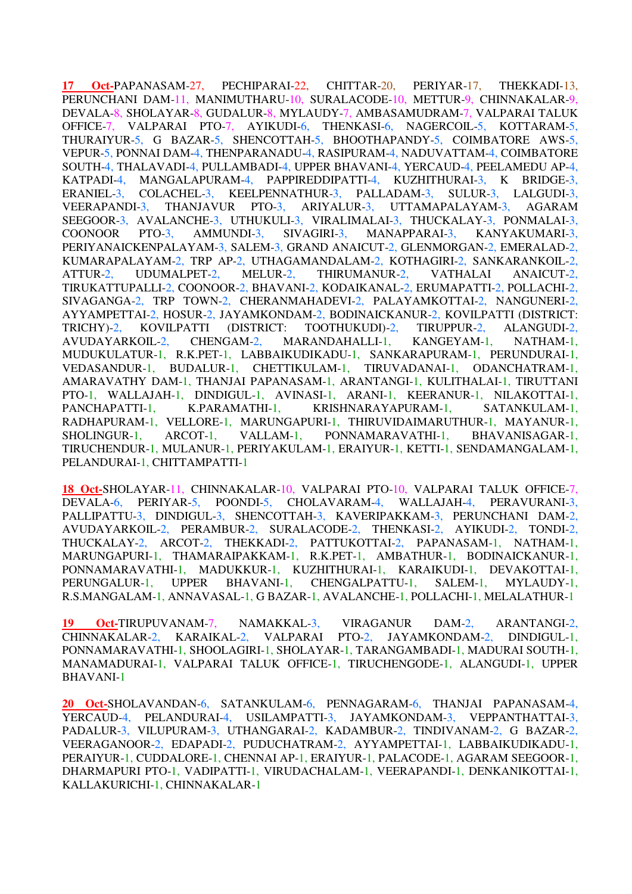**17 Oct-**PAPANASAM-27, PECHIPARAI-22, CHITTAR-20, PERIYAR-17, THEKKADI-13, PERUNCHANI DAM-11, MANIMUTHARU-10, SURALACODE-10, METTUR-9, CHINNAKALAR-9, DEVALA-8, SHOLAYAR-8, GUDALUR-8, MYLAUDY-7, AMBASAMUDRAM-7, VALPARAI TALUK OFFICE-7, VALPARAI PTO-7, AYIKUDI-6, THENKASI-6, NAGERCOIL-5, KOTTARAM-5, THURAIYUR-5, G BAZAR-5, SHENCOTTAH-5, BHOOTHAPANDY-5, COIMBATORE AWS-5, VEPUR-5, PONNAI DAM-4, THENPARANADU-4, RASIPURAM-4, NADUVATTAM-4, COIMBATORE SOUTH-4, THALAVADI-4, PULLAMBADI-4, UPPER BHAVANI-4, YERCAUD-4, PEELAMEDU AP-4, KATPADI-4, MANGALAPURAM-4, PAPPIREDDIPATTI-4, KUZHITHURAI-3, K BRIDGE-3, ERANIEL-3, COLACHEL-3, KEELPENNATHUR-3, PALLADAM-3, SULUR-3, LALGUDI-3, VEERAPANDI-3, THANJAVUR PTO-3, ARIYALUR-3, UTTAMAPALAYAM-3, AGARAM SEEGOOR-3, AVALANCHE-3, UTHUKULI-3, VIRALIMALAI-3, THUCKALAY-3, PONMALAI-3, COONOOR PTO-3, AMMUNDI-3, SIVAGIRI-3, MANAPPARAI-3, KANYAKUMARI-3, PERIYANAICKENPALAYAM-3, SALEM-3, GRAND ANAICUT-2, GLENMORGAN-2, EMERALAD-2, KUMARAPALAYAM-2, TRP AP-2, UTHAGAMANDALAM-2, KOTHAGIRI-2, SANKARANKOIL-2, ATTUR-2, UDUMALPET-2, MELUR-2, THIRUMANUR-2, VATHALAI ANAICUT-2, TIRUKATTUPALLI-2, COONOOR-2, BHAVANI-2, KODAIKANAL-2, ERUMAPATTI-2, POLLACHI-2, SIVAGANGA-2, TRP TOWN-2, CHERANMAHADEVI-2, PALAYAMKOTTAI-2, NANGUNERI-2, AYYAMPETTAI-2, HOSUR-2, JAYAMKONDAM-2, BODINAICKANUR-2, KOVILPATTI (DISTRICT: TRICHY)-2, KOVILPATTI (DISTRICT: TOOTHUKUDI)-2, TIRUPPUR-2, ALANGUDI-2, AVUDAYARKOIL-2, CHENGAM-2, MARANDAHALLI-1, KANGEYAM-1, NATHAM-1, MUDUKULATUR-1, R.K.PET-1, LABBAIKUDIKADU-1, SANKARAPURAM-1, PERUNDURAI-1, VEDASANDUR-1, BUDALUR-1, CHETTIKULAM-1, TIRUVADANAI-1, ODANCHATRAM-1, AMARAVATHY DAM-1, THANJAI PAPANASAM-1, ARANTANGI-1, KULITHALAI-1, TIRUTTANI PTO-1, WALLAJAH-1, DINDIGUL-1, AVINASI-1, ARANI-1, KEERANUR-1, NILAKOTTAI-1, PANCHAPATTI-1, K.PARAMATHI-1, KRISHNARAYAPURAM-1, SATANKULAM-1, RADHAPURAM-1, VELLORE-1, MARUNGAPURI-1, THIRUVIDAIMARUTHUR-1, MAYANUR-1, SHOLINGUR-1, ARCOT-1, VALLAM-1, PONNAMARAVATHI-1, BHAVANISAGAR-1, TIRUCHENDUR-1, MULANUR-1, PERIYAKULAM-1, ERAIYUR-1, KETTI-1, SENDAMANGALAM-1, PELANDURAI-1, CHITTAMPATTI-1

**18 Oct-**SHOLAYAR-11, CHINNAKALAR-10, VALPARAI PTO-10, VALPARAI TALUK OFFICE-7, DEVALA-6, PERIYAR-5, POONDI-5, CHOLAVARAM-4, WALLAJAH-4, PERAVURANI-3, PALLIPATTU-3, DINDIGUL-3, SHENCOTTAH-3, KAVERIPAKKAM-3, PERUNCHANI DAM-2, AVUDAYARKOIL-2, PERAMBUR-2, SURALACODE-2, THENKASI-2, AYIKUDI-2, TONDI-2, THUCKALAY-2, ARCOT-2, THEKKADI-2, PATTUKOTTAI-2, PAPANASAM-1, NATHAM-1, MARUNGAPURI-1, THAMARAIPAKKAM-1, R.K.PET-1, AMBATHUR-1, BODINAICKANUR-1, PONNAMARAVATHI-1, MADUKKUR-1, KUZHITHURAI-1, KARAIKUDI-1, DEVAKOTTAI-1, PERUNGALUR-1, UPPER BHAVANI-1, CHENGALPATTU-1, SALEM-1, MYLAUDY-1, R.S.MANGALAM-1, ANNAVASAL-1, G BAZAR-1, AVALANCHE-1, POLLACHI-1, MELALATHUR-1

**19 Oct-**TIRUPUVANAM-7, NAMAKKAL-3, VIRAGANUR DAM-2, ARANTANGI-2, CHINNAKALAR-2, KARAIKAL-2, VALPARAI PTO-2, JAYAMKONDAM-2, DINDIGUL-1, PONNAMARAVATHI-1, SHOOLAGIRI-1, SHOLAYAR-1, TARANGAMBADI-1, MADURAI SOUTH-1, MANAMADURAI-1, VALPARAI TALUK OFFICE-1, TIRUCHENGODE-1, ALANGUDI-1, UPPER BHAVANI-1

**20 Oct-**SHOLAVANDAN-6, SATANKULAM-6, PENNAGARAM-6, THANJAI PAPANASAM-4, YERCAUD-4, PELANDURAI-4, USILAMPATTI-3, JAYAMKONDAM-3, VEPPANTHATTAI-3, PADALUR-3, VILUPURAM-3, UTHANGARAI-2, KADAMBUR-2, TINDIVANAM-2, G BAZAR-2, VEERAGANOOR-2, EDAPADI-2, PUDUCHATRAM-2, AYYAMPETTAI-1, LABBAIKUDIKADU-1, PERAIYUR-1, CUDDALORE-1, CHENNAI AP-1, ERAIYUR-1, PALACODE-1, AGARAM SEEGOOR-1, DHARMAPURI PTO-1, VADIPATTI-1, VIRUDACHALAM-1, VEERAPANDI-1, DENKANIKOTTAI-1, KALLAKURICHI-1, CHINNAKALAR-1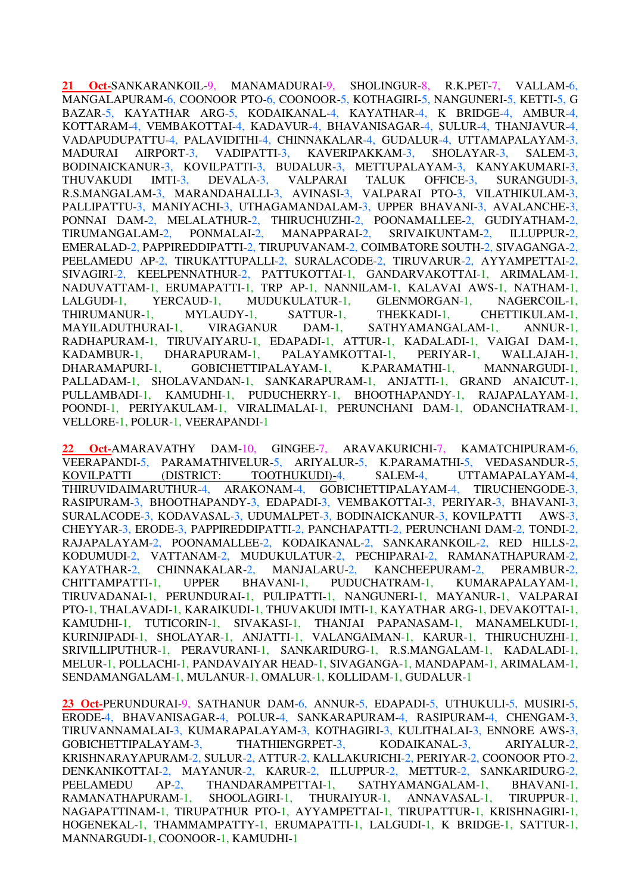**21 Oct-**SANKARANKOIL-9, MANAMADURAI-9, SHOLINGUR-8, R.K.PET-7, VALLAM-6, MANGALAPURAM-6, COONOOR PTO-6, COONOOR-5, KOTHAGIRI-5, NANGUNERI-5, KETTI-5, G BAZAR-5, KAYATHAR ARG-5, KODAIKANAL-4, KAYATHAR-4, K BRIDGE-4, AMBUR-4, KOTTARAM-4, VEMBAKOTTAI-4, KADAVUR-4, BHAVANISAGAR-4, SULUR-4, THANJAVUR-4, VADAPUDUPATTU-4, PALAVIDITHI-4, CHINNAKALAR-4, GUDALUR-4, UTTAMAPALAYAM-3, MADURAI AIRPORT-3, VADIPATTI-3, KAVERIPAKKAM-3, SHOLAYAR-3, SALEM-3, BODINAICKANUR-3, KOVILPATTI-3, BUDALUR-3, METTUPALAYAM-3, KANYAKUMARI-3, THUVAKUDI IMTI-3, DEVALA-3, VALPARAI TALUK OFFICE-3, SURANGUDI-3, R.S.MANGALAM-3, MARANDAHALLI-3, AVINASI-3, VALPARAI PTO-3, VILATHIKULAM-3, PALLIPATTU-3, MANIYACHI-3, UTHAGAMANDALAM-3, UPPER BHAVANI-3, AVALANCHE-3, PONNAI DAM-2, MELALATHUR-2, THIRUCHUZHI-2, POONAMALLEE-2, GUDIYATHAM-2, TIRUMANGALAM-2, PONMALAI-2, MANAPPARAI-2, SRIVAIKUNTAM-2, ILLUPPUR-2, EMERALAD-2, PAPPIREDDIPATTI-2, TIRUPUVANAM-2, COIMBATORE SOUTH-2, SIVAGANGA-2, PEELAMEDU AP-2, TIRUKATTUPALLI-2, SURALACODE-2, TIRUVARUR-2, AYYAMPETTAI-2, SIVAGIRI-2, KEELPENNATHUR-2, PATTUKOTTAI-1, GANDARVAKOTTAI-1, ARIMALAM-1, NADUVATTAM-1, ERUMAPATTI-1, TRP AP-1, NANNILAM-1, KALAVAI AWS-1, NATHAM-1, LALGUDI-1, YERCAUD-1, MUDUKULATUR-1, GLENMORGAN-1, NAGERCOIL-1, THIRUMANUR-1, MYLAUDY-1, SATTUR-1, THEKKADI-1, CHETTIKULAM-1, MAYILADUTHURAI-1, VIRAGANUR DAM-1, SATHYAMANGALAM-1, ANNUR-1, RADHAPURAM-1, TIRUVAIYARU-1, EDAPADI-1, ATTUR-1, KADALADI-1, VAIGAI DAM-1, KADAMBUR-1, DHARAPURAM-1, PALAYAMKOTTAI-1, PERIYAR-1, WALLAJAH-1, DHARAMAPURI-1, GOBICHETTIPALAYAM-1, K.PARAMATHI-1, MANNARGUDI-1, PALLADAM-1, SHOLAVANDAN-1, SANKARAPURAM-1, ANJATTI-1, GRAND ANAICUT-1, PULLAMBADI-1, KAMUDHI-1, PUDUCHERRY-1, BHOOTHAPANDY-1, RAJAPALAYAM-1, POONDI-1, PERIYAKULAM-1, VIRALIMALAI-1, PERUNCHANI DAM-1, ODANCHATRAM-1, VELLORE-1, POLUR-1, VEERAPANDI-1

**22 Oct-**AMARAVATHY DAM-10, GINGEE-7, ARAVAKURICHI-7, KAMATCHIPURAM-6, VEERAPANDI-5, PARAMATHIVELUR-5, ARIYALUR-5, K.PARAMATHI-5, VEDASANDUR-5, KOVILPATTI (DISTRICT: TOOTHUKUDI)-4, SALEM-4, UTTAMAPALAYAM-4, THIRUVIDAIMARUTHUR-4, ARAKONAM-4, GOBICHETTIPALAYAM-4, TIRUCHENGODE-3, RASIPURAM-3, BHOOTHAPANDY-3, EDAPADI-3, VEMBAKOTTAI-3, PERIYAR-3, BHAVANI-3, SURALACODE-3, KODAVASAL-3, UDUMALPET-3, BODINAICKANUR-3, KOVILPATTI AWS-3, CHEYYAR-3, ERODE-3, PAPPIREDDIPATTI-2, PANCHAPATTI-2, PERUNCHANI DAM-2, TONDI-2, RAJAPALAYAM-2, POONAMALLEE-2, KODAIKANAL-2, SANKARANKOIL-2, RED HILLS-2, KODUMUDI-2, VATTANAM-2, MUDUKULATUR-2, PECHIPARAI-2, RAMANATHAPURAM-2, KAYATHAR-2, CHINNAKALAR-2, MANJALARU-2, KANCHEEPURAM-2, PERAMBUR-2, CHITTAMPATTI-1, UPPER BHAVANI-1, PUDUCHATRAM-1, KUMARAPALAYAM-1, TIRUVADANAI-1, PERUNDURAI-1, PULIPATTI-1, NANGUNERI-1, MAYANUR-1, VALPARAI PTO-1, THALAVADI-1, KARAIKUDI-1, THUVAKUDI IMTI-1, KAYATHAR ARG-1, DEVAKOTTAI-1, KAMUDHI-1, TUTICORIN-1, SIVAKASI-1, THANJAI PAPANASAM-1, MANAMELKUDI-1, KURINJIPADI-1, SHOLAYAR-1, ANJATTI-1, VALANGAIMAN-1, KARUR-1, THIRUCHUZHI-1, SRIVILLIPUTHUR-1, PERAVURANI-1, SANKARIDURG-1, R.S.MANGALAM-1, KADALADI-1, MELUR-1, POLLACHI-1, PANDAVAIYAR HEAD-1, SIVAGANGA-1, MANDAPAM-1, ARIMALAM-1, SENDAMANGALAM-1, MULANUR-1, OMALUR-1, KOLLIDAM-1, GUDALUR-1

**23 Oct-**PERUNDURAI-9, SATHANUR DAM-6, ANNUR-5, EDAPADI-5, UTHUKULI-5, MUSIRI-5, ERODE-4, BHAVANISAGAR-4, POLUR-4, SANKARAPURAM-4, RASIPURAM-4, CHENGAM-3, TIRUVANNAMALAI-3, KUMARAPALAYAM-3, KOTHAGIRI-3, KULITHALAI-3, ENNORE AWS-3, GOBICHETTIPALAYAM-3, THATHIENGRPET-3, KODAIKANAL-3, ARIYALUR-2, KRISHNARAYAPURAM-2, SULUR-2, ATTUR-2, KALLAKURICHI-2, PERIYAR-2, COONOOR PTO-2, DENKANIKOTTAI-2, MAYANUR-2, KARUR-2, ILLUPPUR-2, METTUR-2, SANKARIDURG-2, PEELAMEDU AP-2, THANDARAMPETTAI-1, SATHYAMANGALAM-1, BHAVANI-1, RAMANATHAPURAM-1, SHOOLAGIRI-1, THURAIYUR-1, ANNAVASAL-1, TIRUPPUR-1, NAGAPATTINAM-1, TIRUPATHUR PTO-1, AYYAMPETTAI-1, TIRUPATTUR-1, KRISHNAGIRI-1, HOGENEKAL-1, THAMMAMPATTY-1, ERUMAPATTI-1, LALGUDI-1, K BRIDGE-1, SATTUR-1, MANNARGUDI-1, COONOOR-1, KAMUDHI-1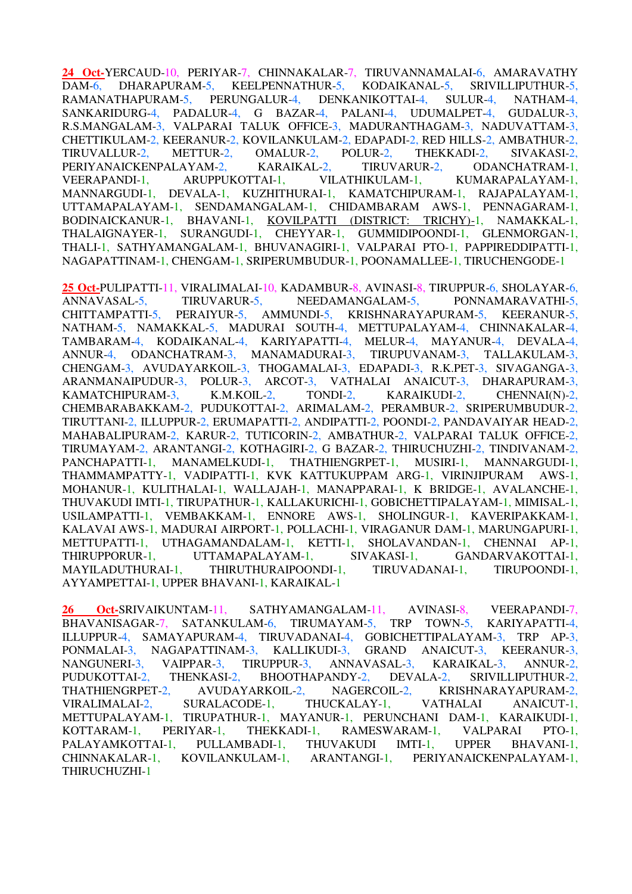**24 Oct-**YERCAUD-10, PERIYAR-7, CHINNAKALAR-7, TIRUVANNAMALAI-6, AMARAVATHY DAM-6, DHARAPURAM-5, KEELPENNATHUR-5, KODAIKANAL-5, SRIVILLIPUTHUR-5, RAMANATHAPURAM-5, PERUNGALUR-4, DENKANIKOTTAI-4, SULUR-4, NATHAM-4, SANKARIDURG-4, PADALUR-4, G BAZAR-4, PALANI-4, UDUMALPET-4, GUDALUR-3, R.S.MANGALAM-3, VALPARAI TALUK OFFICE-3, MADURANTHAGAM-3, NADUVATTAM-3, CHETTIKULAM-2, KEERANUR-2, KOVILANKULAM-2, EDAPADI-2, RED HILLS-2, AMBATHUR-2, TIRUVALLUR-2, METTUR-2, OMALUR-2, POLUR-2, THEKKADI-2, SIVAKASI-2, PERIYANAICKENPALAYAM-2, KARAIKAL-2, TIRUVARUR-2, ODANCHATRAM-1, VEERAPANDI-1, ARUPPUKOTTAI-1, VILATHIKULAM-1, KUMARAPALAYAM-1, MANNARGUDI-1, DEVALA-1, KUZHITHURAI-1, KAMATCHIPURAM-1, RAJAPALAYAM-1, UTTAMAPALAYAM-1, SENDAMANGALAM-1, CHIDAMBARAM AWS-1, PENNAGARAM-1, BODINAICKANUR-1, BHAVANI-1, KOVILPATTI (DISTRICT: TRICHY)-1, NAMAKKAL-1, THALAIGNAYER-1, SURANGUDI-1, CHEYYAR-1, GUMMIDIPOONDI-1, GLENMORGAN-1, THALI-1, SATHYAMANGALAM-1, BHUVANAGIRI-1, VALPARAI PTO-1, PAPPIREDDIPATTI-1, NAGAPATTINAM-1, CHENGAM-1, SRIPERUMBUDUR-1, POONAMALLEE-1, TIRUCHENGODE-1

**25 Oct-**PULIPATTI-11, VIRALIMALAI-10, KADAMBUR-8, AVINASI-8, TIRUPPUR-6, SHOLAYAR-6, ANNAVASAL-5, TIRUVARUR-5, NEEDAMANGALAM-5, PONNAMARAVATHI-5, CHITTAMPATTI-5, PERAIYUR-5, AMMUNDI-5, KRISHNARAYAPURAM-5, KEERANUR-5, NATHAM-5, NAMAKKAL-5, MADURAI SOUTH-4, METTUPALAYAM-4, CHINNAKALAR-4, TAMBARAM-4, KODAIKANAL-4, KARIYAPATTI-4, MELUR-4, MAYANUR-4, DEVALA-4, ANNUR-4, ODANCHATRAM-3, MANAMADURAI-3, TIRUPUVANAM-3, TALLAKULAM-3, CHENGAM-3, AVUDAYARKOIL-3, THOGAMALAI-3, EDAPADI-3, R.K.PET-3, SIVAGANGA-3, ARANMANAIPUDUR-3, POLUR-3, ARCOT-3, VATHALAI ANAICUT-3, DHARAPURAM-3, KAMATCHIPURAM-3, K.M.KOIL-2, TONDI-2, KARAIKUDI-2, CHENNAI(N)-2, CHEMBARABAKKAM-2, PUDUKOTTAI-2, ARIMALAM-2, PERAMBUR-2, SRIPERUMBUDUR-2, TIRUTTANI-2, ILLUPPUR-2, ERUMAPATTI-2, ANDIPATTI-2, POONDI-2, PANDAVAIYAR HEAD-2, MAHABALIPURAM-2, KARUR-2, TUTICORIN-2, AMBATHUR-2, VALPARAI TALUK OFFICE-2, TIRUMAYAM-2, ARANTANGI-2, KOTHAGIRI-2, G BAZAR-2, THIRUCHUZHI-2, TINDIVANAM-2, PANCHAPATTI-1, MANAMELKUDI-1, THATHIENGRPET-1, MUSIRI-1, MANNARGUDI-1, THAMMAMPATTY-1, VADIPATTI-1, KVK KATTUKUPPAM ARG-1, VIRINJIPURAM AWS-1, MOHANUR-1, KULITHALAI-1, WALLAJAH-1, MANAPPARAI-1, K BRIDGE-1, AVALANCHE-1, THUVAKUDI IMTI-1, TIRUPATHUR-1, KALLAKURICHI-1, GOBICHETTIPALAYAM-1, MIMISAL-1, USILAMPATTI-1, VEMBAKKAM-1, ENNORE AWS-1, SHOLINGUR-1, KAVERIPAKKAM-1, KALAVAI AWS-1, MADURAI AIRPORT-1, POLLACHI-1, VIRAGANUR DAM-1, MARUNGAPURI-1, METTUPATTI-1, UTHAGAMANDALAM-1, KETTI-1, SHOLAVANDAN-1, CHENNAI AP-1, THIRUPPORUR-1, UTTAMAPALAYAM-1, SIVAKASI-1, GANDARVAKOTTAI-1, MAYILADUTHURAI-1, THIRUTHURAIPOONDI-1, TIRUVADANAI-1, TIRUPOONDI-1, AYYAMPETTAI-1, UPPER BHAVANI-1, KARAIKAL-1

**26 Oct-**SRIVAIKUNTAM-11, SATHYAMANGALAM-11, AVINASI-8, VEERAPANDI-7, BHAVANISAGAR-7, SATANKULAM-6, TIRUMAYAM-5, TRP TOWN-5, KARIYAPATTI-4, ILLUPPUR-4, SAMAYAPURAM-4, TIRUVADANAI-4, GOBICHETTIPALAYAM-3, TRP AP-3, PONMALAI-3, NAGAPATTINAM-3, KALLIKUDI-3, GRAND ANAICUT-3, KEERANUR-3, NANGUNERI-3, VAIPPAR-3, TIRUPPUR-3, ANNAVASAL-3, KARAIKAL-3, ANNUR-2, PUDUKOTTAI-2, THENKASI-2, BHOOTHAPANDY-2, DEVALA-2, SRIVILLIPUTHUR-2, THATHIENGRPET-2. AVUDAYARKOIL-2. NAGERCOIL-2. KRISHNARAYAPURAM-2. THATHIENGRPET-2, AVUDAYARKOIL-2, NAGERCOIL-2, KRISHNARAYAPURAM-2, VIRALIMALAI-2, SURALACODE-1, THUCKALAY-1, VATHALAI ANAICUT-1, METTUPALAYAM-1, TIRUPATHUR-1, MAYANUR-1, PERUNCHANI DAM-1, KARAIKUDI-1, KOTTARAM-1, PERIYAR-1, THEKKADI-1, RAMESWARAM-1, VALPARAI PTO-1, PALAYAMKOTTAI-1, PULLAMBADI-1, THUVAKUDI IMTI-1, UPPER BHAVANI-1, CHINNAKALAR-1, KOVILANKULAM-1, ARANTANGI-1, PERIYANAICKENPALAYAM-1, THIRUCHUZHI-1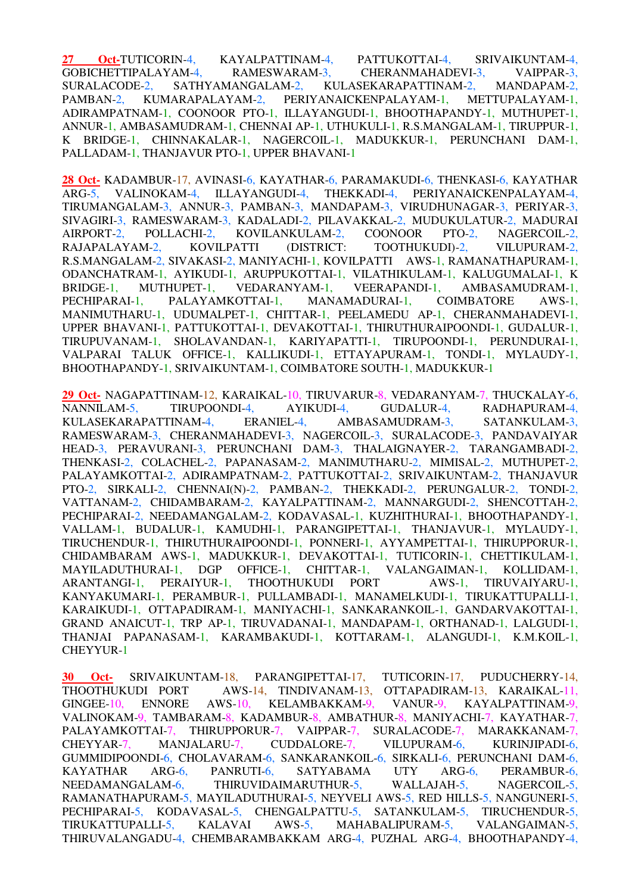**27 Oct-**TUTICORIN-4, KAYALPATTINAM-4, PATTUKOTTAI-4, SRIVAIKUNTAM-4, GOBICHETTIPALAYAM-4, RAMESWARAM-3, CHERANMAHADEVI-3, VAIPPAR-3, SURALACODE-2, SATHYAMANGALAM-2, KULASEKARAPATTINAM-2, MANDAPAM-2, PAMBAN-2, KUMARAPALAYAM-2, PERIYANAICKENPALAYAM-1, METTUPALAYAM-1, ADIRAMPATNAM-1, COONOOR PTO-1, ILLAYANGUDI-1, BHOOTHAPANDY-1, MUTHUPET-1, ANNUR-1, AMBASAMUDRAM-1, CHENNAI AP-1, UTHUKULI-1, R.S.MANGALAM-1, TIRUPPUR-1, K BRIDGE-1, CHINNAKALAR-1, NAGERCOIL-1, MADUKKUR-1, PERUNCHANI DAM-1, PALLADAM-1, THANJAVUR PTO-1, UPPER BHAVANI-1

**28 Oct-** KADAMBUR-17, AVINASI-6, KAYATHAR-6, PARAMAKUDI-6, THENKASI-6, KAYATHAR ARG-5, VALINOKAM-4, ILLAYANGUDI-4, THEKKADI-4, PERIYANAICKENPALAYAM-4, TIRUMANGALAM-3, ANNUR-3, PAMBAN-3, MANDAPAM-3, VIRUDHUNAGAR-3, PERIYAR-3, SIVAGIRI-3, RAMESWARAM-3, KADALADI-2, PILAVAKKAL-2, MUDUKULATUR-2, MADURAI AIRPORT-2, POLLACHI-2, KOVILANKULAM-2, COONOOR PTO-2, NAGERCOIL-2. AIRPORT-2, POLLACHI-2, KOVILANKULAM-2, COONOOR PTO-2, NAGERCOIL-2, RAJAPALAYAM-2, KOVILPATTI (DISTRICT: TOOTHUKUDI)-2, VILUPURAM-2, R.S.MANGALAM-2, SIVAKASI-2, MANIYACHI-1, KOVILPATTI AWS-1, RAMANATHAPURAM-1, ODANCHATRAM-1, AYIKUDI-1, ARUPPUKOTTAI-1, VILATHIKULAM-1, KALUGUMALAI-1, K BRIDGE-1, MUTHUPET-1, VEDARANYAM-1, VEERAPANDI-1, AMBASAMUDRAM-1, PECHIPARAI-1, PALAYAMKOTTAI-1, MANAMADURAI-1, COIMBATORE AWS-1, MANIMUTHARU-1, UDUMALPET-1, CHITTAR-1, PEELAMEDU AP-1, CHERANMAHADEVI-1, UPPER BHAVANI-1, PATTUKOTTAI-1, DEVAKOTTAI-1, THIRUTHURAIPOONDI-1, GUDALUR-1, TIRUPUVANAM-1, SHOLAVANDAN-1, KARIYAPATTI-1, TIRUPOONDI-1, PERUNDURAI-1, VALPARAI TALUK OFFICE-1, KALLIKUDI-1, ETTAYAPURAM-1, TONDI-1, MYLAUDY-1, BHOOTHAPANDY-1, SRIVAIKUNTAM-1, COIMBATORE SOUTH-1, MADUKKUR-1

**29 Oct-** NAGAPATTINAM-12, KARAIKAL-10, TIRUVARUR-8, VEDARANYAM-7, THUCKALAY-6, NANNILAM-5, TIRUPOONDI-4, AYIKUDI-4, GUDALUR-4, RADHAPURAM-4, KULASEKARAPATTINAM-4, ERANIEL-4, AMBASAMUDRAM-3, SATANKULAM-3, RAMESWARAM-3, CHERANMAHADEVI-3, NAGERCOIL-3, SURALACODE-3, PANDAVAIYAR HEAD-3, PERAVURANI-3, PERUNCHANI DAM-3, THALAIGNAYER-2, TARANGAMBADI-2, THENKASI-2, COLACHEL-2, PAPANASAM-2, MANIMUTHARU-2, MIMISAL-2, MUTHUPET-2, PALAYAMKOTTAI-2, ADIRAMPATNAM-2, PATTUKOTTAI-2, SRIVAIKUNTAM-2, THANJAVUR PTO-2, SIRKALI-2, CHENNAI(N)-2, PAMBAN-2, THEKKADI-2, PERUNGALUR-2, TONDI-2, VATTANAM-2, CHIDAMBARAM-2, KAYALPATTINAM-2, MANNARGUDI-2, SHENCOTTAH-2, PECHIPARAI-2, NEEDAMANGALAM-2, KODAVASAL-1, KUZHITHURAI-1, BHOOTHAPANDY-1, VALLAM-1, BUDALUR-1, KAMUDHI-1, PARANGIPETTAI-1, THANJAVUR-1, MYLAUDY-1, TIRUCHENDUR-1, THIRUTHURAIPOONDI-1, PONNERI-1, AYYAMPETTAI-1, THIRUPPORUR-1, CHIDAMBARAM AWS-1, MADUKKUR-1, DEVAKOTTAI-1, TUTICORIN-1, CHETTIKULAM-1, MAYILADUTHURAI-1, DGP OFFICE-1, CHITTAR-1, VALANGAIMAN-1, KOLLIDAM-1, ARANTANGI-1, PERAIYUR-1, THOOTHUKUDI PORT AWS-1, TIRUVAIYARU-1, KANYAKUMARI-1, PERAMBUR-1, PULLAMBADI-1, MANAMELKUDI-1, TIRUKATTUPALLI-1, KARAIKUDI-1, OTTAPADIRAM-1, MANIYACHI-1, SANKARANKOIL-1, GANDARVAKOTTAI-1, GRAND ANAICUT-1, TRP AP-1, TIRUVADANAI-1, MANDAPAM-1, ORTHANAD-1, LALGUDI-1, THANJAI PAPANASAM-1, KARAMBAKUDI-1, KOTTARAM-1, ALANGUDI-1, K.M.KOIL-1, CHEYYUR-1

**30 Oct-** SRIVAIKUNTAM-18, PARANGIPETTAI-17, TUTICORIN-17, PUDUCHERRY-14, AWS-14, TINDIVANAM-13, OTTAPADIRAM-13, KARAIKAL-11, GINGEE-10, ENNORE AWS-10, KELAMBAKKAM-9, VANUR-9, KAYALPATTINAM-9, VALINOKAM-9, TAMBARAM-8, KADAMBUR-8, AMBATHUR-8, MANIYACHI-7, KAYATHAR-7, PALAYAMKOTTAI-7, THIRUPPORUR-7, VAIPPAR-7, SURALACODE-7, MARAKKANAM-7, CHEYYAR-7, MANJALARU-7, CUDDALORE-7, VILUPURAM-6, KURINJIPADI-6, GUMMIDIPOONDI-6, CHOLAVARAM-6, SANKARANKOIL-6, SIRKALI-6, PERUNCHANI DAM-6, KAYATHAR ARG-6, PANRUTI-6, SATYABAMA UTY ARG-6, PERAMBUR-6, NEEDAMANGALAM-6, THIRUVIDAIMARUTHUR-5, WALLAJAH-5, NAGERCOIL-5, RAMANATHAPURAM-5, MAYILADUTHURAI-5, NEYVELI AWS-5, RED HILLS-5, NANGUNERI-5, PECHIPARAI-5, KODAVASAL-5, CHENGALPATTU-5, SATANKULAM-5, TIRUCHENDUR-5, TIRUKATTUPALLI-5, KALAVAI AWS-5, MAHABALIPURAM-5, VALANGAIMAN-5, THIRUVALANGADU-4, CHEMBARAMBAKKAM ARG-4, PUZHAL ARG-4, BHOOTHAPANDY-4,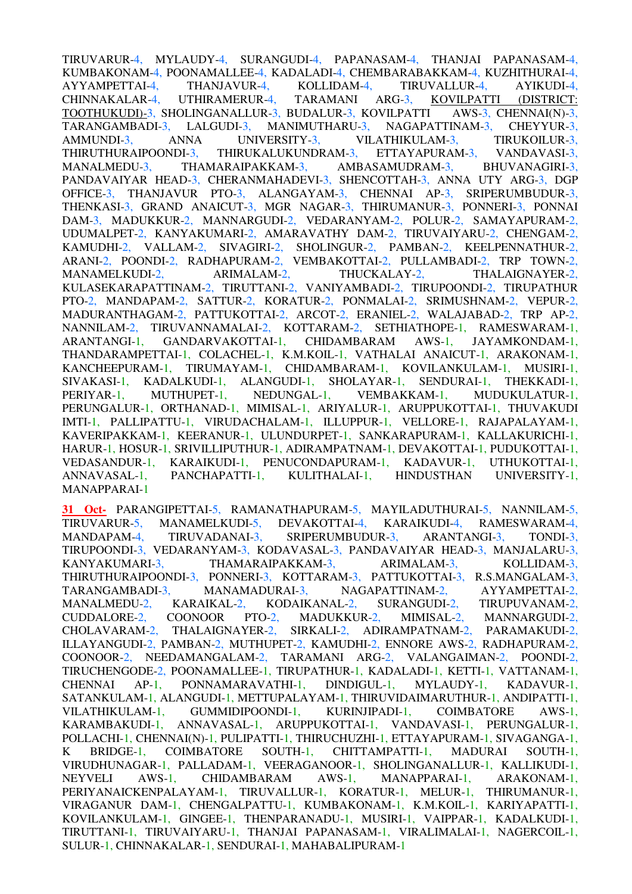TIRUVARUR-4, MYLAUDY-4, SURANGUDI-4, PAPANASAM-4, THANJAI PAPANASAM-4, KUMBAKONAM-4, POONAMALLEE-4, KADALADI-4, CHEMBARABAKKAM-4, KUZHITHURAI-4, AYYAMPETTAI-4, THANJAVUR-4, KOLLIDAM-4, TIRUVALLUR-4, AYIKUDI-4, CHINNAKALAR-4, UTHIRAMERUR-4, TARAMANI ARG-3, KOVILPATTI (DISTRICT: TOOTHUKUDI)-3, SHOLINGANALLUR-3, BUDALUR-3, KOVILPATTI AWS-3, CHENNAI(N)-3, TARANGAMBADI-3, LALGUDI-3, MANIMUTHARU-3, NAGAPATTINAM-3, CHEYYUR-3, AMMUNDI-3, ANNA UNIVERSITY-3, VILATHIKULAM-3, TIRUKOILUR-3, THIRUTHURAIPOONDI-3, THIRUKALUKUNDRAM-3, ETTAYAPURAM-3, VANDAVASI-3, MANALMEDU-3, THAMARAIPAKKAM-3, AMBASAMUDRAM-3, BHUVANAGIRI-3, PANDAVAIYAR HEAD-3, CHERANMAHADEVI-3, SHENCOTTAH-3, ANNA UTY ARG-3, DGP OFFICE-3, THANJAVUR PTO-3, ALANGAYAM-3, CHENNAI AP-3, SRIPERUMBUDUR-3, THENKASI-3, GRAND ANAICUT-3, MGR NAGAR-3, THIRUMANUR-3, PONNERI-3, PONNAI DAM-3, MADUKKUR-2, MANNARGUDI-2, VEDARANYAM-2, POLUR-2, SAMAYAPURAM-2, UDUMALPET-2, KANYAKUMARI-2, AMARAVATHY DAM-2, TIRUVAIYARU-2, CHENGAM-2, KAMUDHI-2, VALLAM-2, SIVAGIRI-2, SHOLINGUR-2, PAMBAN-2, KEELPENNATHUR-2, ARANI-2, POONDI-2, RADHAPURAM-2, VEMBAKOTTAI-2, PULLAMBADI-2, TRP TOWN-2, MANAMELKUDI-2, ARIMALAM-2, THUCKALAY-2, THALAIGNAYER-2, KULASEKARAPATTINAM-2, TIRUTTANI-2, VANIYAMBADI-2, TIRUPOONDI-2, TIRUPATHUR PTO-2, MANDAPAM-2, SATTUR-2, KORATUR-2, PONMALAI-2, SRIMUSHNAM-2, VEPUR-2, MADURANTHAGAM-2, PATTUKOTTAI-2, ARCOT-2, ERANIEL-2, WALAJABAD-2, TRP AP-2, NANNILAM-2, TIRUVANNAMALAI-2, KOTTARAM-2, SETHIATHOPE-1, RAMESWARAM-1, ARANTANGI-1, GANDARVAKOTTAI-1, CHIDAMBARAM AWS-1, JAYAMKONDAM-1, THANDARAMPETTAI-1, COLACHEL-1, K.M.KOIL-1, VATHALAI ANAICUT-1, ARAKONAM-1, KANCHEEPURAM-1, TIRUMAYAM-1, CHIDAMBARAM-1, KOVILANKULAM-1, MUSIRI-1, SIVAKASI-1, KADALKUDI-1, ALANGUDI-1, SHOLAYAR-1, SENDURAI-1, THEKKADI-1, PERIYAR-1, MUTHUPET-1, NEDUNGAL-1, VEMBAKKAM-1, MUDUKULATUR-1, PERUNGALUR-1, ORTHANAD-1, MIMISAL-1, ARIYALUR-1, ARUPPUKOTTAI-1, THUVAKUDI IMTI-1, PALLIPATTU-1, VIRUDACHALAM-1, ILLUPPUR-1, VELLORE-1, RAJAPALAYAM-1, KAVERIPAKKAM-1, KEERANUR-1, ULUNDURPET-1, SANKARAPURAM-1, KALLAKURICHI-1, HARUR-1, HOSUR-1, SRIVILLIPUTHUR-1, ADIRAMPATNAM-1, DEVAKOTTAI-1, PUDUKOTTAI-1, VEDASANDUR-1, KARAIKUDI-1, PENUCONDAPURAM-1, KADAVUR-1, UTHUKOTTAI-1, ANNAVASAL-1, PANCHAPATTI-1, KULITHALAI-1, HINDUSTHAN UNIVERSITY-1, MANAPPARAI-1

**31 Oct-** PARANGIPETTAI-5, RAMANATHAPURAM-5, MAYILADUTHURAI-5, NANNILAM-5, TIRUVARUR-5, MANAMELKUDI-5, DEVAKOTTAI-4, KARAIKUDI-4, RAMESWARAM-4, MANDAPAM-4, TIRUVADANAI-3, SRIPERUMBUDUR-3, ARANTANGI-3, TONDI-3, TIRUPOONDI-3, VEDARANYAM-3, KODAVASAL-3, PANDAVAIYAR HEAD-3, MANJALARU-3, KANYAKUMARI-3, THAMARAIPAKKAM-3, ARIMALAM-3, KOLLIDAM-3, THIRUTHURAIPOONDI-3, PONNERI-3, KOTTARAM-3, PATTUKOTTAI-3, R.S.MANGALAM-3, TARANGAMBADI-3, MANAMADURAI-3, NAGAPATTINAM-2, AYYAMPETTAI-2, MANALMEDU-2, KARAIKAL-2, KODAIKANAL-2, SURANGUDI-2, TIRUPUVANAM-2, CUDDALORE-2, COONOOR PTO-2, MADUKKUR-2, MIMISAL-2, MANNARGUDI-2, CHOLAVARAM-2, THALAIGNAYER-2, SIRKALI-2, ADIRAMPATNAM-2, PARAMAKUDI-2, ILLAYANGUDI-2, PAMBAN-2, MUTHUPET-2, KAMUDHI-2, ENNORE AWS-2, RADHAPURAM-2, COONOOR-2, NEEDAMANGALAM-2, TARAMANI ARG-2, VALANGAIMAN-2, POONDI-2, TIRUCHENGODE-2, POONAMALLEE-1, TIRUPATHUR-1, KADALADI-1, KETTI-1, VATTANAM-1, CHENNAI AP-1, PONNAMARAVATHI-1, DINDIGUL-1, MYLAUDY-1, KADAVUR-1, SATANKULAM-1, ALANGUDI-1, METTUPALAYAM-1, THIRUVIDAIMARUTHUR-1, ANDIPATTI-1, VILATHIKULAM-1, GUMMIDIPOONDI-1, KURINJIPADI-1, COIMBATORE AWS-1, KARAMBAKUDI-1, ANNAVASAL-1, ARUPPUKOTTAI-1, VANDAVASI-1, PERUNGALUR-1, POLLACHI-1, CHENNAI(N)-1, PULIPATTI-1, THIRUCHUZHI-1, ETTAYAPURAM-1, SIVAGANGA-1, K BRIDGE-1, COIMBATORE SOUTH-1, CHITTAMPATTI-1, MADURAI SOUTH-1, VIRUDHUNAGAR-1, PALLADAM-1, VEERAGANOOR-1, SHOLINGANALLUR-1, KALLIKUDI-1, NEYVELI AWS-1, CHIDAMBARAM AWS-1, MANAPPARAI-1, ARAKONAM-1, PERIYANAICKENPALAYAM-1, TIRUVALLUR-1, KORATUR-1, MELUR-1, THIRUMANUR-1, VIRAGANUR DAM-1, CHENGALPATTU-1, KUMBAKONAM-1, K.M.KOIL-1, KARIYAPATTI-1, KOVILANKULAM-1, GINGEE-1, THENPARANADU-1, MUSIRI-1, VAIPPAR-1, KADALKUDI-1, TIRUTTANI-1, TIRUVAIYARU-1, THANJAI PAPANASAM-1, VIRALIMALAI-1, NAGERCOIL-1, SULUR-1, CHINNAKALAR-1, SENDURAI-1, MAHABALIPURAM-1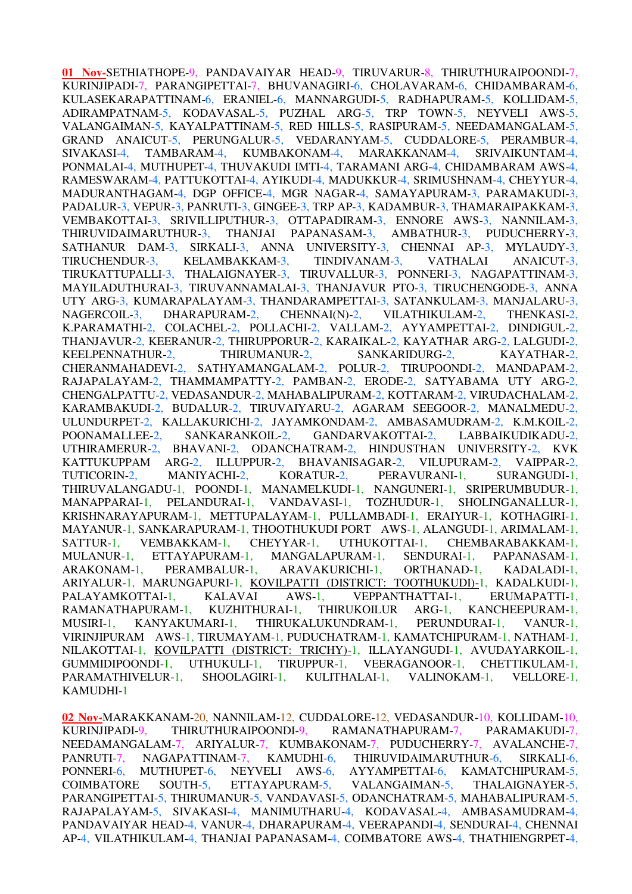**01 Nov-**SETHIATHOPE-9, PANDAVAIYAR HEAD-9, TIRUVARUR-8, THIRUTHURAIPOONDI-7, KURINJIPADI-7, PARANGIPETTAI-7, BHUVANAGIRI-6, CHOLAVARAM-6, CHIDAMBARAM-6, KULASEKARAPATTINAM-6, ERANIEL-6, MANNARGUDI-5, RADHAPURAM-5, KOLLIDAM-5, ADIRAMPATNAM-5, KODAVASAL-5, PUZHAL ARG-5, TRP TOWN-5, NEYVELI AWS-5, VALANGAIMAN-5, KAYALPATTINAM-5, RED HILLS-5, RASIPURAM-5, NEEDAMANGALAM-5, GRAND ANAICUT-5, PERUNGALUR-5, VEDARANYAM-5, CUDDALORE-5, PERAMBUR-4, SIVAKASI-4, TAMBARAM-4, KUMBAKONAM-4, MARAKKANAM-4, SRIVAIKUNTAM-4, PONMALAI-4, MUTHUPET-4, THUVAKUDI IMTI-4, TARAMANI ARG-4, CHIDAMBARAM AWS-4, RAMESWARAM-4, PATTUKOTTAI-4, AYIKUDI-4, MADUKKUR-4, SRIMUSHNAM-4, CHEYYUR-4, MADURANTHAGAM-4, DGP OFFICE-4, MGR NAGAR-4, SAMAYAPURAM-3, PARAMAKUDI-3, PADALUR-3, VEPUR-3, PANRUTI-3, GINGEE-3, TRP AP-3, KADAMBUR-3, THAMARAIPAKKAM-3, VEMBAKOTTAI-3, SRIVILLIPUTHUR-3, OTTAPADIRAM-3, ENNORE AWS-3, NANNILAM-3, THIRUVIDAIMARUTHUR-3, THANJAI PAPANASAM-3, AMBATHUR-3, PUDUCHERRY-3, SATHANUR DAM-3, SIRKALI-3, ANNA UNIVERSITY-3, CHENNAI AP-3, MYLAUDY-3, TIRUCHENDUR-3, KELAMBAKKAM-3, TINDIVANAM-3, VATHALAI ANAICUT-3, TIRUCHENDUR-3, KELAMBAKKAM-3, TINDIVANAM-3, VATHALAI ANAICUT-3, TIRUKATTUPALLI-3, THALAIGNAYER-3, TIRUVALLUR-3, PONNERI-3, NAGAPATTINAM-3, MAYILADUTHURAI-3, TIRUVANNAMALAI-3, THANJAVUR PTO-3, TIRUCHENGODE-3, ANNA UTY ARG-3, KUMARAPALAYAM-3, THANDARAMPETTAI-3, SATANKULAM-3, MANJALARU-3, NAGERCOIL-3, DHARAPURAM-2, CHENNAI(N)-2, VILATHIKULAM-2, THENKASI-2, K.PARAMATHI-2, COLACHEL-2, POLLACHI-2, VALLAM-2, AYYAMPETTAI-2, DINDIGUL-2, THANJAVUR-2, KEERANUR-2, THIRUPPORUR-2, KARAIKAL-2, KAYATHAR ARG-2, LALGUDI-2, KEELPENNATHUR-2, THIRUMANUR-2, SANKARIDURG-2, KAYATHAR-2, CHERANMAHADEVI-2, SATHYAMANGALAM-2, POLUR-2, TIRUPOONDI-2, MANDAPAM-2, RAJAPALAYAM-2, THAMMAMPATTY-2, PAMBAN-2, ERODE-2, SATYABAMA UTY ARG-2, CHENGALPATTU-2, VEDASANDUR-2, MAHABALIPURAM-2, KOTTARAM-2, VIRUDACHALAM-2, KARAMBAKUDI-2, BUDALUR-2, TIRUVAIYARU-2, AGARAM SEEGOOR-2, MANALMEDU-2, ULUNDURPET-2, KALLAKURICHI-2, JAYAMKONDAM-2, AMBASAMUDRAM-2, K.M.KOIL-2, POONAMALLEE-2, SANKARANKOIL-2, GANDARVAKOTTAI-2, LABBAIKUDIKADU-2, UTHIRAMERUR-2, BHAVANI-2, ODANCHATRAM-2, HINDUSTHAN UNIVERSITY-2, KVK KATTUKUPPAM ARG-2, ILLUPPUR-2, BHAVANISAGAR-2, VILUPURAM-2, VAIPPAR-2, TUTICORIN-2, MANIYACHI-2, KORATUR-2, PERAVURANI-1, SURANGUDI-1, THIRUVALANGADU-1, POONDI-1, MANAMELKUDI-1, NANGUNERI-1, SRIPERUMBUDUR-1, MANAPPARAI-1, PELANDURAI-1, VANDAVASI-1, TOZHUDUR-1, SHOLINGANALLUR-1, KRISHNARAYAPURAM-1, METTUPALAYAM-1, PULLAMBADI-1, ERAIYUR-1, KOTHAGIRI-1, MAYANUR-1, SANKARAPURAM-1, THOOTHUKUDI PORT AWS-1, ALANGUDI-1, ARIMALAM-1, SATTUR-1, VEMBAKKAM-1, CHEYYAR-1, UTHUKOTTAI-1, CHEMBARABAKKAM-1, MULANUR-1, ETTAYAPURAM-1, MANGALAPURAM-1, SENDURAI-1, PAPANASAM-1, ARAKONAM-1, PERAMBALUR-1, ARAVAKURICHI-1, ORTHANAD-1, KADALADI-1, ARIYALUR-1, MARUNGAPURI-1, KOVILPATTI (DISTRICT: TOOTHUKUDI)-1, KADALKUDI-1, PALAYAMKOTTAI-1, KALAVAI AWS-1, VEPPANTHATTAI-1, ERUMAPATTI-1, RAMANATHAPURAM-1, KUZHITHURAI-1, THIRUKOILUR ARG-1, KANCHEEPURAM-1, MUSIRI-1, KANYAKUMARI-1, THIRUKALUKUNDRAM-1, PERUNDURAI-1, VANUR-1, VIRINJIPURAM AWS-1, TIRUMAYAM-1, PUDUCHATRAM-1, KAMATCHIPURAM-1, NATHAM-1, NILAKOTTAI-1, KOVILPATTI (DISTRICT: TRICHY)-1, ILLAYANGUDI-1, AVUDAYARKOIL-1, GUMMIDIPOONDI-1, UTHUKULI-1, TIRUPPUR-1, VEERAGANOOR-1, CHETTIKULAM-1, PARAMATHIVELUR-1, SHOOLAGIRI-1, KULITHALAI-1, VALINOKAM-1, VELLORE-1, KAMUDHI-1

**02 Nov-**MARAKKANAM-20, NANNILAM-12, CUDDALORE-12, VEDASANDUR-10, KOLLIDAM-10, KURINJIPADI-9, THIRUTHURAIPOONDI-9, RAMANATHAPURAM-7, PARAMAKUDI-7, NEEDAMANGALAM-7, ARIYALUR-7, KUMBAKONAM-7, PUDUCHERRY-7, AVALANCHE-7, PANRUTI-7, NAGAPATTINAM-7, KAMUDHI-6, THIRUVIDAIMARUTHUR-6, SIRKALI-6, PONNERI-6, MUTHUPET-6, NEYVELI AWS-6, AYYAMPETTAI-6, KAMATCHIPURAM-5, COIMBATORE SOUTH-5, ETTAYAPURAM-5, VALANGAIMAN-5, THALAIGNAYER-5, PARANGIPETTAI-5, THIRUMANUR-5, VANDAVASI-5, ODANCHATRAM-5, MAHABALIPURAM-5, RAJAPALAYAM-5, SIVAKASI-4, MANIMUTHARU-4, KODAVASAL-4, AMBASAMUDRAM-4, PANDAVAIYAR HEAD-4, VANUR-4, DHARAPURAM-4, VEERAPANDI-4, SENDURAI-4, CHENNAI AP-4, VILATHIKULAM-4, THANJAI PAPANASAM-4, COIMBATORE AWS-4, THATHIENGRPET-4,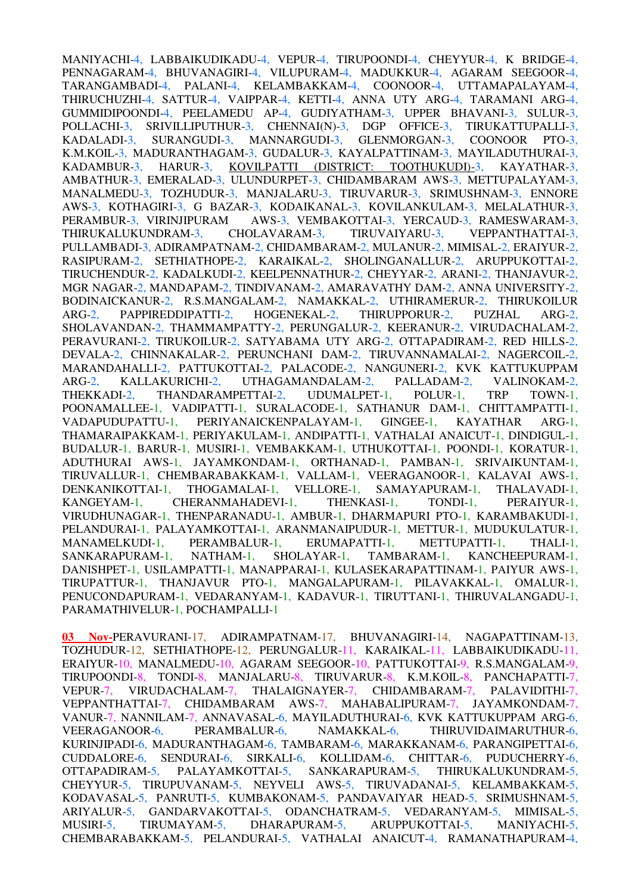MANIYACHI-4, LABBAIKUDIKADU-4, VEPUR-4, TIRUPOONDI-4, CHEYYUR-4, K BRIDGE-4, PENNAGARAM-4, BHUVANAGIRI-4, VILUPURAM-4, MADUKKUR-4, AGARAM SEEGOOR-4, TARANGAMBADI-4, PALANI-4, KELAMBAKKAM-4, COONOOR-4, UTTAMAPALAYAM-4, THIRUCHUZHI-4, SATTUR-4, VAIPPAR-4, KETTI-4, ANNA UTY ARG-4, TARAMANI ARG-4, GUMMIDIPOONDI-4, PEELAMEDU AP-4, GUDIYATHAM-3, UPPER BHAVANI-3, SULUR-3, POLLACHI-3, SRIVILLIPUTHUR-3, CHENNAI(N)-3, DGP OFFICE-3, TIRUKATTUPALLI-3, KADALADI-3, SURANGUDI-3, MANNARGUDI-3, GLENMORGAN-3, COONOOR PTO-3, K.M.KOIL-3, MADURANTHAGAM-3, GUDALUR-3, KAYALPATTINAM-3, MAYILADUTHURAI-3, KADAMBUR-3, HARUR-3, KOVILPATTI (DISTRICT: TOOTHUKUDI)-3, KAYATHAR-3, AMBATHUR-3, EMERALAD-3, ULUNDURPET-3, CHIDAMBARAM AWS-3, METTUPALAYAM-3, MANALMEDU-3, TOZHUDUR-3, MANJALARU-3, TIRUVARUR-3, SRIMUSHNAM-3, ENNORE AWS-3, KOTHAGIRI-3, G BAZAR-3, KODAIKANAL-3, KOVILANKULAM-3, MELALATHUR-3, PERAMBUR-3, VIRINJIPURAM AWS-3, VEMBAKOTTAI-3, YERCAUD-3, RAMESWARAM-3, THIRUKALUKUNDRAM-3, CHOLAVARAM-3, TIRUVAIYARU-3, VEPPANTHATTAI-3, PULLAMBADI-3, ADIRAMPATNAM-2, CHIDAMBARAM-2, MULANUR-2, MIMISAL-2, ERAIYUR-2, RASIPURAM-2, SETHIATHOPE-2, KARAIKAL-2, SHOLINGANALLUR-2, ARUPPUKOTTAI-2, TIRUCHENDUR-2, KADALKUDI-2, KEELPENNATHUR-2, CHEYYAR-2, ARANI-2, THANJAVUR-2, MGR NAGAR-2, MANDAPAM-2, TINDIVANAM-2, AMARAVATHY DAM-2, ANNA UNIVERSITY-2, BODINAICKANUR-2, R.S.MANGALAM-2, NAMAKKAL-2, UTHIRAMERUR-2, THIRUKOILUR ARG-2, PAPPIREDDIPATTI-2, HOGENEKAL-2, THIRUPPORUR-2, PUZHAL ARG-2, SHOLAVANDAN-2, THAMMAMPATTY-2, PERUNGALUR-2, KEERANUR-2, VIRUDACHALAM-2, PERAVURANI-2, TIRUKOILUR-2, SATYABAMA UTY ARG-2, OTTAPADIRAM-2, RED HILLS-2, DEVALA-2, CHINNAKALAR-2, PERUNCHANI DAM-2, TIRUVANNAMALAI-2, NAGERCOIL-2, MARANDAHALLI-2, PATTUKOTTAI-2, PALACODE-2, NANGUNERI-2, KVK KATTUKUPPAM ARG-2, KALLAKURICHI-2, UTHAGAMANDALAM-2, PALLADAM-2, VALINOKAM-2, THEKKADI-2, THANDARAMPETTAI-2, UDUMALPET-1, POLUR-1, TRP TOWN-1, POONAMALLEE-1, VADIPATTI-1, SURALACODE-1, SATHANUR DAM-1, CHITTAMPATTI-1, VADAPUDUPATTU-1, PERIYANAICKENPALAYAM-1, GINGEE-1, KAYATHAR ARG-1, THAMARAIPAKKAM-1, PERIYAKULAM-1, ANDIPATTI-1, VATHALAI ANAICUT-1, DINDIGUL-1, BUDALUR-1, BARUR-1, MUSIRI-1, VEMBAKKAM-1, UTHUKOTTAI-1, POONDI-1, KORATUR-1, ADUTHURAI AWS-1, JAYAMKONDAM-1, ORTHANAD-1, PAMBAN-1, SRIVAIKUNTAM-1, TIRUVALLUR-1, CHEMBARABAKKAM-1, VALLAM-1, VEERAGANOOR-1, KALAVAI AWS-1, DENKANIKOTTAI-1, THOGAMALAI-1, VELLORE-1, SAMAYAPURAM-1, THALAVADI-1, KANGEYAM-1, CHERANMAHADEVI-1, THENKASI-1, TONDI-1, PERAIYUR-1, VIRUDHUNAGAR-1, THENPARANADU-1, AMBUR-1, DHARMAPURI PTO-1, KARAMBAKUDI-1, PELANDURAI-1, PALAYAMKOTTAI-1, ARANMANAIPUDUR-1, METTUR-1, MUDUKULATUR-1, MANAMELKUDI-1, PERAMBALUR-1, ERUMAPATTI-1, METTUPATTI-1, THALI-1, SANKARAPURAM-1, NATHAM-1, SHOLAYAR-1, TAMBARAM-1, KANCHEEPURAM-1, DANISHPET-1, USILAMPATTI-1, MANAPPARAI-1, KULASEKARAPATTINAM-1, PAIYUR AWS-1, TIRUPATTUR-1, THANJAVUR PTO-1, MANGALAPURAM-1, PILAVAKKAL-1, OMALUR-1, PENUCONDAPURAM-1, VEDARANYAM-1, KADAVUR-1, TIRUTTANI-1, THIRUVALANGADU-1, PARAMATHIVELUR-1, POCHAMPALLI-1

**03 Nov-**PERAVURANI-17, ADIRAMPATNAM-17, BHUVANAGIRI-14, NAGAPATTINAM-13, TOZHUDUR-12, SETHIATHOPE-12, PERUNGALUR-11, KARAIKAL-11, LABBAIKUDIKADU-11, ERAIYUR-10, MANALMEDU-10, AGARAM SEEGOOR-10, PATTUKOTTAI-9, R.S.MANGALAM-9, TIRUPOONDI-8, TONDI-8, MANJALARU-8, TIRUVARUR-8, K.M.KOIL-8, PANCHAPATTI-7, VEPUR-7, VIRUDACHALAM-7, THALAIGNAYER-7, CHIDAMBARAM-7, PALAVIDITHI-7, VEPPANTHATTAI-7, CHIDAMBARAM AWS-7, MAHABALIPURAM-7, JAYAMKONDAM-7, VANUR-7, NANNILAM-7, ANNAVASAL-6, MAYILADUTHURAI-6, KVK KATTUKUPPAM ARG-6, VEERAGANOOR-6, PERAMBALUR-6, NAMAKKAL-6, THIRUVIDAIMARUTHUR-6, KURINJIPADI-6, MADURANTHAGAM-6, TAMBARAM-6, MARAKKANAM-6, PARANGIPETTAI-6, CUDDALORE-6, SENDURAI-6, SIRKALI-6, KOLLIDAM-6, CHITTAR-6, PUDUCHERRY-6, OTTAPADIRAM-5, PALAYAMKOTTAI-5, SANKARAPURAM-5, THIRUKALUKUNDRAM-5, CHEYYUR-5, TIRUPUVANAM-5, NEYVELI AWS-5, TIRUVADANAI-5, KELAMBAKKAM-5, KODAVASAL-5, PANRUTI-5, KUMBAKONAM-5, PANDAVAIYAR HEAD-5, SRIMUSHNAM-5, ARIYALUR-5, GANDARVAKOTTAI-5, ODANCHATRAM-5, VEDARANYAM-5, MIMISAL-5, MUSIRI-5, TIRUMAYAM-5, DHARAPURAM-5, ARUPPUKOTTAI-5, MANIYACHI-5, CHEMBARABAKKAM-5, PELANDURAI-5, VATHALAI ANAICUT-4, RAMANATHAPURAM-4,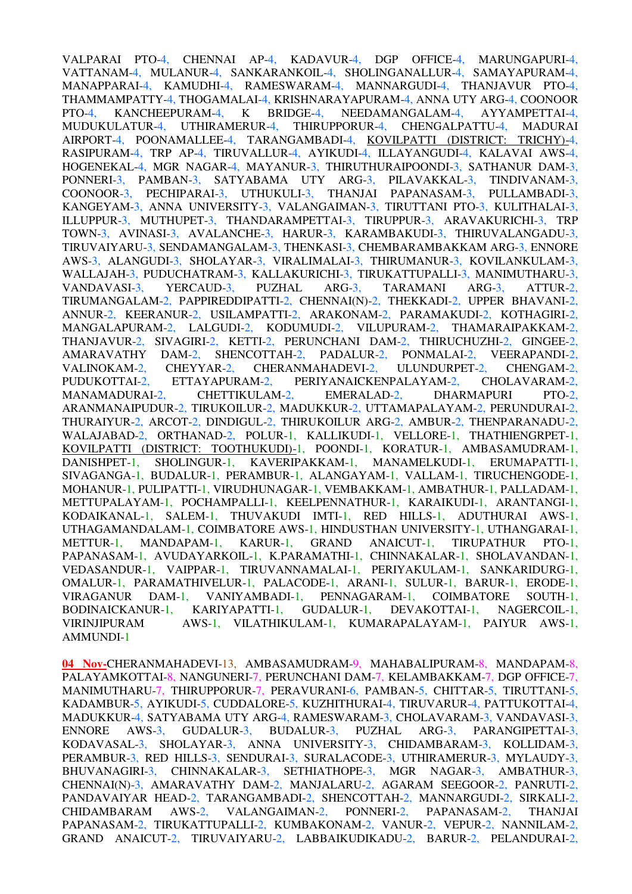VALPARAI PTO-4, CHENNAI AP-4, KADAVUR-4, DGP OFFICE-4, MARUNGAPURI-4, VATTANAM-4, MULANUR-4, SANKARANKOIL-4, SHOLINGANALLUR-4, SAMAYAPURAM-4, MANAPPARAI-4, KAMUDHI-4, RAMESWARAM-4, MANNARGUDI-4, THANJAVUR PTO-4, THAMMAMPATTY-4, THOGAMALAI-4, KRISHNARAYAPURAM-4, ANNA UTY ARG-4, COONOOR PTO-4, KANCHEEPURAM-4, K BRIDGE-4, NEEDAMANGALAM-4, AYYAMPETTAI-4, MUDUKULATUR-4, UTHIRAMERUR-4, THIRUPPORUR-4, CHENGALPATTU-4, MADURAI AIRPORT-4, POONAMALLEE-4, TARANGAMBADI-4, KOVILPATTI (DISTRICT: TRICHY)-4, RASIPURAM-4, TRP AP-4, TIRUVALLUR-4, AYIKUDI-4, ILLAYANGUDI-4, KALAVAI AWS-4, HOGENEKAL-4, MGR NAGAR-4, MAYANUR-3, THIRUTHURAIPOONDI-3, SATHANUR DAM-3, PONNERI-3, PAMBAN-3, SATYABAMA UTY ARG-3, PILAVAKKAL-3, TINDIVANAM-3, COONOOR-3, PECHIPARAI-3, UTHUKULI-3, THANJAI PAPANASAM-3, PULLAMBADI-3, KANGEYAM-3, ANNA UNIVERSITY-3, VALANGAIMAN-3, TIRUTTANI PTO-3, KULITHALAI-3, ILLUPPUR-3, MUTHUPET-3, THANDARAMPETTAI-3, TIRUPPUR-3, ARAVAKURICHI-3, TRP TOWN-3, AVINASI-3, AVALANCHE-3, HARUR-3, KARAMBAKUDI-3, THIRUVALANGADU-3, TIRUVAIYARU-3, SENDAMANGALAM-3, THENKASI-3, CHEMBARAMBAKKAM ARG-3, ENNORE AWS-3, ALANGUDI-3, SHOLAYAR-3, VIRALIMALAI-3, THIRUMANUR-3, KOVILANKULAM-3, WALLAJAH-3, PUDUCHATRAM-3, KALLAKURICHI-3, TIRUKATTUPALLI-3, MANIMUTHARU-3, VANDAVASI-3, YERCAUD-3, PUZHAL ARG-3, TARAMANI ARG-3, ATTUR-2, TIRUMANGALAM-2, PAPPIREDDIPATTI-2, CHENNAI(N)-2, THEKKADI-2, UPPER BHAVANI-2, ANNUR-2, KEERANUR-2, USILAMPATTI-2, ARAKONAM-2, PARAMAKUDI-2, KOTHAGIRI-2, MANGALAPURAM-2, LALGUDI-2, KODUMUDI-2, VILUPURAM-2, THAMARAIPAKKAM-2, THANJAVUR-2, SIVAGIRI-2, KETTI-2, PERUNCHANI DAM-2, THIRUCHUZHI-2, GINGEE-2, AMARAVATHY DAM-2, SHENCOTTAH-2, PADALUR-2, PONMALAI-2, VEERAPANDI-2, VALINOKAM-2, CHEYYAR-2, CHERANMAHADEVI-2, ULUNDURPET-2, CHENGAM-2, VALINOKAM-2, CHEYYAR-2, CHERANMAHADEVI-2, ULUNDURPET-2, CHENGAM-2, PUDUKOTTAI-2, ETTAYAPURAM-2, PERIYANAICKENPALAYAM-2, CHOLAVARAM-2, MANAMADURAI-2, CHETTIKULAM-2, EMERALAD-2, DHARMAPURI PTO-2, ARANMANAIPUDUR-2, TIRUKOILUR-2, MADUKKUR-2, UTTAMAPALAYAM-2, PERUNDURAI-2, THURAIYUR-2, ARCOT-2, DINDIGUL-2, THIRUKOILUR ARG-2, AMBUR-2, THENPARANADU-2, WALAJABAD-2, ORTHANAD-2, POLUR-1, KALLIKUDI-1, VELLORE-1, THATHIENGRPET-1, KOVILPATTI (DISTRICT: TOOTHUKUDI)-1, POONDI-1, KORATUR-1, AMBASAMUDRAM-1, DANISHPET-1, SHOLINGUR-1, KAVERIPAKKAM-1, MANAMELKUDI-1, ERUMAPATTI-1, SIVAGANGA-1, BUDALUR-1, PERAMBUR-1, ALANGAYAM-1, VALLAM-1, TIRUCHENGODE-1, MOHANUR-1, PULIPATTI-1, VIRUDHUNAGAR-1, VEMBAKKAM-1, AMBATHUR-1, PALLADAM-1, METTUPALAYAM-1, POCHAMPALLI-1, KEELPENNATHUR-1, KARAIKUDI-1, ARANTANGI-1, KODAIKANAL-1, SALEM-1, THUVAKUDI IMTI-1, RED HILLS-1, ADUTHURAI AWS-1, UTHAGAMANDALAM-1, COIMBATORE AWS-1, HINDUSTHAN UNIVERSITY-1, UTHANGARAI-1, METTUR-1, MANDAPAM-1, KARUR-1, GRAND ANAICUT-1, TIRUPATHUR PTO-1, PAPANASAM-1, AVUDAYARKOIL-1, K.PARAMATHI-1, CHINNAKALAR-1, SHOLAVANDAN-1, VEDASANDUR-1, VAIPPAR-1, TIRUVANNAMALAI-1, PERIYAKULAM-1, SANKARIDURG-1, OMALUR-1, PARAMATHIVELUR-1, PALACODE-1, ARANI-1, SULUR-1, BARUR-1, ERODE-1, VIRAGANUR DAM-1, VANIYAMBADI-1, PENNAGARAM-1, COIMBATORE SOUTH-1, BODINAICKANUR-1, KARIYAPATTI-1, GUDALUR-1, DEVAKOTTAI-1, NAGERCOIL-1, VIRINJIPURAM AWS-1, VILATHIKULAM-1, KUMARAPALAYAM-1, PAIYUR AWS-1, AMMUNDI-1

**04 Nov-**CHERANMAHADEVI-13, AMBASAMUDRAM-9, MAHABALIPURAM-8, MANDAPAM-8, PALAYAMKOTTAI-8, NANGUNERI-7, PERUNCHANI DAM-7, KELAMBAKKAM-7, DGP OFFICE-7, MANIMUTHARU-7, THIRUPPORUR-7, PERAVURANI-6, PAMBAN-5, CHITTAR-5, TIRUTTANI-5, KADAMBUR-5, AYIKUDI-5, CUDDALORE-5, KUZHITHURAI-4, TIRUVARUR-4, PATTUKOTTAI-4, MADUKKUR-4, SATYABAMA UTY ARG-4, RAMESWARAM-3, CHOLAVARAM-3, VANDAVASI-3, ENNORE AWS-3, GUDALUR-3, BUDALUR-3, PUZHAL ARG-3, PARANGIPETTAI-3, KODAVASAL-3, SHOLAYAR-3, ANNA UNIVERSITY-3, CHIDAMBARAM-3, KOLLIDAM-3, PERAMBUR-3, RED HILLS-3, SENDURAI-3, SURALACODE-3, UTHIRAMERUR-3, MYLAUDY-3, BHUVANAGIRI-3, CHINNAKALAR-3, SETHIATHOPE-3, MGR NAGAR-3, AMBATHUR-3, CHENNAI(N)-3, AMARAVATHY DAM-2, MANJALARU-2, AGARAM SEEGOOR-2, PANRUTI-2, PANDAVAIYAR HEAD-2, TARANGAMBADI-2, SHENCOTTAH-2, MANNARGUDI-2, SIRKALI-2, CHIDAMBARAM AWS-2, VALANGAIMAN-2, PONNERI-2, PAPANASAM-2, THANJAI PAPANASAM-2, TIRUKATTUPALLI-2, KUMBAKONAM-2, VANUR-2, VEPUR-2, NANNILAM-2, GRAND ANAICUT-2, TIRUVAIYARU-2, LABBAIKUDIKADU-2, BARUR-2, PELANDURAI-2,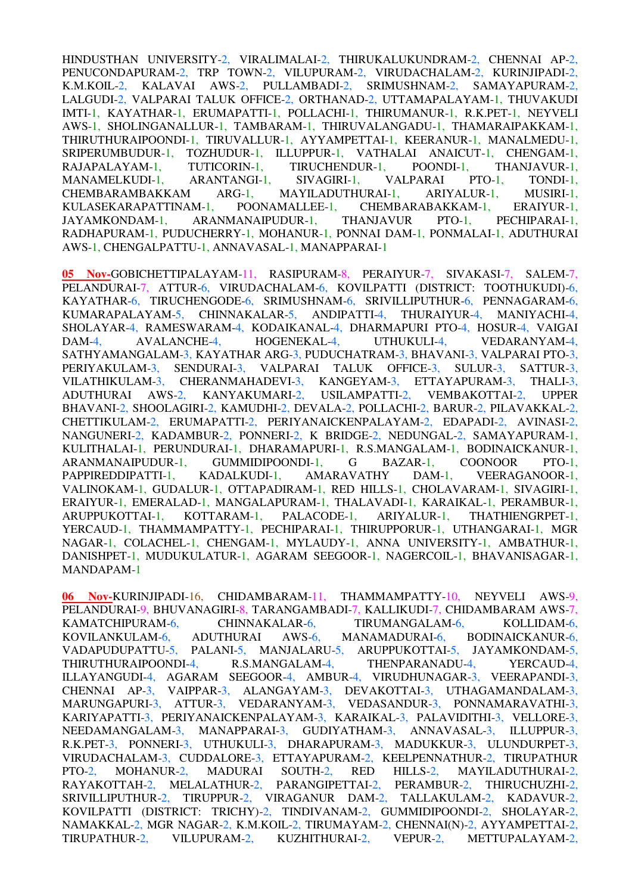HINDUSTHAN UNIVERSITY-2, VIRALIMALAI-2, THIRUKALUKUNDRAM-2, CHENNAI AP-2, PENUCONDAPURAM-2, TRP TOWN-2, VILUPURAM-2, VIRUDACHALAM-2, KURINJIPADI-2, K.M.KOIL-2, KALAVAI AWS-2, PULLAMBADI-2, SRIMUSHNAM-2, SAMAYAPURAM-2, LALGUDI-2, VALPARAI TALUK OFFICE-2, ORTHANAD-2, UTTAMAPALAYAM-1, THUVAKUDI IMTI-1, KAYATHAR-1, ERUMAPATTI-1, POLLACHI-1, THIRUMANUR-1, R.K.PET-1, NEYVELI AWS-1, SHOLINGANALLUR-1, TAMBARAM-1, THIRUVALANGADU-1, THAMARAIPAKKAM-1, THIRUTHURAIPOONDI-1, TIRUVALLUR-1, AYYAMPETTAI-1, KEERANUR-1, MANALMEDU-1, SRIPERUMBUDUR-1, TOZHUDUR-1, ILLUPPUR-1, VATHALAI ANAICUT-1, CHENGAM-1, RAJAPALAYAM-1. TUTICORIN-1, TIRUCHENDUR-1, POONDI-1, THANJAVUR-1, RAJAPALAYAM-1, TUTICORIN-1, TIRUCHENDUR-1, POONDI-1,<br>MANAMELKUDI-1, ARANTANGI-1, SIVAGIRI-1, VALPARAI F MANAMELKUDI-1, ARANTANGI-1, SIVAGIRI-1, VALPARAI PTO-1, TONDI-1, CHEMBARAMBAKKAM ARG-1, MAYILADUTHURAI-1, ARIYALUR-1, MUSIRI-1, KULASEKARAPATTINAM-1, POONAMALLEE-1, CHEMBARABAKKAM-1, ERAIYUR-1, JAYAMKONDAM-1, ARANMANAIPUDUR-1, THANJAVUR PTO-1, PECHIPARAI-1, RADHAPURAM-1, PUDUCHERRY-1, MOHANUR-1, PONNAI DAM-1, PONMALAI-1, ADUTHURAI AWS-1, CHENGALPATTU-1, ANNAVASAL-1, MANAPPARAI-1

**05 Nov-**GOBICHETTIPALAYAM-11, RASIPURAM-8, PERAIYUR-7, SIVAKASI-7, SALEM-7, PELANDURAI-7, ATTUR-6, VIRUDACHALAM-6, KOVILPATTI (DISTRICT: TOOTHUKUDI)-6, KAYATHAR-6, TIRUCHENGODE-6, SRIMUSHNAM-6, SRIVILLIPUTHUR-6, PENNAGARAM-6, KUMARAPALAYAM-5, CHINNAKALAR-5, ANDIPATTI-4, THURAIYUR-4, MANIYACHI-4, SHOLAYAR-4, RAMESWARAM-4, KODAIKANAL-4, DHARMAPURI PTO-4, HOSUR-4, VAIGAI DAM-4, AVALANCHE-4, HOGENEKAL-4, UTHUKULI-4, VEDARANYAM-4, SATHYAMANGALAM-3, KAYATHAR ARG-3, PUDUCHATRAM-3, BHAVANI-3, VALPARAI PTO-3, PERIYAKULAM-3, SENDURAI-3, VALPARAI TALUK OFFICE-3, SULUR-3, SATTUR-3, VILATHIKULAM-3, CHERANMAHADEVI-3, KANGEYAM-3, ETTAYAPURAM-3, THALI-3, ADUTHURAI AWS-2, KANYAKUMARI-2, USILAMPATTI-2, VEMBAKOTTAI-2, UPPER BHAVANI-2, SHOOLAGIRI-2, KAMUDHI-2, DEVALA-2, POLLACHI-2, BARUR-2, PILAVAKKAL-2, CHETTIKULAM-2, ERUMAPATTI-2, PERIYANAICKENPALAYAM-2, EDAPADI-2, AVINASI-2, NANGUNERI-2, KADAMBUR-2, PONNERI-2, K BRIDGE-2, NEDUNGAL-2, SAMAYAPURAM-1, KULITHALAI-1, PERUNDURAI-1, DHARAMAPURI-1, R.S.MANGALAM-1, BODINAICKANUR-1, ARANMANAIPUDUR-1, GUMMIDIPOONDI-1, G BAZAR-1, COONOOR PTO-1, PAPPIREDDIPATTI-1, KADALKUDI-1, AMARAVATHY DAM-1, VEERAGANOOR-1, PAPPIREDDIPATTI-1, KADALKUDI-1, AMARAVATHY DAM-1, VEERAGANOOR-1, VALINOKAM-1, GUDALUR-1, OTTAPADIRAM-1, RED HILLS-1, CHOLAVARAM-1, SIVAGIRI-1, ERAIYUR-1, EMERALAD-1, MANGALAPURAM-1, THALAVADI-1, KARAIKAL-1, PERAMBUR-1, ARUPPUKOTTAI-1, KOTTARAM-1, PALACODE-1, ARIYALUR-1, THATHIENGRPET-1, YERCAUD-1, THAMMAMPATTY-1, PECHIPARAI-1, THIRUPPORUR-1, UTHANGARAI-1, MGR NAGAR-1, COLACHEL-1, CHENGAM-1, MYLAUDY-1, ANNA UNIVERSITY-1, AMBATHUR-1, DANISHPET-1, MUDUKULATUR-1, AGARAM SEEGOOR-1, NAGERCOIL-1, BHAVANISAGAR-1, MANDAPAM-1

**06 Nov-**KURINJIPADI-16, CHIDAMBARAM-11, THAMMAMPATTY-10, NEYVELI AWS-9, PELANDURAI-9, BHUVANAGIRI-8, TARANGAMBADI-7, KALLIKUDI-7, CHIDAMBARAM AWS-7, KAMATCHIPURAM-6, CHINNAKALAR-6, TIRUMANGALAM-6, KOLLIDAM-6, KOVILANKULAM-6, ADUTHURAI AWS-6, MANAMADURAI-6, BODINAICKANUR-6, VADAPUDUPATTU-5, PALANI-5, MANJALARU-5, ARUPPUKOTTAI-5, JAYAMKONDAM-5, THIRUTHURAIPOONDI-4, R.S.MANGALAM-4, THENPARANADU-4, YERCAUD-4, ILLAYANGUDI-4, AGARAM SEEGOOR-4, AMBUR-4, VIRUDHUNAGAR-3, VEERAPANDI-3, CHENNAI AP-3, VAIPPAR-3, ALANGAYAM-3, DEVAKOTTAI-3, UTHAGAMANDALAM-3, MARUNGAPURI-3, ATTUR-3, VEDARANYAM-3, VEDASANDUR-3, PONNAMARAVATHI-3, KARIYAPATTI-3, PERIYANAICKENPALAYAM-3, KARAIKAL-3, PALAVIDITHI-3, VELLORE-3, NEEDAMANGALAM-3, MANAPPARAI-3, GUDIYATHAM-3, ANNAVASAL-3, ILLUPPUR-3, R.K.PET-3, PONNERI-3, UTHUKULI-3, DHARAPURAM-3, MADUKKUR-3, ULUNDURPET-3, VIRUDACHALAM-3, CUDDALORE-3, ETTAYAPURAM-2, KEELPENNATHUR-2, TIRUPATHUR PTO-2, MOHANUR-2, MADURAI SOUTH-2, RED HILLS-2, MAYILADUTHURAI-2, RAYAKOTTAH-2, MELALATHUR-2, PARANGIPETTAI-2, PERAMBUR-2, THIRUCHUZHI-2, PARANGIPETTAI-2, PERAMBUR-2, THIRUCHUZHI-2, SRIVILLIPUTHUR-2, TIRUPPUR-2, VIRAGANUR DAM-2, TALLAKULAM-2, KADAVUR-2, KOVILPATTI (DISTRICT: TRICHY)-2, TINDIVANAM-2, GUMMIDIPOONDI-2, SHOLAYAR-2, NAMAKKAL-2, MGR NAGAR-2, K.M.KOIL-2, TIRUMAYAM-2, CHENNAI(N)-2, AYYAMPETTAI-2, TIRUPATHUR-2, VILUPURAM-2, KUZHITHURAI-2, VEPUR-2, METTUPALAYAM-2,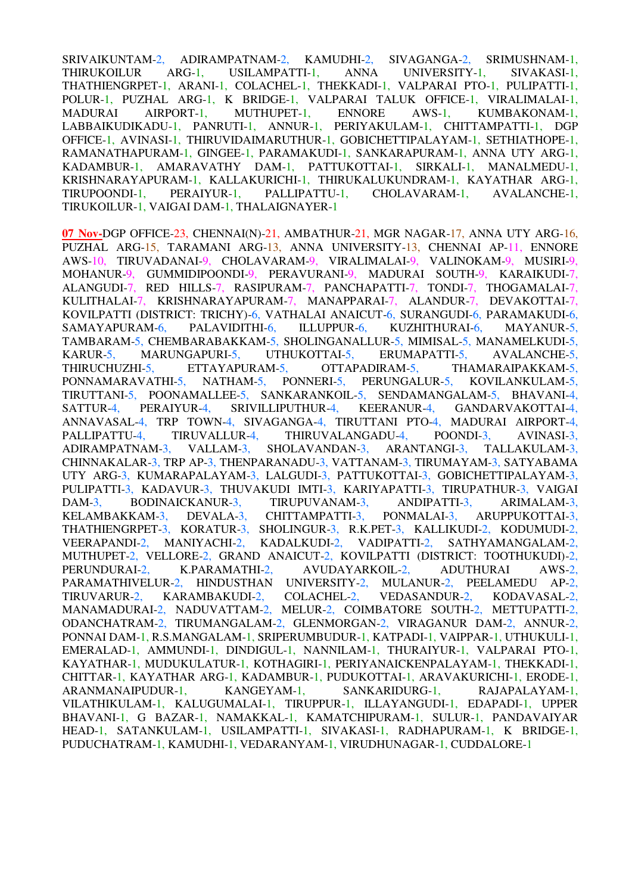SRIVAIKUNTAM-2, ADIRAMPATNAM-2, KAMUDHI-2, SIVAGANGA-2, SRIMUSHNAM-1, THIRUKOILUR ARG-1, USILAMPATTI-1, ANNA UNIVERSITY-1, SIVAKASI-1, THATHIENGRPET-1, ARANI-1, COLACHEL-1, THEKKADI-1, VALPARAI PTO-1, PULIPATTI-1, POLUR-1, PUZHAL ARG-1, K BRIDGE-1, VALPARAI TALUK OFFICE-1, VIRALIMALAI-1, MADURAI AIRPORT-1, MUTHUPET-1, ENNORE AWS-1, KUMBAKONAM-1, LABBAIKUDIKADU-1, PANRUTI-1, ANNUR-1, PERIYAKULAM-1, CHITTAMPATTI-1, DGP OFFICE-1, AVINASI-1, THIRUVIDAIMARUTHUR-1, GOBICHETTIPALAYAM-1, SETHIATHOPE-1, RAMANATHAPURAM-1, GINGEE-1, PARAMAKUDI-1, SANKARAPURAM-1, ANNA UTY ARG-1, KADAMBUR-1, AMARAVATHY DAM-1, PATTUKOTTAI-1, SIRKALI-1, MANALMEDU-1, KRISHNARAYAPURAM-1, KALLAKURICHI-1, THIRUKALUKUNDRAM-1, KAYATHAR ARG-1, TIRUPOONDI-1, PERAIYUR-1, PALLIPATTU-1, CHOLAVARAM-1, AVALANCHE-1, TIRUKOILUR-1, VAIGAI DAM-1, THALAIGNAYER-1

**07 Nov-**DGP OFFICE-23, CHENNAI(N)-21, AMBATHUR-21, MGR NAGAR-17, ANNA UTY ARG-16, PUZHAL ARG-15, TARAMANI ARG-13, ANNA UNIVERSITY-13, CHENNAI AP-11, ENNORE AWS-10, TIRUVADANAI-9, CHOLAVARAM-9, VIRALIMALAI-9, VALINOKAM-9, MUSIRI-9, MOHANUR-9, GUMMIDIPOONDI-9, PERAVURANI-9, MADURAI SOUTH-9, KARAIKUDI-7, ALANGUDI-7, RED HILLS-7, RASIPURAM-7, PANCHAPATTI-7, TONDI-7, THOGAMALAI-7, KULITHALAI-7, KRISHNARAYAPURAM-7, MANAPPARAI-7, ALANDUR-7, DEVAKOTTAI-7, KOVILPATTI (DISTRICT: TRICHY)-6, VATHALAI ANAICUT-6, SURANGUDI-6, PARAMAKUDI-6, SAMAYAPURAM-6, PALAVIDITHI-6, ILLUPPUR-6, KUZHITHURAI-6, MAYANUR-5, TAMBARAM-5, CHEMBARABAKKAM-5, SHOLINGANALLUR-5, MIMISAL-5, MANAMELKUDI-5, KARUR-5, MARUNGAPURI-5, UTHUKOTTAI-5, ERUMAPATTI-5, AVALANCHE-5,<br>THIRUCHUZHI-5, ETTAYAPURAM-5, OTTAPADIRAM-5, THAMARAIPAKKAM-5, THIRUCHUZHI-5, ETTAYAPURAM-5, OTTAPADIRAM-5, THAMARAIPAKKAM-5, PONNAMARAVATHI-5, NATHAM-5, PONNERI-5, PERUNGALUR-5, KOVILANKULAM-5, NATHAM-5, PONNERI-5, PERUNGALUR-5, KOVILANKULAM-5, TIRUTTANI-5, POONAMALLEE-5, SANKARANKOIL-5, SENDAMANGALAM-5, BHAVANI-4, SATTUR-4, PERAIYUR-4, SRIVILLIPUTHUR-4, KEERANUR-4, GANDARVAKOTTAI-4, ANNAVASAL-4, TRP TOWN-4, SIVAGANGA-4, TIRUTTANI PTO-4, MADURAI AIRPORT-4, PALLIPATTU-4, TIRUVALLUR-4, THIRUVALANGADU-4, POONDI-3, AVINASI-3, ADIRAMPATNAM-3, VALLAM-3, SHOLAVANDAN-3, ARANTANGI-3, TALLAKULAM-3, CHINNAKALAR-3, TRP AP-3, THENPARANADU-3, VATTANAM-3, TIRUMAYAM-3, SATYABAMA UTY ARG-3, KUMARAPALAYAM-3, LALGUDI-3, PATTUKOTTAI-3, GOBICHETTIPALAYAM-3, PULIPATTI-3, KADAVUR-3, THUVAKUDI IMTI-3, KARIYAPATTI-3, TIRUPATHUR-3, VAIGAI DAM-3, BODINAICKANUR-3, TIRUPUVANAM-3, ANDIPATTI-3, ARIMALAM-3, KELAMBAKKAM-3, DEVALA-3, CHITTAMPATTI-3, PONMALAI-3, ARUPPUKOTTAI-3, THATHIENGRPET-3, KORATUR-3, SHOLINGUR-3, R.K.PET-3, KALLIKUDI-2, KODUMUDI-2, VEERAPANDI-2, MANIYACHI-2, KADALKUDI-2, VADIPATTI-2, SATHYAMANGALAM-2, MUTHUPET-2, VELLORE-2, GRAND ANAICUT-2, KOVILPATTI (DISTRICT: TOOTHUKUDI)-2, PERUNDURAI-2, K.PARAMATHI-2, AVUDAYARKOIL-2, ADUTHURAI AWS-2, PARAMATHIVELUR-2, HINDUSTHAN UNIVERSITY-2, MULANUR-2, PEELAMEDU AP-2, TIRUVARUR-2, KARAMBAKUDI-2, COLACHEL-2, VEDASANDUR-2, KODAVASAL-2, MANAMADURAI-2, NADUVATTAM-2, MELUR-2, COIMBATORE SOUTH-2, METTUPATTI-2, ODANCHATRAM-2, TIRUMANGALAM-2, GLENMORGAN-2, VIRAGANUR DAM-2, ANNUR-2, PONNAI DAM-1, R.S.MANGALAM-1, SRIPERUMBUDUR-1, KATPADI-1, VAIPPAR-1, UTHUKULI-1, EMERALAD-1, AMMUNDI-1, DINDIGUL-1, NANNILAM-1, THURAIYUR-1, VALPARAI PTO-1, KAYATHAR-1, MUDUKULATUR-1, KOTHAGIRI-1, PERIYANAICKENPALAYAM-1, THEKKADI-1, CHITTAR-1, KAYATHAR ARG-1, KADAMBUR-1, PUDUKOTTAI-1, ARAVAKURICHI-1, ERODE-1, ARANMANAIPUDUR-1. KANGEYAM-1. SANKARIDURG-1. RAJAPALAYAM-1. ARANMANAIPUDUR-1, VILATHIKULAM-1, KALUGUMALAI-1, TIRUPPUR-1, ILLAYANGUDI-1, EDAPADI-1, UPPER BHAVANI-1, G BAZAR-1, NAMAKKAL-1, KAMATCHIPURAM-1, SULUR-1, PANDAVAIYAR HEAD-1, SATANKULAM-1, USILAMPATTI-1, SIVAKASI-1, RADHAPURAM-1, K BRIDGE-1, PUDUCHATRAM-1, KAMUDHI-1, VEDARANYAM-1, VIRUDHUNAGAR-1, CUDDALORE-1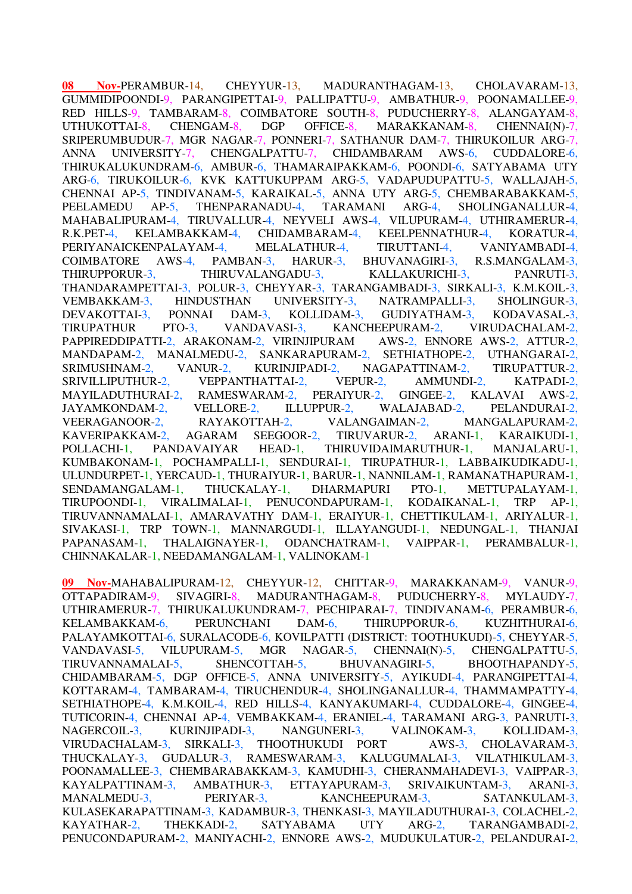**08 Nov-**PERAMBUR-14, CHEYYUR-13, MADURANTHAGAM-13, CHOLAVARAM-13, GUMMIDIPOONDI-9, PARANGIPETTAI-9, PALLIPATTU-9, AMBATHUR-9, POONAMALLEE-9, RED HILLS-9, TAMBARAM-8, COIMBATORE SOUTH-8, PUDUCHERRY-8, ALANGAYAM-8, UTHUKOTTAI-8. CHENGAM-8. DGP OFFICE-8. MARAKKANAM-8, CHENNAI(N)-7, UTHUKOTTAI-8, CHENGAM-8, DGP OFFICE-8, MARAKKANAM-8, CHENNAI(N)-7, SRIPERUMBUDUR-7, MGR NAGAR-7, PONNERI-7, SATHANUR DAM-7, THIRUKOILUR ARG-7, ANNA UNIVERSITY-7, CHENGALPATTU-7, CHIDAMBARAM AWS-6, CUDDALORE-6, THIRUKALUKUNDRAM-6, AMBUR-6, THAMARAIPAKKAM-6, POONDI-6, SATYABAMA UTY ARG-6, TIRUKOILUR-6, KVK KATTUKUPPAM ARG-5, VADAPUDUPATTU-5, WALLAJAH-5, CHENNAI AP-5, TINDIVANAM-5, KARAIKAL-5, ANNA UTY ARG-5, CHEMBARABAKKAM-5, PEELAMEDU AP-5, THENPARANADU-4, TARAMANI ARG-4, SHOLINGANALLUR-4, MAHABALIPURAM-4, TIRUVALLUR-4, NEYVELI AWS-4, VILUPURAM-4, UTHIRAMERUR-4, R.K.PET-4, KELAMBAKKAM-4, CHIDAMBARAM-4, KEELPENNATHUR-4, KORATUR-4, PERIYANAICKENPALAYAM-4, MELALATHUR-4, TIRUTTANI-4, VANIYAMBADI-4, COIMBATORE AWS-4, PAMBAN-3, HARUR-3, BHUVANAGIRI-3, R.S.MANGALAM-3, THIRUPPORUR-3, THIRUVALANGADU-3, KALLAKURICHI-3, PANRUTI-3, THANDARAMPETTAI-3, POLUR-3, CHEYYAR-3, TARANGAMBADI-3, SIRKALI-3, K.M.KOIL-3, VEMBAKKAM-3, HINDUSTHAN UNIVERSITY-3, NATRAMPALLI-3, SHOLINGUR-3, DEVAKOTTAI-3, PONNAI DAM-3, KOLLIDAM-3, GUDIYATHAM-3, KODAVASAL-3, TIRUPATHUR PTO-3, VANDAVASI-3, KANCHEEPURAM-2, VIRUDACHALAM-2, PAPPIREDDIPATTI-2, ARAKONAM-2, VIRINJIPURAM AWS-2, ENNORE AWS-2, ATTUR-2, MANDAPAM-2, MANALMEDU-2, SANKARAPURAM-2, SETHIATHOPE-2, UTHANGARAI-2, SRIMUSHNAM-2, VANUR-2, KURINJIPADI-2, NAGAPATTINAM-2. TIRUPATTUR-2. SRIMUSHNAM-2, VANUR-2, KURINJIPADI-2, NAGAPATTINAM-2, TIRUPATTUR-2, SRIVILLIPUTHUR-2, VEPPANTHATTAI-2, VEPUR-2, AMMUNDI-2, KATPADI-2, MAYILADUTHURAI-2, RAMESWARAM-2, PERAIYUR-2, GINGEE-2, KALAVAI AWS-2, JAYAMKONDAM-2, VELLORE-2, ILLUPPUR-2, WALAJABAD-2, PELANDURAI-2, VEERAGANOOR-2, RAYAKOTTAH-2, VALANGAIMAN-2, MANGALAPURAM-2, KAVERIPAKKAM-2, AGARAM SEEGOOR-2, TIRUVARUR-2, ARANI-1, KARAIKUDI-1, POLLACHI-1, PANDAVAIYAR HEAD-1, THIRUVIDAIMARUTHUR-1, MANJALARU-1, KUMBAKONAM-1, POCHAMPALLI-1, SENDURAI-1, TIRUPATHUR-1, LABBAIKUDIKADU-1, ULUNDURPET-1, YERCAUD-1, THURAIYUR-1, BARUR-1, NANNILAM-1, RAMANATHAPURAM-1,<br>SENDAMANGALAM-1, THUCKALAY-1, DHARMAPURI PTO-1. METTUPALAYAM-1. SENDAMANGALAM-1, THUCKALAY-1, DHARMAPURI PTO-1, METTUPALAYAM-1, TIRUPOONDI-1, VIRALIMALAI-1, PENUCONDAPURAM-1, KODAIKANAL-1, TRP AP-1, TIRUVANNAMALAI-1, AMARAVATHY DAM-1, ERAIYUR-1, CHETTIKULAM-1, ARIYALUR-1, SIVAKASI-1, TRP TOWN-1, MANNARGUDI-1, ILLAYANGUDI-1, NEDUNGAL-1, THANJAI PAPANASAM-1, THALAIGNAYER-1, ODANCHATRAM-1, VAIPPAR-1, PERAMBALUR-1, CHINNAKALAR-1, NEEDAMANGALAM-1, VALINOKAM-1

**09 Nov-**MAHABALIPURAM-12, CHEYYUR-12, CHITTAR-9, MARAKKANAM-9, VANUR-9, OTTAPADIRAM-9, SIVAGIRI-8, MADURANTHAGAM-8, PUDUCHERRY-8, MYLAUDY-7, UTHIRAMERUR-7, THIRUKALUKUNDRAM-7, PECHIPARAI-7, TINDIVANAM-6, PERAMBUR-6, KELAMBAKKAM-6, PERUNCHANI DAM-6, THIRUPPORUR-6, KUZHITHURAI-6, PALAYAMKOTTAI-6, SURALACODE-6, KOVILPATTI (DISTRICT: TOOTHUKUDI)-5, CHEYYAR-5, VANDAVASI-5, VILUPURAM-5, MGR NAGAR-5, CHENNAI(N)-5, CHENGALPATTU-5, TIRUVANNAMALAI-5, SHENCOTTAH-5, BHUVANAGIRI-5, BHOOTHAPANDY-5, CHIDAMBARAM-5, DGP OFFICE-5, ANNA UNIVERSITY-5, AYIKUDI-4, PARANGIPETTAI-4, KOTTARAM-4, TAMBARAM-4, TIRUCHENDUR-4, SHOLINGANALLUR-4, THAMMAMPATTY-4, SETHIATHOPE-4, K.M.KOIL-4, RED HILLS-4, KANYAKUMARI-4, CUDDALORE-4, GINGEE-4, TUTICORIN-4, CHENNAI AP-4, VEMBAKKAM-4, ERANIEL-4, TARAMANI ARG-3, PANRUTI-3, NAGERCOIL-3, KURINJIPADI-3, NANGUNERI-3, VALINOKAM-3, KOLLIDAM-3, VIRUDACHALAM-3, SIRKALI-3, THOOTHUKUDI PORT AWS-3, CHOLAVARAM-3, THUCKALAY-3, GUDALUR-3, RAMESWARAM-3, KALUGUMALAI-3, VILATHIKULAM-3, POONAMALLEE-3, CHEMBARABAKKAM-3, KAMUDHI-3, CHERANMAHADEVI-3, VAIPPAR-3, KAYALPATTINAM-3, AMBATHUR-3, ETTAYAPURAM-3, SRIVAIKUNTAM-3, ARANI-3, KAYALPATTINAM-3, AMBATHUR-3, ETTAYAPURAM-3, SRIVAIKUNTAM-3, ARANI-3, MANALMEDU-3, PERIYAR-3, KANCHEEPURAM-3. SATANKULAM-3. MANALMEDU-3, PERIYAR-3, KANCHEEPURAM-3, SATANKULAM-3, KULASEKARAPATTINAM-3, KADAMBUR-3, THENKASI-3, MAYILADUTHURAI-3, COLACHEL-2, KAYATHAR-2, THEKKADI-2, SATYABAMA UTY ARG-2, TARANGAMBADI-2, PENUCONDAPURAM-2, MANIYACHI-2, ENNORE AWS-2, MUDUKULATUR-2, PELANDURAI-2,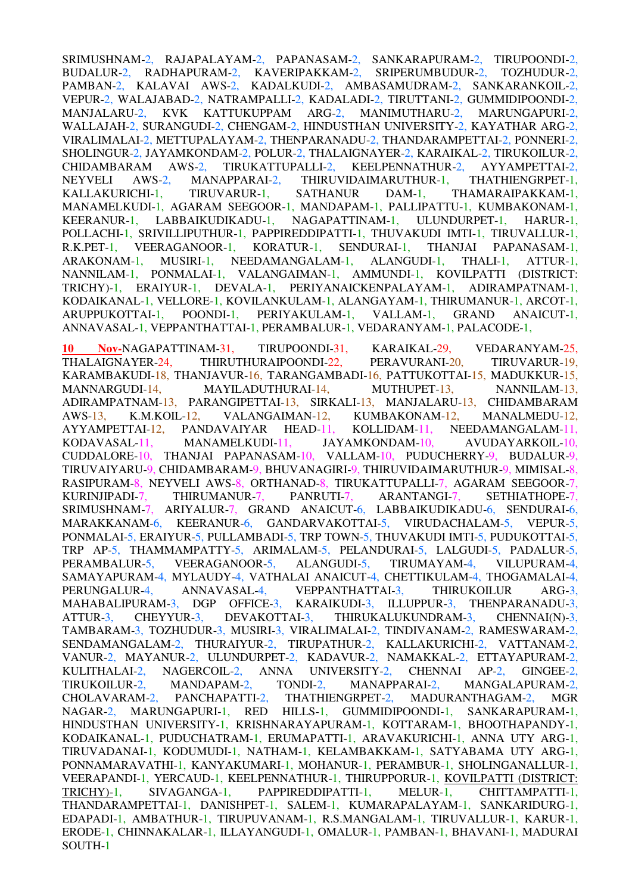SRIMUSHNAM-2, RAJAPALAYAM-2, PAPANASAM-2, SANKARAPURAM-2, TIRUPOONDI-2, BUDALUR-2, RADHAPURAM-2, KAVERIPAKKAM-2, SRIPERUMBUDUR-2, TOZHUDUR-2, PAMBAN-2, KALAVAI AWS-2, KADALKUDI-2, AMBASAMUDRAM-2, SANKARANKOIL-2, VEPUR-2, WALAJABAD-2, NATRAMPALLI-2, KADALADI-2, TIRUTTANI-2, GUMMIDIPOONDI-2, MANJALARU-2, KVK KATTUKUPPAM ARG-2, MANIMUTHARU-2, MARUNGAPURI-2, WALLAJAH-2, SURANGUDI-2, CHENGAM-2, HINDUSTHAN UNIVERSITY-2, KAYATHAR ARG-2, VIRALIMALAI-2, METTUPALAYAM-2, THENPARANADU-2, THANDARAMPETTAI-2, PONNERI-2, SHOLINGUR-2, JAYAMKONDAM-2, POLUR-2, THALAIGNAYER-2, KARAIKAL-2, TIRUKOILUR-2, CHIDAMBARAM AWS-2, TIRUKATTUPALLI-2, KEELPENNATHUR-2, AYYAMPETTAI-2, NEYVELI AWS-2, MANAPPARAI-2, THIRUVIDAIMARUTHUR-1, THATHIENGRPET-1, KALLAKURICHI-1, TIRUVARUR-1, SATHANUR DAM-1, THAMARAIPAKKAM-1, MANAMELKUDI-1, AGARAM SEEGOOR-1, MANDAPAM-1, PALLIPATTU-1, KUMBAKONAM-1, KEERANUR-1, LABBAIKUDIKADU-1, NAGAPATTINAM-1, ULUNDURPET-1, HARUR-1, POLLACHI-1, SRIVILLIPUTHUR-1, PAPPIREDDIPATTI-1, THUVAKUDI IMTI-1, TIRUVALLUR-1, R.K.PET-1, VEERAGANOOR-1, KORATUR-1, SENDURAI-1, THANJAI PAPANASAM-1, ARAKONAM-1, MUSIRI-1, NEEDAMANGALAM-1, ALANGUDI-1, THALI-1, ATTUR-1, ARAKONAM-1, MUSIRI-1, NEEDAMANGALAM-1, ALANGUDI-1, THALI-1, ATTUR-1, NANNILAM-1, PONMALAI-1, VALANGAIMAN-1, AMMUNDI-1, KOVILPATTI (DISTRICT: TRICHY)-1, ERAIYUR-1, DEVALA-1, PERIYANAICKENPALAYAM-1, ADIRAMPATNAM-1, KODAIKANAL-1, VELLORE-1, KOVILANKULAM-1, ALANGAYAM-1, THIRUMANUR-1, ARCOT-1, ARUPPUKOTTAI-1, POONDI-1, PERIYAKULAM-1, VALLAM-1, GRAND ANAICUT-1, ANNAVASAL-1, VEPPANTHATTAI-1, PERAMBALUR-1, VEDARANYAM-1, PALACODE-1,

**10 Nov-**NAGAPATTINAM-31, TIRUPOONDI-31, KARAIKAL-29, VEDARANYAM-25, THALAIGNAYER-24, THIRUTHURAIPOONDI-22, PERAVURANI-20, TIRUVARUR-19, KARAMBAKUDI-18, THANJAVUR-16, TARANGAMBADI-16, PATTUKOTTAI-15, MADUKKUR-15, MANNARGUDI-14, MAYILADUTHURAI-14, MUTHUPET-13, NANNILAM-13, ADIRAMPATNAM-13, PARANGIPETTAI-13, SIRKALI-13, MANJALARU-13, CHIDAMBARAM AWS-13, K.M.KOIL-12, VALANGAIMAN-12, KUMBAKONAM-12, MANALMEDU-12, AYYAMPETTAI-12, PANDAVAIYAR HEAD-11, KOLLIDAM-11, NEEDAMANGALAM-11, KODAVASAL-11, MANAMELKUDI-11, JAYAMKONDAM-10, AVUDAYARKOIL-10, CUDDALORE-10, THANJAI PAPANASAM-10, VALLAM-10, PUDUCHERRY-9, BUDALUR-9, TIRUVAIYARU-9, CHIDAMBARAM-9, BHUVANAGIRI-9, THIRUVIDAIMARUTHUR-9, MIMISAL-8, RASIPURAM-8, NEYVELI AWS-8, ORTHANAD-8, TIRUKATTUPALLI-7, AGARAM SEEGOOR-7, KURINJIPADI-7, THIRUMANUR-7, PANRUTI-7, ARANTANGI-7, SETHIATHOPE-7, SRIMUSHNAM-7, ARIYALUR-7, GRAND ANAICUT-6, LABBAIKUDIKADU-6, SENDURAI-6, MARAKKANAM-6, KEERANUR-6, GANDARVAKOTTAI-5, VIRUDACHALAM-5, VEPUR-5, PONMALAI-5, ERAIYUR-5, PULLAMBADI-5, TRP TOWN-5, THUVAKUDI IMTI-5, PUDUKOTTAI-5, TRP AP-5, THAMMAMPATTY-5, ARIMALAM-5, PELANDURAI-5, LALGUDI-5, PADALUR-5, PERAMBALUR-5, VEERAGANOOR-5, ALANGUDI-5, TIRUMAYAM-4, VILUPURAM-4, PERAMBALUR-5, VEERAGANOOR-5, ALANGUDI-5, TIRUMAYAM-4, VILUPURAM-4, SAMAYAPURAM-4, MYLAUDY-4, VATHALAI ANAICUT-4, CHETTIKULAM-4, THOGAMALAI-4, PERUNGALUR-4, ANNAVASAL-4, VEPPANTHATTAI-3, THIRUKOILUR ARG-3, MAHABALIPURAM-3, DGP OFFICE-3, KARAIKUDI-3, ILLUPPUR-3, THENPARANADU-3, ATTUR-3, CHEYYUR-3, DEVAKOTTAI-3, THIRUKALUKUNDRAM-3, CHENNAI(N)-3. ATTUR-3, CHEYYUR-3, DEVAKOTTAI-3, THIRUKALUKUNDRAM-3, CHENNAI(N)-3, TAMBARAM-3, TOZHUDUR-3, MUSIRI-3, VIRALIMALAI-2, TINDIVANAM-2, RAMESWARAM-2, SENDAMANGALAM-2, THURAIYUR-2, TIRUPATHUR-2, KALLAKURICHI-2, VATTANAM-2, VANUR-2, MAYANUR-2, ULUNDURPET-2, KADAVUR-2, NAMAKKAL-2, ETTAYAPURAM-2, KULITHALAI-2, NAGERCOIL-2, ANNA UNIVERSITY-2, CHENNAI AP-2, GINGEE-2, TIRUKOILUR-2, MANDAPAM-2, TONDI-2, MANAPPARAI-2, MANGALAPURAM-2, CHOLAVARAM-2, PANCHAPATTI-2, THATHIENGRPET-2, MADURANTHAGAM-2, MGR NAGAR-2, MARUNGAPURI-1, RED HILLS-1, GUMMIDIPOONDI-1, SANKARAPURAM-1, HINDUSTHAN UNIVERSITY-1, KRISHNARAYAPURAM-1, KOTTARAM-1, BHOOTHAPANDY-1, KODAIKANAL-1, PUDUCHATRAM-1, ERUMAPATTI-1, ARAVAKURICHI-1, ANNA UTY ARG-1, TIRUVADANAI-1, KODUMUDI-1, NATHAM-1, KELAMBAKKAM-1, SATYABAMA UTY ARG-1, PONNAMARAVATHI-1, KANYAKUMARI-1, MOHANUR-1, PERAMBUR-1, SHOLINGANALLUR-1, VEERAPANDI-1, YERCAUD-1, KEELPENNATHUR-1, THIRUPPORUR-1, KOVILPATTI (DISTRICT: TRICHY)-1, SIVAGANGA-1, PAPPIREDDIPATTI-1, MELUR-1, CHITTAMPATTI-1, THANDARAMPETTAI-1, DANISHPET-1, SALEM-1, KUMARAPALAYAM-1, SANKARIDURG-1, EDAPADI-1, AMBATHUR-1, TIRUPUVANAM-1, R.S.MANGALAM-1, TIRUVALLUR-1, KARUR-1, ERODE-1, CHINNAKALAR-1, ILLAYANGUDI-1, OMALUR-1, PAMBAN-1, BHAVANI-1, MADURAI SOUTH-1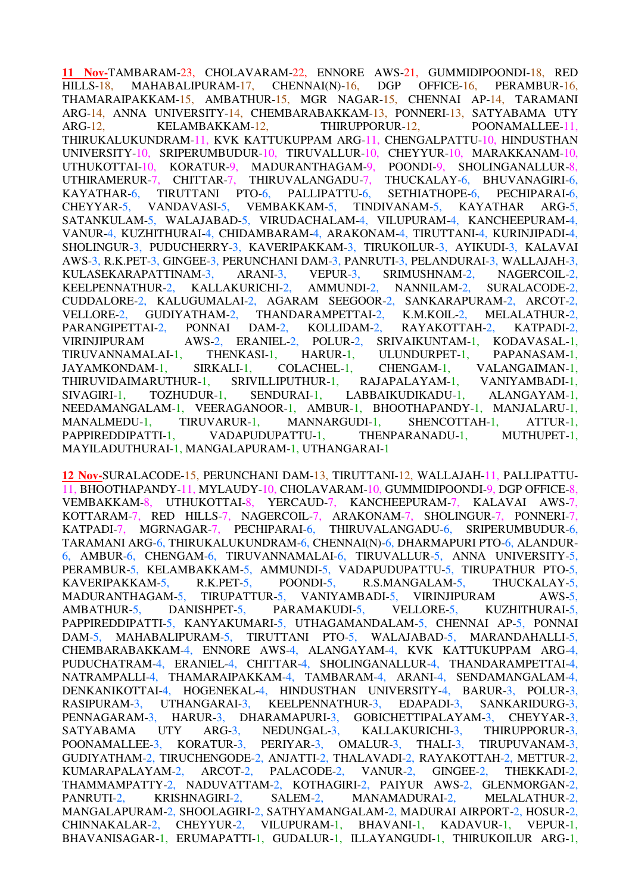**11 Nov-**TAMBARAM-23, CHOLAVARAM-22, ENNORE AWS-21, GUMMIDIPOONDI-18, RED HILLS-18, MAHABALIPURAM-17, CHENNAI(N)-16, DGP OFFICE-16, PERAMBUR-16, THAMARAIPAKKAM-15, AMBATHUR-15, MGR NAGAR-15, CHENNAI AP-14, TARAMANI ARG-14, ANNA UNIVERSITY-14, CHEMBARABAKKAM-13, PONNERI-13, SATYABAMA UTY ARG-12, KELAMBAKKAM-12, THIRUPPORUR-12, POONAMALLEE-11, THIRUKALUKUNDRAM-11, KVK KATTUKUPPAM ARG-11, CHENGALPATTU-10, HINDUSTHAN UNIVERSITY-10, SRIPERUMBUDUR-10, TIRUVALLUR-10, CHEYYUR-10, MARAKKANAM-10, UTHUKOTTAI-10, KORATUR-9, MADURANTHAGAM-9, POONDI-9, SHOLINGANALLUR-8, UTHIRAMERUR-7, CHITTAR-7, THIRUVALANGADU-7, THUCKALAY-6, BHUVANAGIRI-6, KAYATHAR-6, TIRUTTANI PTO-6, PALLIPATTU-6, SETHIATHOPE-6, PECHIPARAI-6, CHEYYAR-5, VANDAVASI-5, VEMBAKKAM-5, TINDIVANAM-5, KAYATHAR ARG-5, SATANKULAM-5, WALAJABAD-5, VIRUDACHALAM-4, VILUPURAM-4, KANCHEEPURAM-4, VANUR-4, KUZHITHURAI-4, CHIDAMBARAM-4, ARAKONAM-4, TIRUTTANI-4, KURINJIPADI-4, SHOLINGUR-3, PUDUCHERRY-3, KAVERIPAKKAM-3, TIRUKOILUR-3, AYIKUDI-3, KALAVAI AWS-3, R.K.PET-3, GINGEE-3, PERUNCHANI DAM-3, PANRUTI-3, PELANDURAI-3, WALLAJAH-3, KULASEKARAPATTINAM-3, ARANI-3, VEPUR-3, SRIMUSHNAM-2, NAGERCOIL-2, KEELPENNATHUR-2, KALLAKURICHI-2, AMMUNDI-2, NANNILAM-2, SURALACODE-2, CUDDALORE-2, KALUGUMALAI-2, AGARAM SEEGOOR-2, SANKARAPURAM-2, ARCOT-2, VELLORE-2, GUDIYATHAM-2, THANDARAMPETTAI-2, K.M.KOIL-2, MELALATHUR-2, PARANGIPETTAI-2, PONNAI DAM-2, KOLLIDAM-2, RAYAKOTTAH-2, KATPADI-2, VIRINJIPURAM AWS-2, ERANIEL-2, POLUR-2, SRIVAIKUNTAM-1, KODAVASAL-1, TIRUVANNAMALAI-1, THENKASI-1, HARUR-1, ULUNDURPET-1, PAPANASAM-1, JAYAMKONDAM-1, SIRKALI-1, COLACHEL-1, CHENGAM-1, VALANGAIMAN-1, THIRUVIDAIMARUTHUR-1, SRIVILLIPUTHUR-1, RAJAPALAYAM-1, VANIYAMBADI-1, SIVAGIRI-1, TOZHUDUR-1, SENDURAI-1, LABBAIKUDIKADU-1, ALANGAYAM-1, NEEDAMANGALAM-1, VEERAGANOOR-1, AMBUR-1, BHOOTHAPANDY-1, MANJALARU-1, MANALMEDU-1, TIRUVARUR-1, MANNARGUDI-1, SHENCOTTAH-1, ATTUR-1, PAPPIREDDIPATTI-1, VADAPUDUPATTU-1, THENPARANADU-1, MUTHUPET-1, MAYILADUTHURAI-1, MANGALAPURAM-1, UTHANGARAI-1

**12 Nov-**SURALACODE-15, PERUNCHANI DAM-13, TIRUTTANI-12, WALLAJAH-11, PALLIPATTU-11, BHOOTHAPANDY-11, MYLAUDY-10, CHOLAVARAM-10, GUMMIDIPOONDI-9, DGP OFFICE-8, VEMBAKKAM-8, UTHUKOTTAI-8, YERCAUD-7, KANCHEEPURAM-7, KALAVAI AWS-7, KOTTARAM-7, RED HILLS-7, NAGERCOIL-7, ARAKONAM-7, SHOLINGUR-7, PONNERI-7, KATPADI-7, MGRNAGAR-7, PECHIPARAI-6, THIRUVALANGADU-6, SRIPERUMBUDUR-6, TARAMANI ARG-6, THIRUKALUKUNDRAM-6, CHENNAI(N)-6, DHARMAPURI PTO-6, ALANDUR-6, AMBUR-6, CHENGAM-6, TIRUVANNAMALAI-6, TIRUVALLUR-5, ANNA UNIVERSITY-5, PERAMBUR-5, KELAMBAKKAM-5, AMMUNDI-5, VADAPUDUPATTU-5, TIRUPATHUR PTO-5, KAVERIPAKKAM-5, R.K.PET-5, POONDI-5, R.S.MANGALAM-5, THUCKALAY-5, MADURANTHAGAM-5, TIRUPATTUR-5, VANIYAMBADI-5, VIRINJIPURAM AWS-5, AMBATHUR-5, DANISHPET-5, PARAMAKUDI-5, VELLORE-5, KUZHITHURAI-5, PAPPIREDDIPATTI-5, KANYAKUMARI-5, UTHAGAMANDALAM-5, CHENNAI AP-5, PONNAI DAM-5, MAHABALIPURAM-5, TIRUTTANI PTO-5, WALAJABAD-5, MARANDAHALLI-5, CHEMBARABAKKAM-4, ENNORE AWS-4, ALANGAYAM-4, KVK KATTUKUPPAM ARG-4, PUDUCHATRAM-4, ERANIEL-4, CHITTAR-4, SHOLINGANALLUR-4, THANDARAMPETTAI-4, NATRAMPALLI-4, THAMARAIPAKKAM-4, TAMBARAM-4, ARANI-4, SENDAMANGALAM-4, DENKANIKOTTAI-4, HOGENEKAL-4, HINDUSTHAN UNIVERSITY-4, BARUR-3, POLUR-3, RASIPURAM-3, UTHANGARAI-3, KEELPENNATHUR-3, EDAPADI-3, SANKARIDURG-3, PENNAGARAM-3, HARUR-3, DHARAMAPURI-3, GOBICHETTIPALAYAM-3, CHEYYAR-3, SATYABAMA UTY ARG-3, NEDUNGAL-3, KALLAKURICHI-3, THIRUPPORUR-3, POONAMALLEE-3, KORATUR-3, PERIYAR-3, OMALUR-3, THALI-3, TIRUPUVANAM-3, GUDIYATHAM-2, TIRUCHENGODE-2, ANJATTI-2, THALAVADI-2, RAYAKOTTAH-2, METTUR-2, KUMARAPALAYAM-2, ARCOT-2, PALACODE-2, VANUR-2, GINGEE-2, THEKKADI-2, THAMMAMPATTY-2, NADUVATTAM-2, KOTHAGIRI-2, PAIYUR AWS-2, GLENMORGAN-2, PANRUTI-2, KRISHNAGIRI-2, SALEM-2, MANAMADURAI-2, MELALATHUR-2, MANGALAPURAM-2, SHOOLAGIRI-2, SATHYAMANGALAM-2, MADURAI AIRPORT-2, HOSUR-2, CHINNAKALAR-2, CHEYYUR-2, VILUPURAM-1, BHAVANI-1, KADAVUR-1, VEPUR-1, BHAVANISAGAR-1, ERUMAPATTI-1, GUDALUR-1, ILLAYANGUDI-1, THIRUKOILUR ARG-1,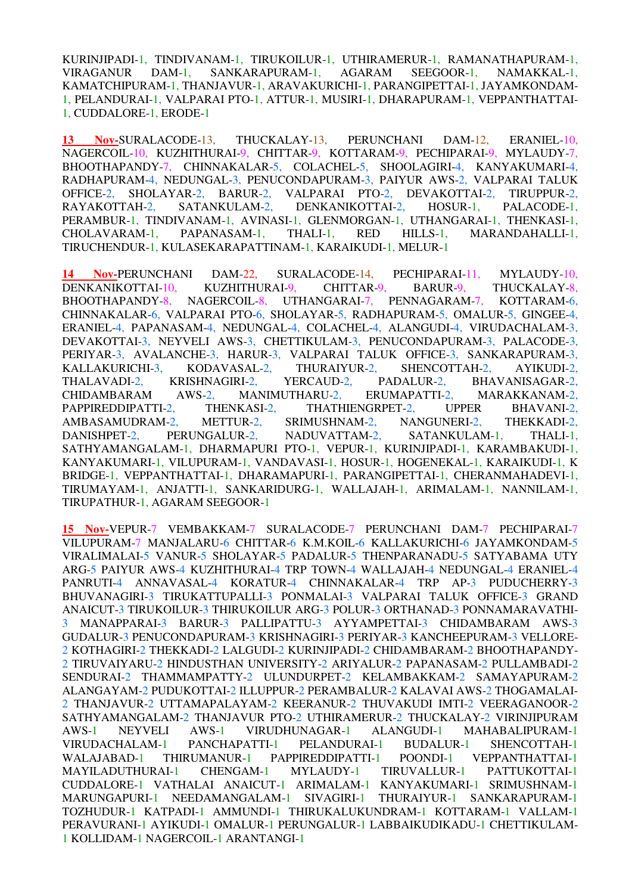KURINJIPADI-1, TINDIVANAM-1, TIRUKOILUR-1, UTHIRAMERUR-1, RAMANATHAPURAM-1, VIRAGANUR DAM-1, SANKARAPURAM-1, AGARAM SEEGOOR-1, NAMAKKAL-1, KAMATCHIPURAM-1, THANJAVUR-1, ARAVAKURICHI-1, PARANGIPETTAI-1, JAYAMKONDAM-1, PELANDURAI-1, VALPARAI PTO-1, ATTUR-1, MUSIRI-1, DHARAPURAM-1, VEPPANTHATTAI-1, CUDDALORE-1, ERODE-1

**13 Nov-**SURALACODE-13, THUCKALAY-13, PERUNCHANI DAM-12, ERANIEL-10, NAGERCOIL-10, KUZHITHURAI-9, CHITTAR-9, KOTTARAM-9, PECHIPARAI-9, MYLAUDY-7, BHOOTHAPANDY-7, CHINNAKALAR-5, COLACHEL-5, SHOOLAGIRI-4, KANYAKUMARI-4, RADHAPURAM-4, NEDUNGAL-3, PENUCONDAPURAM-3, PAIYUR AWS-2, VALPARAI TALUK OFFICE-2, SHOLAYAR-2, BARUR-2, VALPARAI PTO-2, DEVAKOTTAI-2, TIRUPPUR-2, RAYAKOTTAH-2, SATANKULAM-2, DENKANIKOTTAI-2, HOSUR-1, PALACODE-1, PERAMBUR-1, TINDIVANAM-1, AVINASI-1, GLENMORGAN-1, UTHANGARAI-1, THENKASI-1, CHOLAVARAM-1, PAPANASAM-1, THALI-1, RED HILLS-1, MARANDAHALLI-1, TIRUCHENDUR-1, KULASEKARAPATTINAM-1, KARAIKUDI-1, MELUR-1

**14 Nov-**PERUNCHANI DAM-22, SURALACODE-14, PECHIPARAI-11, MYLAUDY-10, DENKANIKOTTAI-10, KUZHITHURAI-9, CHITTAR-9, BARUR-9, THUCKALAY-8, BHOOTHAPANDY-8, NAGERCOIL-8, UTHANGARAI-7, PENNAGARAM-7, KOTTARAM-6, CHINNAKALAR-6, VALPARAI PTO-6, SHOLAYAR-5, RADHAPURAM-5, OMALUR-5, GINGEE-4, ERANIEL-4, PAPANASAM-4, NEDUNGAL-4, COLACHEL-4, ALANGUDI-4, VIRUDACHALAM-3, DEVAKOTTAI-3, NEYVELI AWS-3, CHETTIKULAM-3, PENUCONDAPURAM-3, PALACODE-3, PERIYAR-3, AVALANCHE-3, HARUR-3, VALPARAI TALUK OFFICE-3, SANKARAPURAM-3, KALLAKURICHI-3, KODAVASAL-2, THURAIYUR-2, SHENCOTTAH-2, AYIKUDI-2, THALAVADI-2, KRISHNAGIRI-2, YERCAUD-2, PADALUR-2, BHAVANISAGAR-2, CHIDAMBARAM AWS-2, MANIMUTHARU-2, ERUMAPATTI-2, MARAKKANAM-2, PAPPIREDDIPATTI-2, THENKASI-2, THATHIENGRPET-2, UPPER BHAVANI-2, AMBASAMUDRAM-2, METTUR-2, SRIMUSHNAM-2, NANGUNERI-2, THEKKADI-2, DANISHPET-2, PERUNGALUR-2, NADUVATTAM-2, SATANKULAM-1, THALI-1, SATHYAMANGALAM-1, DHARMAPURI PTO-1, VEPUR-1, KURINJIPADI-1, KARAMBAKUDI-1, KANYAKUMARI-1, VILUPURAM-1, VANDAVASI-1, HOSUR-1, HOGENEKAL-1, KARAIKUDI-1, K BRIDGE-1, VEPPANTHATTAI-1, DHARAMAPURI-1, PARANGIPETTAI-1, CHERANMAHADEVI-1, TIRUMAYAM-1, ANJATTI-1, SANKARIDURG-1, WALLAJAH-1, ARIMALAM-1, NANNILAM-1, TIRUPATHUR-1, AGARAM SEEGOOR-1

**15 Nov-**VEPUR-7 VEMBAKKAM-7 SURALACODE-7 PERUNCHANI DAM-7 PECHIPARAI-7 VILUPURAM-7 MANJALARU-6 CHITTAR-6 K.M.KOIL-6 KALLAKURICHI-6 JAYAMKONDAM-5 VIRALIMALAI-5 VANUR-5 SHOLAYAR-5 PADALUR-5 THENPARANADU-5 SATYABAMA UTY ARG-5 PAIYUR AWS-4 KUZHITHURAI-4 TRP TOWN-4 WALLAJAH-4 NEDUNGAL-4 ERANIEL-4 PANRUTI-4 ANNAVASAL-4 KORATUR-4 CHINNAKALAR-4 TRP AP-3 PUDUCHERRY-3 BHUVANAGIRI-3 TIRUKATTUPALLI-3 PONMALAI-3 VALPARAI TALUK OFFICE-3 GRAND ANAICUT-3 TIRUKOILUR-3 THIRUKOILUR ARG-3 POLUR-3 ORTHANAD-3 PONNAMARAVATHI-3 MANAPPARAI-3 BARUR-3 PALLIPATTU-3 AYYAMPETTAI-3 CHIDAMBARAM AWS-3 GUDALUR-3 PENUCONDAPURAM-3 KRISHNAGIRI-3 PERIYAR-3 KANCHEEPURAM-3 VELLORE-2 KOTHAGIRI-2 THEKKADI-2 LALGUDI-2 KURINJIPADI-2 CHIDAMBARAM-2 BHOOTHAPANDY-2 TIRUVAIYARU-2 HINDUSTHAN UNIVERSITY-2 ARIYALUR-2 PAPANASAM-2 PULLAMBADI-2 SENDURAI-2 THAMMAMPATTY-2 ULUNDURPET-2 KELAMBAKKAM-2 SAMAYAPURAM-2 ALANGAYAM-2 PUDUKOTTAI-2 ILLUPPUR-2 PERAMBALUR-2 KALAVAI AWS-2 THOGAMALAI-2 THANJAVUR-2 UTTAMAPALAYAM-2 KEERANUR-2 THUVAKUDI IMTI-2 VEERAGANOOR-2 SATHYAMANGALAM-2 THANJAVUR PTO-2 UTHIRAMERUR-2 THUCKALAY-2 VIRINJIPURAM AWS-1 NEYVELI AWS-1 VIRUDHUNAGAR-1 ALANGUDI-1 MAHABALIPURAM-1 VIRUDACHALAM-1 PANCHAPATTI-1 PELANDURAI-1 BUDALUR-1 SHENCOTTAH-1 WALAJABAD-1 THIRUMANUR-1 PAPPIREDDIPATTI-1 POONDI-1 VEPPANTHATTAI-1 MAYILADUTHURAI-1 CHENGAM-1 MYLAUDY-1 TIRUVALLUR-1 PATTUKOTTAI-1 CUDDALORE-1 VATHALAI ANAICUT-1 ARIMALAM-1 KANYAKUMARI-1 SRIMUSHNAM-1 MARUNGAPURI-1 NEEDAMANGALAM-1 SIVAGIRI-1 THURAIYUR-1 SANKARAPURAM-1 TOZHUDUR-1 KATPADI-1 AMMUNDI-1 THIRUKALUKUNDRAM-1 KOTTARAM-1 VALLAM-1 PERAVURANI-1 AYIKUDI-1 OMALUR-1 PERUNGALUR-1 LABBAIKUDIKADU-1 CHETTIKULAM-1 KOLLIDAM-1 NAGERCOIL-1 ARANTANGI-1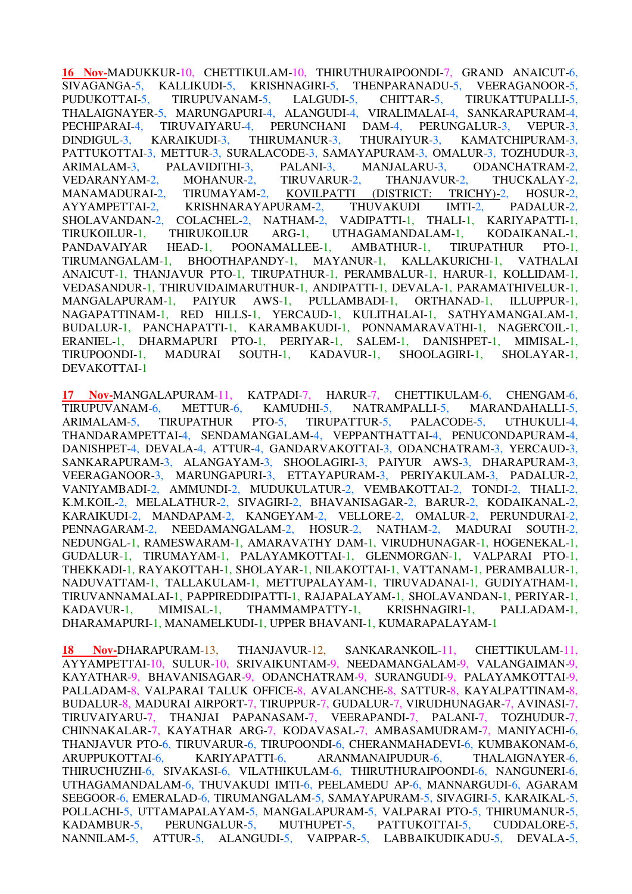**16 Nov-**MADUKKUR-10, CHETTIKULAM-10, THIRUTHURAIPOONDI-7, GRAND ANAICUT-6, SIVAGANGA-5, KALLIKUDI-5, KRISHNAGIRI-5, THENPARANADU-5, VEERAGANOOR-5, PUDUKOTTAI-5, TIRUPUVANAM-5, LALGUDI-5, CHITTAR-5, TIRUKATTUPALLI-5, THALAIGNAYER-5, MARUNGAPURI-4, ALANGUDI-4, VIRALIMALAI-4, SANKARAPURAM-4, PECHIPARAI-4, TIRUVAIYARU-4, PERUNCHANI DAM-4, PERUNGALUR-3, VEPUR-3, DINDIGUL-3, KARAIKUDI-3, THIRUMANUR-3, THURAIYUR-3, KAMATCHIPURAM-3, PATTUKOTTAI-3, METTUR-3, SURALACODE-3, SAMAYAPURAM-3, OMALUR-3, TOZHUDUR-3, ARIMALAM-3, PALAVIDITHI-3, PALANI-3, MANJALARU-3, ODANCHATRAM-2, VEDARANYAM-2, MOHANUR-2, TIRUVARUR-2, THANJAVUR-2, THUCKALAY-2, MANAMADURAI-2, TIRUMAYAM-2, KOVILPATTI (DISTRICT: TRICHY)-2, HOSUR-2, AYYAMPETTAI-2, KRISHNARAYAPURAM-2, THUVAKUDI IMTI-2, PADALUR-2, SHOLAVANDAN-2, COLACHEL-2, NATHAM-2, VADIPATTI-1, THALI-1, KARIYAPATTI-1, SHOLAVANDAN-2, COLACHEL-2, NATHAM-2, VADIPATTI-1, THALI-1, KARIYAPATTI-1, TIRUKOILUR-1, THIRUKOILUR ARG-1, UTHAGAMANDALAM-1, KODAIKANAL-1, PANDAVAIYAR HEAD-1, POONAMALLEE-1, AMBATHUR-1, TIRUPATHUR PTO-1, TIRUMANGALAM-1, BHOOTHAPANDY-1, MAYANUR-1, KALLAKURICHI-1, VATHALAI ANAICUT-1, THANJAVUR PTO-1, TIRUPATHUR-1, PERAMBALUR-1, HARUR-1, KOLLIDAM-1, VEDASANDUR-1, THIRUVIDAIMARUTHUR-1, ANDIPATTI-1, DEVALA-1, PARAMATHIVELUR-1, MANGALAPURAM-1, PAIYUR AWS-1, PULLAMBADI-1, ORTHANAD-1, ILLUPPUR-1, NAGAPATTINAM-1, RED HILLS-1, YERCAUD-1, KULITHALAI-1, SATHYAMANGALAM-1, BUDALUR-1, PANCHAPATTI-1, KARAMBAKUDI-1, PONNAMARAVATHI-1, NAGERCOIL-1, ERANIEL-1, DHARMAPURI PTO-1, PERIYAR-1, SALEM-1, DANISHPET-1, MIMISAL-1, TIRUPOONDI-1, MADURAI SOUTH-1, KADAVUR-1, SHOOLAGIRI-1, SHOLAYAR-1, DEVAKOTTAI-1

**17 Nov-**MANGALAPURAM-11, KATPADI-7, HARUR-7, CHETTIKULAM-6, CHENGAM-6, TIRUPUVANAM-6, METTUR-6, KAMUDHI-5, NATRAMPALLI-5, MARANDAHALLI-5, ARIMALAM-5, TIRUPATHUR PTO-5, TIRUPATTUR-5, PALACODE-5, UTHUKULI-4, THANDARAMPETTAI-4, SENDAMANGALAM-4, VEPPANTHATTAI-4, PENUCONDAPURAM-4, DANISHPET-4, DEVALA-4, ATTUR-4, GANDARVAKOTTAI-3, ODANCHATRAM-3, YERCAUD-3, SANKARAPURAM-3, ALANGAYAM-3, SHOOLAGIRI-3, PAIYUR AWS-3, DHARAPURAM-3, VEERAGANOOR-3, MARUNGAPURI-3, ETTAYAPURAM-3, PERIYAKULAM-3, PADALUR-2, VANIYAMBADI-2, AMMUNDI-2, MUDUKULATUR-2, VEMBAKOTTAI-2, TONDI-2, THALI-2, K.M.KOIL-2, MELALATHUR-2, SIVAGIRI-2, BHAVANISAGAR-2, BARUR-2, KODAIKANAL-2, KARAIKUDI-2, MANDAPAM-2, KANGEYAM-2, VELLORE-2, OMALUR-2, PERUNDURAI-2, PENNAGARAM-2, NEEDAMANGALAM-2, HOSUR-2, NATHAM-2, MADURAI SOUTH-2, NEDUNGAL-1, RAMESWARAM-1, AMARAVATHY DAM-1, VIRUDHUNAGAR-1, HOGENEKAL-1, GUDALUR-1, TIRUMAYAM-1, PALAYAMKOTTAI-1, GLENMORGAN-1, VALPARAI PTO-1, THEKKADI-1, RAYAKOTTAH-1, SHOLAYAR-1, NILAKOTTAI-1, VATTANAM-1, PERAMBALUR-1, NADUVATTAM-1, TALLAKULAM-1, METTUPALAYAM-1, TIRUVADANAI-1, GUDIYATHAM-1, TIRUVANNAMALAI-1, PAPPIREDDIPATTI-1, RAJAPALAYAM-1, SHOLAVANDAN-1, PERIYAR-1, KADAVUR-1, MIMISAL-1, THAMMAMPATTY-1, KRISHNAGIRI-1, PALLADAM-1, DHARAMAPURI-1, MANAMELKUDI-1, UPPER BHAVANI-1, KUMARAPALAYAM-1

**18 Nov-**DHARAPURAM-13, THANJAVUR-12, SANKARANKOIL-11, CHETTIKULAM-11, AYYAMPETTAI-10, SULUR-10, SRIVAIKUNTAM-9, NEEDAMANGALAM-9, VALANGAIMAN-9, KAYATHAR-9, BHAVANISAGAR-9, ODANCHATRAM-9, SURANGUDI-9, PALAYAMKOTTAI-9, PALLADAM-8, VALPARAI TALUK OFFICE-8, AVALANCHE-8, SATTUR-8, KAYALPATTINAM-8, BUDALUR-8, MADURAI AIRPORT-7, TIRUPPUR-7, GUDALUR-7, VIRUDHUNAGAR-7, AVINASI-7, TIRUVAIYARU-7, THANJAI PAPANASAM-7, VEERAPANDI-7, PALANI-7, TOZHUDUR-7, CHINNAKALAR-7, KAYATHAR ARG-7, KODAVASAL-7, AMBASAMUDRAM-7, MANIYACHI-6, THANJAVUR PTO-6, TIRUVARUR-6, TIRUPOONDI-6, CHERANMAHADEVI-6, KUMBAKONAM-6, ARUPPUKOTTAI-6, KARIYAPATTI-6, ARANMANAIPUDUR-6, THALAIGNAYER-6, THIRUCHUZHI-6, SIVAKASI-6, VILATHIKULAM-6, THIRUTHURAIPOONDI-6, NANGUNERI-6, UTHAGAMANDALAM-6, THUVAKUDI IMTI-6, PEELAMEDU AP-6, MANNARGUDI-6, AGARAM SEEGOOR-6, EMERALAD-6, TIRUMANGALAM-5, SAMAYAPURAM-5, SIVAGIRI-5, KARAIKAL-5, POLLACHI-5, UTTAMAPALAYAM-5, MANGALAPURAM-5, VALPARAI PTO-5, THIRUMANUR-5, KADAMBUR-5, PERUNGALUR-5, MUTHUPET-5, PATTUKOTTAI-5, CUDDALORE-5, NANNILAM-5, ATTUR-5, ALANGUDI-5, VAIPPAR-5, LABBAIKUDIKADU-5, DEVALA-5,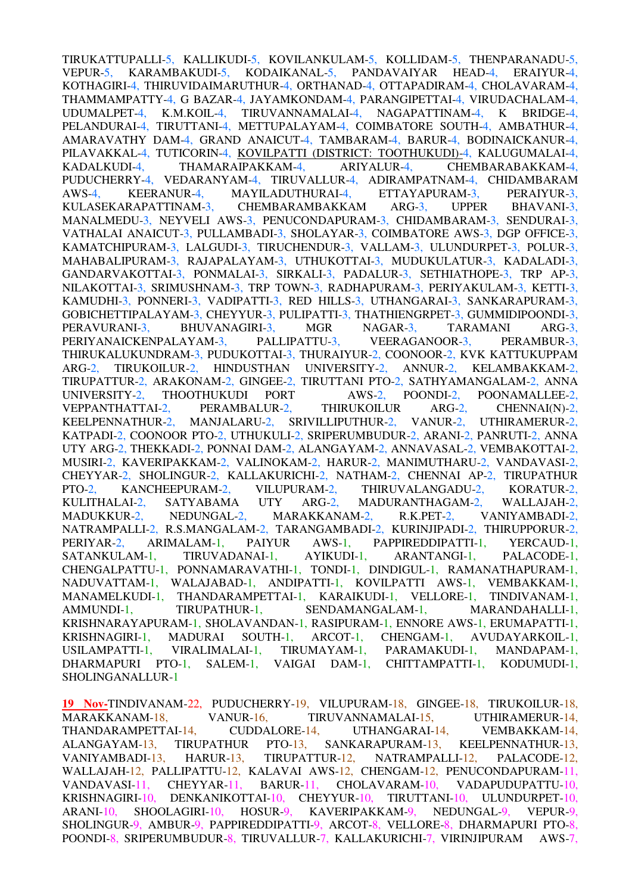TIRUKATTUPALLI-5, KALLIKUDI-5, KOVILANKULAM-5, KOLLIDAM-5, THENPARANADU-5, VEPUR-5, KARAMBAKUDI-5, KODAIKANAL-5, PANDAVAIYAR HEAD-4, ERAIYUR-4, VEPUR-5, KARAMBAKUDI-5, KODAIKANAL-5, PANDAVAIYAR HEAD-4, ERAIYUR-4, KOTHAGIRI-4, THIRUVIDAIMARUTHUR-4, ORTHANAD-4, OTTAPADIRAM-4, CHOLAVARAM-4, THAMMAMPATTY-4, G BAZAR-4, JAYAMKONDAM-4, PARANGIPETTAI-4, VIRUDACHALAM-4, UDUMALPET-4, K.M.KOIL-4, TIRUVANNAMALAI-4, NAGAPATTINAM-4, K BRIDGE-4, PELANDURAI-4, TIRUTTANI-4, METTUPALAYAM-4, COIMBATORE SOUTH-4, AMBATHUR-4, AMARAVATHY DAM-4, GRAND ANAICUT-4, TAMBARAM-4, BARUR-4, BODINAICKANUR-4, PILAVAKKAL-4, TUTICORIN-4, KOVILPATTI (DISTRICT: TOOTHUKUDI)-4, KALUGUMALAI-4, KADALKUDI-4, THAMARAIPAKKAM-4, ARIYALUR-4, CHEMBARABAKKAM-4, PUDUCHERRY-4, VEDARANYAM-4, TIRUVALLUR-4, ADIRAMPATNAM-4, CHIDAMBARAM AWS-4, KEERANUR-4, MAYILADUTHURAI-4, ETTAYAPURAM-3, PERAIYUR-3, KULASEKARAPATTINAM-3, CHEMBARAMBAKKAM ARG-3, UPPER BHAVANI-3, MANALMEDU-3, NEYVELI AWS-3, PENUCONDAPURAM-3, CHIDAMBARAM-3, SENDURAI-3, VATHALAI ANAICUT-3, PULLAMBADI-3, SHOLAYAR-3, COIMBATORE AWS-3, DGP OFFICE-3, KAMATCHIPURAM-3, LALGUDI-3, TIRUCHENDUR-3, VALLAM-3, ULUNDURPET-3, POLUR-3, MAHABALIPURAM-3, RAJAPALAYAM-3, UTHUKOTTAI-3, MUDUKULATUR-3, KADALADI-3, GANDARVAKOTTAI-3, PONMALAI-3, SIRKALI-3, PADALUR-3, SETHIATHOPE-3, TRP AP-3, NILAKOTTAI-3, SRIMUSHNAM-3, TRP TOWN-3, RADHAPURAM-3, PERIYAKULAM-3, KETTI-3, KAMUDHI-3, PONNERI-3, VADIPATTI-3, RED HILLS-3, UTHANGARAI-3, SANKARAPURAM-3, GOBICHETTIPALAYAM-3, CHEYYUR-3, PULIPATTI-3, THATHIENGRPET-3, GUMMIDIPOONDI-3, PERAVURANI-3, BHUVANAGIRI-3, MGR NAGAR-3, TARAMANI ARG-3, PERIYANAICKENPALAYAM-3, PALLIPATTU-3, VEERAGANOOR-3, PERAMBUR-3, THIRUKALUKUNDRAM-3, PUDUKOTTAI-3, THURAIYUR-2, COONOOR-2, KVK KATTUKUPPAM ARG-2, TIRUKOILUR-2, HINDUSTHAN UNIVERSITY-2, ANNUR-2, KELAMBAKKAM-2, TIRUPATTUR-2, ARAKONAM-2, GINGEE-2, TIRUTTANI PTO-2, SATHYAMANGALAM-2, ANNA UNIVERSITY-2, THOOTHUKUDI PORT AWS-2, POONDI-2, POONAMALLEE-2, VEPPANTHATTAI-2, PERAMBALUR-2, THIRUKOILUR ARG-2, CHENNAI(N)-2, KEELPENNATHUR-2, MANJALARU-2, SRIVILLIPUTHUR-2, VANUR-2, UTHIRAMERUR-2, KATPADI-2, COONOOR PTO-2, UTHUKULI-2, SRIPERUMBUDUR-2, ARANI-2, PANRUTI-2, ANNA UTY ARG-2, THEKKADI-2, PONNAI DAM-2, ALANGAYAM-2, ANNAVASAL-2, VEMBAKOTTAI-2, MUSIRI-2, KAVERIPAKKAM-2, VALINOKAM-2, HARUR-2, MANIMUTHARU-2, VANDAVASI-2, CHEYYAR-2, SHOLINGUR-2, KALLAKURICHI-2, NATHAM-2, CHENNAI AP-2, TIRUPATHUR PTO-2, KANCHEEPURAM-2, VILUPURAM-2, THIRUVALANGADU-2, KORATUR-2, KULITHALAI-2, SATYABAMA UTY ARG-2, MADURANTHAGAM-2, WALLAJAH-2, MADUKKUR-2, NEDUNGAL-2, MARAKKANAM-2, R.K.PET-2, VANIYAMBADI-2, NATRAMPALLI-2, R.S.MANGALAM-2, TARANGAMBADI-2, KURINJIPADI-2, THIRUPPORUR-2, PERIYAR-2, ARIMALAM-1, PAIYUR AWS-1, PAPPIREDDIPATTI-1, YERCAUD-1, SATANKULAM-1, TIRUVADANAI-1, AYIKUDI-1, ARANTANGI-1, PALACODE-1, CHENGALPATTU-1, PONNAMARAVATHI-1, TONDI-1, DINDIGUL-1, RAMANATHAPURAM-1, NADUVATTAM-1, WALAJABAD-1, ANDIPATTI-1, KOVILPATTI AWS-1, VEMBAKKAM-1, MANAMELKUDI-1, THANDARAMPETTAI-1, KARAIKUDI-1, VELLORE-1, TINDIVANAM-1, AMMUNDI-1, TIRUPATHUR-1, SENDAMANGALAM-1, MARANDAHALLI-1, KRISHNARAYAPURAM-1, SHOLAVANDAN-1, RASIPURAM-1, ENNORE AWS-1, ERUMAPATTI-1, KRISHNAGIRI-1, MADURAI SOUTH-1, ARCOT-1, CHENGAM-1, AVUDAYARKOIL-1, USILAMPATTI-1, VIRALIMALAI-1, TIRUMAYAM-1, PARAMAKUDI-1, MANDAPAM-1, DHARMAPURI PTO-1, SALEM-1, VAIGAI DAM-1, CHITTAMPATTI-1, KODUMUDI-1, SHOLINGANALLUR-1

**19 Nov-**TINDIVANAM-22, PUDUCHERRY-19, VILUPURAM-18, GINGEE-18, TIRUKOILUR-18, MARAKKANAM-18, VANUR-16, TIRUVANNAMALAI-15, UTHIRAMERUR-14, THANDARAMPETTAI-14, CUDDALORE-14, UTHANGARAI-14, VEMBAKKAM-14, ALANGAYAM-13, TIRUPATHUR PTO-13, SANKARAPURAM-13, KEELPENNATHUR-13, VANIYAMBADI-13, HARUR-13, TIRUPATTUR-12, NATRAMPALLI-12, PALACODE-12, WALLAJAH-12, PALLIPATTU-12, KALAVAI AWS-12, CHENGAM-12, PENUCONDAPURAM-11, VANDAVASI-11, CHEYYAR-11, BARUR-11, CHOLAVARAM-10, VADAPUDUPATTU-10, KRISHNAGIRI-10, DENKANIKOTTAI-10, CHEYYUR-10, TIRUTTANI-10, ULUNDURPET-10, ARANI-10, SHOOLAGIRI-10, HOSUR-9, KAVERIPAKKAM-9, NEDUNGAL-9, VEPUR-9, SHOLINGUR-9, AMBUR-9, PAPPIREDDIPATTI-9, ARCOT-8, VELLORE-8, DHARMAPURI PTO-8, POONDI-8, SRIPERUMBUDUR-8, TIRUVALLUR-7, KALLAKURICHI-7, VIRINJIPURAM AWS-7,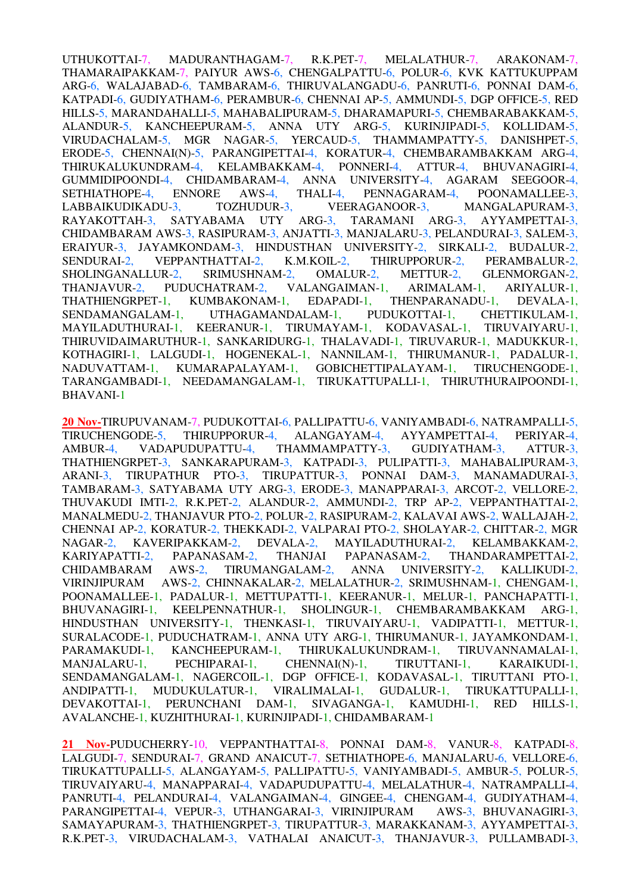UTHUKOTTAI-7, MADURANTHAGAM-7, R.K.PET-7, MELALATHUR-7, ARAKONAM-7, THAMARAIPAKKAM-7, PAIYUR AWS-6, CHENGALPATTU-6, POLUR-6, KVK KATTUKUPPAM ARG-6, WALAJABAD-6, TAMBARAM-6, THIRUVALANGADU-6, PANRUTI-6, PONNAI DAM-6, KATPADI-6, GUDIYATHAM-6, PERAMBUR-6, CHENNAI AP-5, AMMUNDI-5, DGP OFFICE-5, RED HILLS-5, MARANDAHALLI-5, MAHABALIPURAM-5, DHARAMAPURI-5, CHEMBARABAKKAM-5, ALANDUR-5, KANCHEEPURAM-5, ANNA UTY ARG-5, KURINJIPADI-5, KOLLIDAM-5, VIRUDACHALAM-5, MGR NAGAR-5, YERCAUD-5, THAMMAMPATTY-5, DANISHPET-5, ERODE-5, CHENNAI(N)-5, PARANGIPETTAI-4, KORATUR-4, CHEMBARAMBAKKAM ARG-4, THIRUKALUKUNDRAM-4, KELAMBAKKAM-4, PONNERI-4, ATTUR-4, BHUVANAGIRI-4, GUMMIDIPOONDI-4, CHIDAMBARAM-4, ANNA UNIVERSITY-4, AGARAM SEEGOOR-4, SETHIATHOPE-4, ENNORE AWS-4, THALI-4, PENNAGARAM-4, POONAMALLEE-3, LABBAIKUDIKADU-3, TOZHUDUR-3, VEERAGANOOR-3, MANGALAPURAM-3, RAYAKOTTAH-3, SATYABAMA UTY ARG-3, TARAMANI ARG-3, AYYAMPETTAI-3, CHIDAMBARAM AWS-3, RASIPURAM-3, ANJATTI-3, MANJALARU-3, PELANDURAI-3, SALEM-3, ERAIYUR-3, JAYAMKONDAM-3, HINDUSTHAN UNIVERSITY-2, SIRKALI-2, BUDALUR-2, SENDURAI-2, VEPPANTHATTAI-2, K.M.KOIL-2, THIRUPPORUR-2, PERAMBALUR-2, SHOLINGANALLUR-2, SRIMUSHNAM-2, OMALUR-2, METTUR-2, GLENMORGAN-2, THANJAVUR-2, PUDUCHATRAM-2, VALANGAIMAN-1, ARIMALAM-1, ARIYALUR-1, THATHIENGRPET-1, KUMBAKONAM-1, EDAPADI-1, THENPARANADU-1, DEVALA-1, SENDAMANGALAM-1, UTHAGAMANDALAM-1, PUDUKOTTAI-1, CHETTIKULAM-1, MAYILADUTHURAI-1, KEERANUR-1, TIRUMAYAM-1, KODAVASAL-1, TIRUVAIYARU-1, THIRUVIDAIMARUTHUR-1, SANKARIDURG-1, THALAVADI-1, TIRUVARUR-1, MADUKKUR-1, KOTHAGIRI-1, LALGUDI-1, HOGENEKAL-1, NANNILAM-1, THIRUMANUR-1, PADALUR-1, NADUVATTAM-1, KUMARAPALAYAM-1, GOBICHETTIPALAYAM-1, TIRUCHENGODE-1, NADUVATTAM-1, KUMARAPALAYAM-1, GOBICHETTIPALAYAM-1, TARANGAMBADI-1, NEEDAMANGALAM-1, TIRUKATTUPALLI-1, THIRUTHURAIPOONDI-1, BHAVANI-1

**20 Nov-**TIRUPUVANAM-7, PUDUKOTTAI-6, PALLIPATTU-6, VANIYAMBADI-6, NATRAMPALLI-5, TIRUCHENGODE-5, THIRUPPORUR-4, ALANGAYAM-4, AYYAMPETTAI-4, PERIYAR-4, AMBUR-4, VADAPUDUPATTU-4, THAMMAMPATTY-3, GUDIYATHAM-3, ATTUR-3, THATHIENGRPET-3, SANKARAPURAM-3, KATPADI-3, PULIPATTI-3, MAHABALIPURAM-3, ARANI-3, TIRUPATHUR PTO-3, TIRUPATTUR-3, PONNAI DAM-3, MANAMADURAI-3, TAMBARAM-3, SATYABAMA UTY ARG-3, ERODE-3, MANAPPARAI-3, ARCOT-2, VELLORE-2, THUVAKUDI IMTI-2, R.K.PET-2, ALANDUR-2, AMMUNDI-2, TRP AP-2, VEPPANTHATTAI-2, MANALMEDU-2, THANJAVUR PTO-2, POLUR-2, RASIPURAM-2, KALAVAI AWS-2, WALLAJAH-2, CHENNAI AP-2, KORATUR-2, THEKKADI-2, VALPARAI PTO-2, SHOLAYAR-2, CHITTAR-2, MGR NAGAR-2, KAVERIPAKKAM-2, DEVALA-2, MAYILADUTHURAI-2, KELAMBAKKAM-2, KARIYAPATTI-2, PAPANASAM-2, THANJAI PAPANASAM-2, THANDARAMPETTAI-2, CHIDAMBARAM AWS-2, TIRUMANGALAM-2, ANNA UNIVERSITY-2, KALLIKUDI-2, VIRINJIPURAM AWS-2, CHINNAKALAR-2, MELALATHUR-2, SRIMUSHNAM-1, CHENGAM-1, POONAMALLEE-1, PADALUR-1, METTUPATTI-1, KEERANUR-1, MELUR-1, PANCHAPATTI-1, BHUVANAGIRI-1, KEELPENNATHUR-1, SHOLINGUR-1, CHEMBARAMBAKKAM ARG-1, HINDUSTHAN UNIVERSITY-1, THENKASI-1, TIRUVAIYARU-1, VADIPATTI-1, METTUR-1, SURALACODE-1, PUDUCHATRAM-1, ANNA UTY ARG-1, THIRUMANUR-1, JAYAMKONDAM-1, PARAMAKUDI-1, KANCHEEPURAM-1, THIRUKALUKUNDRAM-1, TIRUVANNAMALAI-1, MANJALARU-1, PECHIPARAI-1, CHENNAI(N)-1, TIRUTTANI-1, KARAIKUDI-1, SENDAMANGALAM-1, NAGERCOIL-1, DGP OFFICE-1, KODAVASAL-1, TIRUTTANI PTO-1, ANDIPATTI-1, MUDUKULATUR-1, VIRALIMALAI-1, GUDALUR-1, TIRUKATTUPALLI-1, DEVAKOTTAI-1, PERUNCHANI DAM-1, SIVAGANGA-1, KAMUDHI-1, RED HILLS-1, DEVAKOTTAI-1, PERUNCHANI DAM-1, SIVAGANGA-1, KAMUDHI-1, RED HILLS-1, AVALANCHE-1, KUZHITHURAI-1, KURINJIPADI-1, CHIDAMBARAM-1

**21 Nov-**PUDUCHERRY-10, VEPPANTHATTAI-8, PONNAI DAM-8, VANUR-8, KATPADI-8, LALGUDI-7, SENDURAI-7, GRAND ANAICUT-7, SETHIATHOPE-6, MANJALARU-6, VELLORE-6, TIRUKATTUPALLI-5, ALANGAYAM-5, PALLIPATTU-5, VANIYAMBADI-5, AMBUR-5, POLUR-5, TIRUVAIYARU-4, MANAPPARAI-4, VADAPUDUPATTU-4, MELALATHUR-4, NATRAMPALLI-4, PANRUTI-4, PELANDURAI-4, VALANGAIMAN-4, GINGEE-4, CHENGAM-4, GUDIYATHAM-4, PARANGIPETTAI-4, VEPUR-3, UTHANGARAI-3, VIRINJIPURAM AWS-3, BHUVANAGIRI-3, SAMAYAPURAM-3, THATHIENGRPET-3, TIRUPATTUR-3, MARAKKANAM-3, AYYAMPETTAI-3, R.K.PET-3, VIRUDACHALAM-3, VATHALAI ANAICUT-3, THANJAVUR-3, PULLAMBADI-3,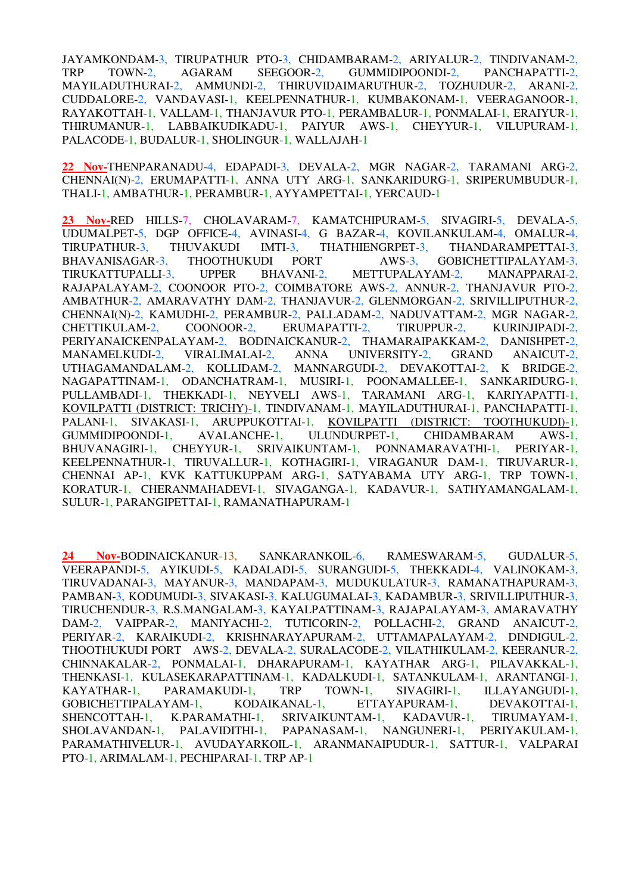JAYAMKONDAM-3, TIRUPATHUR PTO-3, CHIDAMBARAM-2, ARIYALUR-2, TINDIVANAM-2, TRP TOWN-2, AGARAM SEEGOOR-2, GUMMIDIPOONDI-2, PANCHAPATTI-2, TRP TOWN-2, AGARAM SEEGOOR-2, GUMMIDIPOONDI-2, MAYILADUTHURAI-2, AMMUNDI-2, THIRUVIDAIMARUTHUR-2, TOZHUDUR-2, ARANI-2, CUDDALORE-2, VANDAVASI-1, KEELPENNATHUR-1, KUMBAKONAM-1, VEERAGANOOR-1, RAYAKOTTAH-1, VALLAM-1, THANJAVUR PTO-1, PERAMBALUR-1, PONMALAI-1, ERAIYUR-1, THIRUMANUR-1, LABBAIKUDIKADU-1, PAIYUR AWS-1, CHEYYUR-1, VILUPURAM-1, PALACODE-1, BUDALUR-1, SHOLINGUR-1, WALLAJAH-1

**22 Nov-**THENPARANADU-4, EDAPADI-3, DEVALA-2, MGR NAGAR-2, TARAMANI ARG-2, CHENNAI(N)-2, ERUMAPATTI-1, ANNA UTY ARG-1, SANKARIDURG-1, SRIPERUMBUDUR-1, THALI-1, AMBATHUR-1, PERAMBUR-1, AYYAMPETTAI-1, YERCAUD-1

**23 Nov-**RED HILLS-7, CHOLAVARAM-7, KAMATCHIPURAM-5, SIVAGIRI-5, DEVALA-5, UDUMALPET-5, DGP OFFICE-4, AVINASI-4, G BAZAR-4, KOVILANKULAM-4, OMALUR-4, TIRUPATHUR-3, THUVAKUDI IMTI-3, THATHIENGRPET-3, THANDARAMPETTAI-3, BHAVANISAGAR-3, THOOTHUKUDI PORT AWS-3, GOBICHETTIPALAYAM-3, GOBICHETTIPALAYAM-3, TIRUKATTUPALLI-3, UPPER BHAVANI-2, METTUPALAYAM-2, MANAPPARAI-2, RAJAPALAYAM-2, COONOOR PTO-2, COIMBATORE AWS-2, ANNUR-2, THANJAVUR PTO-2, AMBATHUR-2, AMARAVATHY DAM-2, THANJAVUR-2, GLENMORGAN-2, SRIVILLIPUTHUR-2, CHENNAI(N)-2, KAMUDHI-2, PERAMBUR-2, PALLADAM-2, NADUVATTAM-2, MGR NAGAR-2, CHETTIKULAM-2, COONOOR-2, ERUMAPATTI-2, TIRUPPUR-2, KURINJIPADI-2, PERIYANAICKENPALAYAM-2, BODINAICKANUR-2, THAMARAIPAKKAM-2, DANISHPET-2, MANAMELKUDI-2, VIRALIMALAI-2, ANNA UNIVERSITY-2, GRAND ANAICUT-2, UTHAGAMANDALAM-2, KOLLIDAM-2, MANNARGUDI-2, DEVAKOTTAI-2, K BRIDGE-2, NAGAPATTINAM-1, ODANCHATRAM-1, MUSIRI-1, POONAMALLEE-1, SANKARIDURG-1, PULLAMBADI-1, THEKKADI-1, NEYVELI AWS-1, TARAMANI ARG-1, KARIYAPATTI-1, KOVILPATTI (DISTRICT: TRICHY)-1, TINDIVANAM-1, MAYILADUTHURAI-1, PANCHAPATTI-1, PALANI-1, SIVAKASI-1, ARUPPUKOTTAI-1, <u>KOVILPATTI (DISTRICT: TOOTHUKUDI)-1,</u><br>GUMMIDIPOONDI-1, AVALANCHE-1, ULUNDURPET-1, CHIDAMBARAM AWS-1. GUMMIDIPOONDI-1, AVALANCHE-1, ULUNDURPET-1, CHIDAMBARAM AWS-1, BHUVANAGIRI-1, CHEYYUR-1, SRIVAIKUNTAM-1, PONNAMARAVATHI-1, PERIYAR-1, KEELPENNATHUR-1, TIRUVALLUR-1, KOTHAGIRI-1, VIRAGANUR DAM-1, TIRUVARUR-1, CHENNAI AP-1, KVK KATTUKUPPAM ARG-1, SATYABAMA UTY ARG-1, TRP TOWN-1, KORATUR-1, CHERANMAHADEVI-1, SIVAGANGA-1, KADAVUR-1, SATHYAMANGALAM-1, SULUR-1, PARANGIPETTAI-1, RAMANATHAPURAM-1

**24 Nov-**BODINAICKANUR-13, SANKARANKOIL-6, RAMESWARAM-5, GUDALUR-5, VEERAPANDI-5, AYIKUDI-5, KADALADI-5, SURANGUDI-5, THEKKADI-4, VALINOKAM-3, TIRUVADANAI-3, MAYANUR-3, MANDAPAM-3, MUDUKULATUR-3, RAMANATHAPURAM-3, PAMBAN-3, KODUMUDI-3, SIVAKASI-3, KALUGUMALAI-3, KADAMBUR-3, SRIVILLIPUTHUR-3, TIRUCHENDUR-3, R.S.MANGALAM-3, KAYALPATTINAM-3, RAJAPALAYAM-3, AMARAVATHY DAM-2, VAIPPAR-2, MANIYACHI-2, TUTICORIN-2, POLLACHI-2, GRAND ANAICUT-2, PERIYAR-2, KARAIKUDI-2, KRISHNARAYAPURAM-2, UTTAMAPALAYAM-2, DINDIGUL-2, THOOTHUKUDI PORT AWS-2, DEVALA-2, SURALACODE-2, VILATHIKULAM-2, KEERANUR-2, CHINNAKALAR-2, PONMALAI-1, DHARAPURAM-1, KAYATHAR ARG-1, PILAVAKKAL-1, THENKASI-1, KULASEKARAPATTINAM-1, KADALKUDI-1, SATANKULAM-1, ARANTANGI-1, KAYATHAR-1. PARAMAKUDI-1. TRP TOWN-1. SIVAGIRI-1. ILLAYANGUDI-1. KAYATHAR-1, PARAMAKUDI-1, TRP TOWN-1, SIVAGIRI-1, ILLAYANGUDI-1, GOBICHETTIPALAYAM-1, KODAIKANAL-1, ETTAYAPURAM-1, DEVAKOTTAI-1, GOBICHETTIPALAYAM-1, KODAIKANAL-1, ETTAYAPURAM-1, DEVAKOTTAI-1, SHENCOTTAH-1, K.PARAMATHI-1, SRIVAIKUNTAM-1, KADAVUR-1, TIRUMAYAM-1, SHOLAVANDAN-1, PALAVIDITHI-1, PAPANASAM-1, NANGUNERI-1, PERIYAKULAM-1, PARAMATHIVELUR-1, AVUDAYARKOIL-1, ARANMANAIPUDUR-1, SATTUR-1, VALPARAI PTO-1, ARIMALAM-1, PECHIPARAI-1, TRP AP-1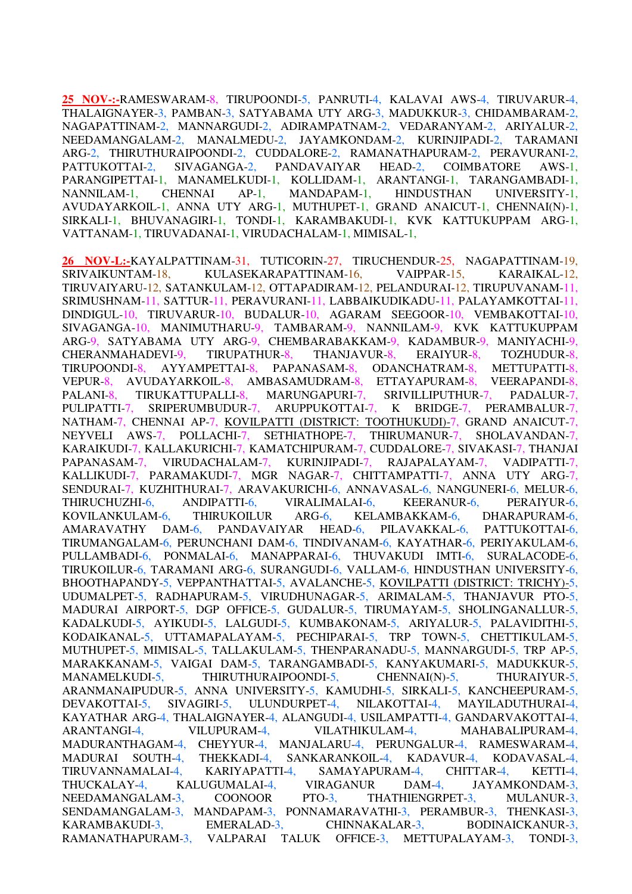**25 NOV-:-**RAMESWARAM-8, TIRUPOONDI-5, PANRUTI-4, KALAVAI AWS-4, TIRUVARUR-4, THALAIGNAYER-3, PAMBAN-3, SATYABAMA UTY ARG-3, MADUKKUR-3, CHIDAMBARAM-2, NAGAPATTINAM-2, MANNARGUDI-2, ADIRAMPATNAM-2, VEDARANYAM-2, ARIYALUR-2, NEEDAMANGALAM-2, MANALMEDU-2, JAYAMKONDAM-2, KURINJIPADI-2, TARAMANI ARG-2, THIRUTHURAIPOONDI-2, CUDDALORE-2, RAMANATHAPURAM-2, PERAVURANI-2, PATTUKOTTAI-2, SIVAGANGA-2, PANDAVAIYAR HEAD-2, COIMBATORE AWS-1, PARANGIPETTAI-1, MANAMELKUDI-1, KOLLIDAM-1, ARANTANGI-1, TARANGAMBADI-1, NANNILAM-1, CHENNAI AP-1, MANDAPAM-1, HINDUSTHAN UNIVERSITY-1, AVUDAYARKOIL-1, ANNA UTY ARG-1, MUTHUPET-1, GRAND ANAICUT-1, CHENNAI(N)-1, SIRKALI-1, BHUVANAGIRI-1, TONDI-1, KARAMBAKUDI-1, KVK KATTUKUPPAM ARG-1, VATTANAM-1, TIRUVADANAI-1, VIRUDACHALAM-1, MIMISAL-1,

**26 NOV-L:-**KAYALPATTINAM-31, TUTICORIN-27, TIRUCHENDUR-25, NAGAPATTINAM-19, SRIVAIKUNTAM-18, KULASEKARAPATTINAM-16, VAIPPAR-15, KARAIKAL-12, TIRUVAIYARU-12, SATANKULAM-12, OTTAPADIRAM-12, PELANDURAI-12, TIRUPUVANAM-11, SRIMUSHNAM-11, SATTUR-11, PERAVURANI-11, LABBAIKUDIKADU-11, PALAYAMKOTTAI-11, DINDIGUL-10, TIRUVARUR-10, BUDALUR-10, AGARAM SEEGOOR-10, VEMBAKOTTAI-10, SIVAGANGA-10, MANIMUTHARU-9, TAMBARAM-9, NANNILAM-9, KVK KATTUKUPPAM ARG-9, SATYABAMA UTY ARG-9, CHEMBARABAKKAM-9, KADAMBUR-9, MANIYACHI-9, CHERANMAHADEVI-9, TIRUPATHUR-8, THANJAVUR-8, ERAIYUR-8, TOZHUDUR-8, TIRUPOONDI-8, AYYAMPETTAI-8, PAPANASAM-8, ODANCHATRAM-8, METTUPATTI-8, VEPUR-8, AVUDAYARKOIL-8, AMBASAMUDRAM-8, ETTAYAPURAM-8, VEERAPANDI-8, PALANI-8, TIRUKATTUPALLI-8, MARUNGAPURI-7, SRIVILLIPUTHUR-7, PADALUR-7, PULIPATTI-7, SRIPERUMBUDUR-7, ARUPPUKOTTAI-7, K BRIDGE-7, PERAMBALUR-7, NATHAM-7, CHENNAI AP-7, KOVILPATTI (DISTRICT: TOOTHUKUDI)-7, GRAND ANAICUT-7, NEYVELI AWS-7, POLLACHI-7, SETHIATHOPE-7, THIRUMANUR-7, SHOLAVANDAN-7, KARAIKUDI-7, KALLAKURICHI-7, KAMATCHIPURAM-7, CUDDALORE-7, SIVAKASI-7, THANJAI PAPANASAM-7, VIRUDACHALAM-7, KURINJIPADI-7, RAJAPALAYAM-7, VADIPATTI-7, KALLIKUDI-7, PARAMAKUDI-7, MGR NAGAR-7, CHITTAMPATTI-7, ANNA UTY ARG-7, SENDURAI-7, KUZHITHURAI-7, ARAVAKURICHI-6, ANNAVASAL-6, NANGUNERI-6, MELUR-6, THIRUCHUZHI-6, ANDIPATTI-6, VIRALIMALAI-6, KEERANUR-6, PERAIYUR-6, KOVILANKULAM-6, THIRUKOILUR ARG-6, KELAMBAKKAM-6, DHARAPURAM-6, AMARAVATHY DAM-6, PANDAVAIYAR HEAD-6, PILAVAKKAL-6, PATTUKOTTAI-6, TIRUMANGALAM-6, PERUNCHANI DAM-6, TINDIVANAM-6, KAYATHAR-6, PERIYAKULAM-6, PULLAMBADI-6, PONMALAI-6, MANAPPARAI-6, THUVAKUDI IMTI-6, SURALACODE-6, TIRUKOILUR-6, TARAMANI ARG-6, SURANGUDI-6, VALLAM-6, HINDUSTHAN UNIVERSITY-6, BHOOTHAPANDY-5, VEPPANTHATTAI-5, AVALANCHE-5, KOVILPATTI (DISTRICT: TRICHY)-5, UDUMALPET-5, RADHAPURAM-5, VIRUDHUNAGAR-5, ARIMALAM-5, THANJAVUR PTO-5, MADURAI AIRPORT-5, DGP OFFICE-5, GUDALUR-5, TIRUMAYAM-5, SHOLINGANALLUR-5, KADALKUDI-5, AYIKUDI-5, LALGUDI-5, KUMBAKONAM-5, ARIYALUR-5, PALAVIDITHI-5, KODAIKANAL-5, UTTAMAPALAYAM-5, PECHIPARAI-5, TRP TOWN-5, CHETTIKULAM-5, MUTHUPET-5, MIMISAL-5, TALLAKULAM-5, THENPARANADU-5, MANNARGUDI-5, TRP AP-5, MARAKKANAM-5, VAIGAI DAM-5, TARANGAMBADI-5, KANYAKUMARI-5, MADUKKUR-5, MANAMELKUDI-5, THIRUTHURAIPOONDI-5, CHENNAI(N)-5, THURAIYUR-5, ARANMANAIPUDUR-5, ANNA UNIVERSITY-5, KAMUDHI-5, SIRKALI-5, KANCHEEPURAM-5, DEVAKOTTAI-5, SIVAGIRI-5, ULUNDURPET-4, NILAKOTTAI-4, MAYILADUTHURAI-4, KAYATHAR ARG-4, THALAIGNAYER-4, ALANGUDI-4, USILAMPATTI-4, GANDARVAKOTTAI-4, ARANTANGI-4, VILUPURAM-4, VILATHIKULAM-4, MAHABALIPURAM-4, MADURANTHAGAM-4, CHEYYUR-4, MANJALARU-4, PERUNGALUR-4, RAMESWARAM-4, MADURAI SOUTH-4, THEKKADI-4, SANKARANKOIL-4, KADAVUR-4, KODAVASAL-4, TIRUVANNAMALAI-4, KARIYAPATTI-4, SAMAYAPURAM-4, CHITTAR-4, KETTI-4, THUCKALAY-4, KALUGUMALAI-4, VIRAGANUR DAM-4, JAYAMKONDAM-3, NEEDAMANGALAM-3, COONOOR PTO-3, THATHIENGRPET-3, MULANUR-3, SENDAMANGALAM-3, MANDAPAM-3, PONNAMARAVATHI-3, PERAMBUR-3, THENKASI-3, KARAMBAKUDI-3, EMERALAD-3, CHINNAKALAR-3, BODINAICKANUR-3, RAMANATHAPURAM-3, VALPARAI TALUK OFFICE-3, METTUPALAYAM-3, TONDI-3,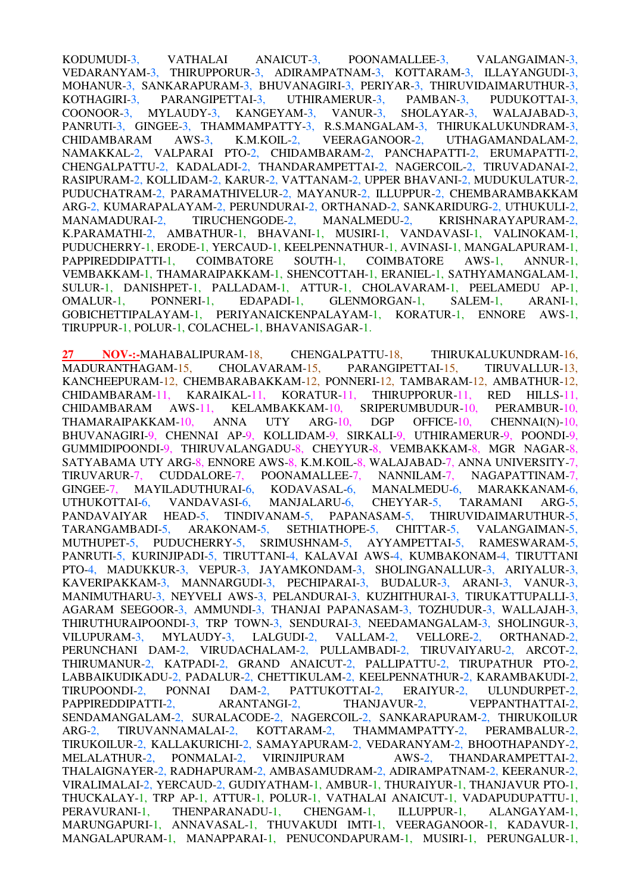KODUMUDI-3, VATHALAI ANAICUT-3, POONAMALLEE-3, VALANGAIMAN-3, VEDARANYAM-3, THIRUPPORUR-3, ADIRAMPATNAM-3, KOTTARAM-3, ILLAYANGUDI-3, MOHANUR-3, SANKARAPURAM-3, BHUVANAGIRI-3, PERIYAR-3, THIRUVIDAIMARUTHUR-3, KOTHAGIRI-3, PARANGIPETTAI-3, UTHIRAMERUR-3, PAMBAN-3, PUDUKOTTAI-3, COONOOR-3, MYLAUDY-3, KANGEYAM-3, VANUR-3, SHOLAYAR-3, WALAJABAD-3, PANRUTI-3, GINGEE-3, THAMMAMPATTY-3, R.S.MANGALAM-3, THIRUKALUKUNDRAM-3, CHIDAMBARAM AWS-3, K.M.KOIL-2, VEERAGANOOR-2, UTHAGAMANDALAM-2, NAMAKKAL-2, VALPARAI PTO-2, CHIDAMBARAM-2, PANCHAPATTI-2, ERUMAPATTI-2, CHENGALPATTU-2, KADALADI-2, THANDARAMPETTAI-2, NAGERCOIL-2, TIRUVADANAI-2, RASIPURAM-2, KOLLIDAM-2, KARUR-2, VATTANAM-2, UPPER BHAVANI-2, MUDUKULATUR-2, PUDUCHATRAM-2, PARAMATHIVELUR-2, MAYANUR-2, ILLUPPUR-2, CHEMBARAMBAKKAM ARG-2, KUMARAPALAYAM-2, PERUNDURAI-2, ORTHANAD-2, SANKARIDURG-2, UTHUKULI-2, MANAMADURAI-2, TIRUCHENGODE-2, MANALMEDU-2, KRISHNARAYAPURAM-2, K.PARAMATHI-2, AMBATHUR-1, BHAVANI-1, MUSIRI-1, VANDAVASI-1, VALINOKAM-1, PUDUCHERRY-1, ERODE-1, YERCAUD-1, KEELPENNATHUR-1, AVINASI-1, MANGALAPURAM-1, PAPPIREDDIPATTI-1, COIMBATORE SOUTH-1, COIMBATORE AWS-1, ANNUR-1, PAPPIREDDIPATTI-1, COIMBATORE SOUTH-1, COIMBATORE AWS-1, ANNUR-1, VEMBAKKAM-1, THAMARAIPAKKAM-1, SHENCOTTAH-1, ERANIEL-1, SATHYAMANGALAM-1, SULUR-1, DANISHPET-1, PALLADAM-1, ATTUR-1, CHOLAVARAM-1, PEELAMEDU AP-1, OMALUR-1, PONNERI-1, EDAPADI-1, GLENMORGAN-1, SALEM-1, ARANI-1, GOBICHETTIPALAYAM-1, PERIYANAICKENPALAYAM-1, KORATUR-1, ENNORE AWS-1, TIRUPPUR-1, POLUR-1, COLACHEL-1, BHAVANISAGAR-1.

**27 NOV-:-**MAHABALIPURAM-18, CHENGALPATTU-18, THIRUKALUKUNDRAM-16, MADURANTHAGAM-15, CHOLAVARAM-15, PARANGIPETTAI-15, TIRUVALLUR-13, KANCHEEPURAM-12, CHEMBARABAKKAM-12, PONNERI-12, TAMBARAM-12, AMBATHUR-12, CHIDAMBARAM-11, KARAIKAL-11, KORATUR-11, THIRUPPORUR-11, RED HILLS-11, CHIDAMBARAM AWS-11, KELAMBAKKAM-10, SRIPERUMBUDUR-10, PERAMBUR-10, THAMARAIPAKKAM-10, ANNA UTY ARG-10, DGP OFFICE-10, CHENNAI(N)-10, THAMARAIPAKKAM-10, ANNA UTY ARG-10, DGP OFFICE-10, CHENNAI(N)-10, BHUVANAGIRI-9, CHENNAI AP-9, KOLLIDAM-9, SIRKALI-9, UTHIRAMERUR-9, POONDI-9, GUMMIDIPOONDI-9, THIRUVALANGADU-8, CHEYYUR-8, VEMBAKKAM-8, MGR NAGAR-8, SATYABAMA UTY ARG-8, ENNORE AWS-8, K.M.KOIL-8, WALAJABAD-7, ANNA UNIVERSITY-7, TIRUVARUR-7, CUDDALORE-7, POONAMALLEE-7, NANNILAM-7, NAGAPATTINAM-7, TIRUVARUR-7, CUDDALORE-7, POONAMALLEE-7, NANNILAM-7, NAGAPATTINAM-7, GINGEE-7, MAYILADUTHURAI-6, KODAVASAL-6, MANALMEDU-6, MARAKKANAM-6, UTHUKOTTAI-6, VANDAVASI-6, MANJALARU-6, CHEYYAR-5, TARAMANI ARG-5, PANDAVAIYAR HEAD-5, TINDIVANAM-5, PAPANASAM-5, THIRUVIDAIMARUTHUR-5, TARANGAMBADI-5, ARAKONAM-5, SETHIATHOPE-5, CHITTAR-5, VALANGAIMAN-5, MUTHUPET-5, PUDUCHERRY-5, SRIMUSHNAM-5, AYYAMPETTAI-5, RAMESWARAM-5, PANRUTI-5, KURINJIPADI-5, TIRUTTANI-4, KALAVAI AWS-4, KUMBAKONAM-4, TIRUTTANI PTO-4, MADUKKUR-3, VEPUR-3, JAYAMKONDAM-3, SHOLINGANALLUR-3, ARIYALUR-3, KAVERIPAKKAM-3, MANNARGUDI-3, PECHIPARAI-3, BUDALUR-3, ARANI-3, VANUR-3, MANIMUTHARU-3, NEYVELI AWS-3, PELANDURAI-3, KUZHITHURAI-3, TIRUKATTUPALLI-3, AGARAM SEEGOOR-3, AMMUNDI-3, THANJAI PAPANASAM-3, TOZHUDUR-3, WALLAJAH-3, THIRUTHURAIPOONDI-3, TRP TOWN-3, SENDURAI-3, NEEDAMANGALAM-3, SHOLINGUR-3, VILUPURAM-3, MYLAUDY-3, LALGUDI-2, VALLAM-2, VELLORE-2, ORTHANAD-2, PERUNCHANI DAM-2, VIRUDACHALAM-2, PULLAMBADI-2, TIRUVAIYARU-2, ARCOT-2, THIRUMANUR-2, KATPADI-2, GRAND ANAICUT-2, PALLIPATTU-2, TIRUPATHUR PTO-2, LABBAIKUDIKADU-2, PADALUR-2, CHETTIKULAM-2, KEELPENNATHUR-2, KARAMBAKUDI-2, TIRUPOONDI-2, PONNAI DAM-2, PATTUKOTTAI-2, ERAIYUR-2, ULUNDURPET-2, TIRUPOONDI-2, PONNAI DAM-2, PATTUKOTTAI-2, ERAIYUR-2, ULUNDURPET-2, PAPPIREDDIPATTI-2, ARANTANGI-2, SENDAMANGALAM-2, SURALACODE-2, NAGERCOIL-2, SANKARAPURAM-2, THIRUKOILUR ARG-2, TIRUVANNAMALAI-2, KOTTARAM-2, THAMMAMPATTY-2, PERAMBALUR-2, TIRUKOILUR-2, KALLAKURICHI-2, SAMAYAPURAM-2, VEDARANYAM-2, BHOOTHAPANDY-2, MELALATHUR-2, PONMALAI-2, VIRINJIPURAM AWS-2, THANDARAMPETTAI-2, THALAIGNAYER-2, RADHAPURAM-2, AMBASAMUDRAM-2, ADIRAMPATNAM-2, KEERANUR-2, VIRALIMALAI-2, YERCAUD-2, GUDIYATHAM-1, AMBUR-1, THURAIYUR-1, THANJAVUR PTO-1, THUCKALAY-1, TRP AP-1, ATTUR-1, POLUR-1, VATHALAI ANAICUT-1, VADAPUDUPATTU-1, PERAVURANI-1, THENPARANADU-1, CHENGAM-1, ILLUPPUR-1, ALANGAYAM-1, MARUNGAPURI-1, ANNAVASAL-1, THUVAKUDI IMTI-1, VEERAGANOOR-1, KADAVUR-1, MANGALAPURAM-1, MANAPPARAI-1, PENUCONDAPURAM-1, MUSIRI-1, PERUNGALUR-1,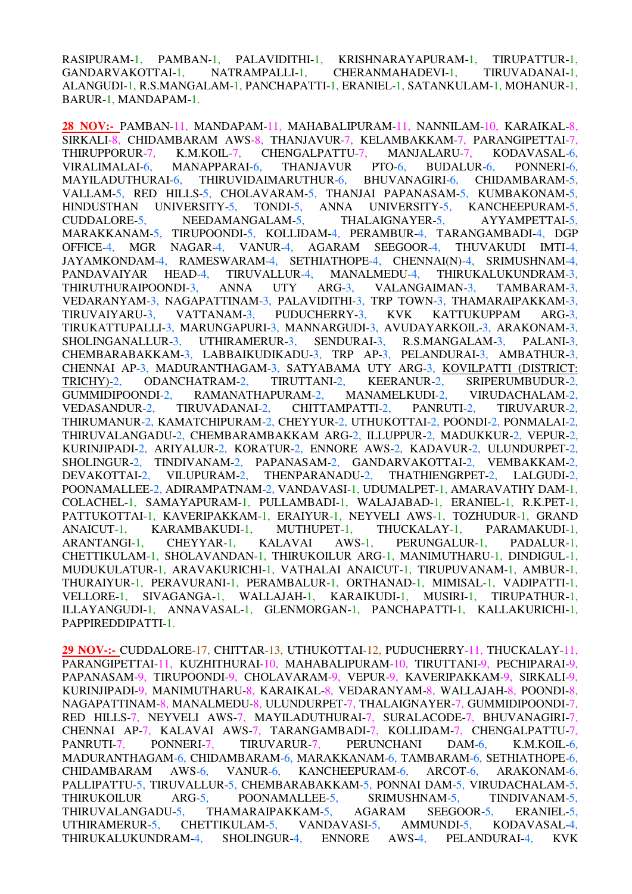RASIPURAM-1, PAMBAN-1, PALAVIDITHI-1, KRISHNARAYAPURAM-1, TIRUPATTUR-1, GANDARVAKOTTAI-1, NATRAMPALLI-1, CHERANMAHADEVI-1, TIRUVADANAI-1, ALANGUDI-1, R.S.MANGALAM-1, PANCHAPATTI-1, ERANIEL-1, SATANKULAM-1, MOHANUR-1, BARUR-1, MANDAPAM-1.

**28 NOV:-** PAMBAN-11, MANDAPAM-11, MAHABALIPURAM-11, NANNILAM-10, KARAIKAL-8, SIRKALI-8, CHIDAMBARAM AWS-8, THANJAVUR-7, KELAMBAKKAM-7, PARANGIPETTAI-7, THIRUPPORUR-7, K.M.KOIL-7, CHENGALPATTU-7, MANJALARU-7, KODAVASAL-6, VIRALIMALAI-6, MANAPPARAI-6, THANJAVUR PTO-6, BUDALUR-6, PONNERI-6, MAYILADUTHURAI-6, THIRUVIDAIMARUTHUR-6, BHUVANAGIRI-6, CHIDAMBARAM-5, VALLAM-5, RED HILLS-5, CHOLAVARAM-5, THANJAI PAPANASAM-5, KUMBAKONAM-5, HINDUSTHAN UNIVERSITY-5, TONDI-5, ANNA UNIVERSITY-5, KANCHEEPURAM-5, CUDDALORE-5, NEEDAMANGALAM-5, THALAIGNAYER-5, AYYAMPETTAI-5, MARAKKANAM-5, TIRUPOONDI-5, KOLLIDAM-4, PERAMBUR-4, TARANGAMBADI-4, DGP OFFICE-4, MGR NAGAR-4, VANUR-4, AGARAM SEEGOOR-4, THUVAKUDI IMTI-4, JAYAMKONDAM-4, RAMESWARAM-4, SETHIATHOPE-4, CHENNAI(N)-4, SRIMUSHNAM-4, PANDAVAIYAR HEAD-4, TIRUVALLUR-4, MANALMEDU-4, THIRUKALUKUNDRAM-3, PANDAVAIYAR HEAD-4, TIRUVALLUR-4, MANALMEDU-4, THIRUKALUKUNDRAM-3, THIRUTHURAIPOONDI-3, ANNA UTY ARG-3, VALANGAIMAN-3, TAMBARAM-3. THIRUTHURAIPOONDI-3, ANNA UTY ARG-3, VALANGAIMAN-3, TAMBARAM-3, VEDARANYAM-3, NAGAPATTINAM-3, PALAVIDITHI-3, TRP TOWN-3, THAMARAIPAKKAM-3, TIRUVAIYARU-3, VATTANAM-3, PUDUCHERRY-3, KVK KATTUKUPPAM ARG-3. TIRUVAIYARU-3, VATTANAM-3, PUDUCHERRY-3, KVK KATTUKUPPAM ARG-3, TIRUKATTUPALLI-3, MARUNGAPURI-3, MANNARGUDI-3, AVUDAYARKOIL-3, ARAKONAM-3, SHOLINGANALLUR-3, UTHIRAMERUR-3, SENDURAI-3, R.S.MANGALAM-3, PALANI-3, CHEMBARABAKKAM-3, LABBAIKUDIKADU-3, TRP AP-3, PELANDURAI-3, AMBATHUR-3, CHENNAI AP-3, MADURANTHAGAM-3, SATYABAMA UTY ARG-3, KOVILPATTI (DISTRICT: TRICHY)-2, ODANCHATRAM-2, TIRUTTANI-2, KEERANUR-2, SRIPERUMBUDUR-2, GUMMIDIPOONDI-2, RAMANATHAPURAM-2, MANAMELKUDI-2, VIRUDACHALAM-2, VEDASANDUR-2, TIRUVADANAI-2, CHITTAMPATTI-2, PANRUTI-2, TIRUVARUR-2, THIRUMANUR-2, KAMATCHIPURAM-2, CHEYYUR-2, UTHUKOTTAI-2, POONDI-2, PONMALAI-2, THIRUVALANGADU-2, CHEMBARAMBAKKAM ARG-2, ILLUPPUR-2, MADUKKUR-2, VEPUR-2, KURINJIPADI-2, ARIYALUR-2, KORATUR-2, ENNORE AWS-2, KADAVUR-2, ULUNDURPET-2, SHOLINGUR-2, TINDIVANAM-2, PAPANASAM-2, GANDARVAKOTTAI-2, VEMBAKKAM-2, DEVAKOTTAI-2, VILUPURAM-2, THENPARANADU-2, THATHIENGRPET-2. LALGUDI-2. VILUPURAM-2, THENPARANADU-2, THATHIENGRPET-2, LALGUDI-2, POONAMALLEE-2, ADIRAMPATNAM-2, VANDAVASI-1, UDUMALPET-1, AMARAVATHY DAM-1, COLACHEL-1, SAMAYAPURAM-1, PULLAMBADI-1, WALAJABAD-1, ERANIEL-1, R.K.PET-1, PATTUKOTTAI-1, KAVERIPAKKAM-1, ERAIYUR-1, NEYVELI AWS-1, TOZHUDUR-1, GRAND ANAICUT-1, KARAMBAKUDI-1, MUTHUPET-1, THUCKALAY-1, PARAMAKUDI-1, ARANTANGI-1, CHEYYAR-1, KALAVAI AWS-1, PERUNGALUR-1, PADALUR-1, CHETTIKULAM-1, SHOLAVANDAN-1, THIRUKOILUR ARG-1, MANIMUTHARU-1, DINDIGUL-1, MUDUKULATUR-1, ARAVAKURICHI-1, VATHALAI ANAICUT-1, TIRUPUVANAM-1, AMBUR-1, THURAIYUR-1, PERAVURANI-1, PERAMBALUR-1, ORTHANAD-1, MIMISAL-1, VADIPATTI-1, VELLORE-1, SIVAGANGA-1, WALLAJAH-1, KARAIKUDI-1, MUSIRI-1, TIRUPATHUR-1, ILLAYANGUDI-1, ANNAVASAL-1, GLENMORGAN-1, PANCHAPATTI-1, KALLAKURICHI-1, PAPPIREDDIPATTI-1.

**29 NOV-:-** CUDDALORE-17, CHITTAR-13, UTHUKOTTAI-12, PUDUCHERRY-11, THUCKALAY-11, PARANGIPETTAI-11, KUZHITHURAI-10, MAHABALIPURAM-10, TIRUTTANI-9, PECHIPARAI-9, PAPANASAM-9, TIRUPOONDI-9, CHOLAVARAM-9, VEPUR-9, KAVERIPAKKAM-9, SIRKALI-9, KURINJIPADI-9, MANIMUTHARU-8, KARAIKAL-8, VEDARANYAM-8, WALLAJAH-8, POONDI-8, NAGAPATTINAM-8, MANALMEDU-8, ULUNDURPET-7, THALAIGNAYER-7, GUMMIDIPOONDI-7, RED HILLS-7, NEYVELI AWS-7, MAYILADUTHURAI-7, SURALACODE-7, BHUVANAGIRI-7, CHENNAI AP-7, KALAVAI AWS-7, TARANGAMBADI-7, KOLLIDAM-7, CHENGALPATTU-7, PANRUTI-7, PONNERI-7, TIRUVARUR-7, PERUNCHANI DAM-6, K.M.KOIL-6, MADURANTHAGAM-6, CHIDAMBARAM-6, MARAKKANAM-6, TAMBARAM-6, SETHIATHOPE-6, CHIDAMBARAM AWS-6, VANUR-6, KANCHEEPURAM-6, ARCOT-6, ARAKONAM-6, PALLIPATTU-5, TIRUVALLUR-5, CHEMBARABAKKAM-5, PONNAI DAM-5, VIRUDACHALAM-5, THIRUKOILUR ARG-5, POONAMALLEE-5, SRIMUSHNAM-5, TINDIVANAM-5, THIRUVALANGADU-5, THAMARAIPAKKAM-5, AGARAM SEEGOOR-5, ERANIEL-5, UTHIRAMERUR-5, CHETTIKULAM-5, VANDAVASI-5, AMMUNDI-5, KODAVASAL-4, THIRUKALUKUNDRAM-4, SHOLINGUR-4, ENNORE AWS-4, PELANDURAI-4, KVK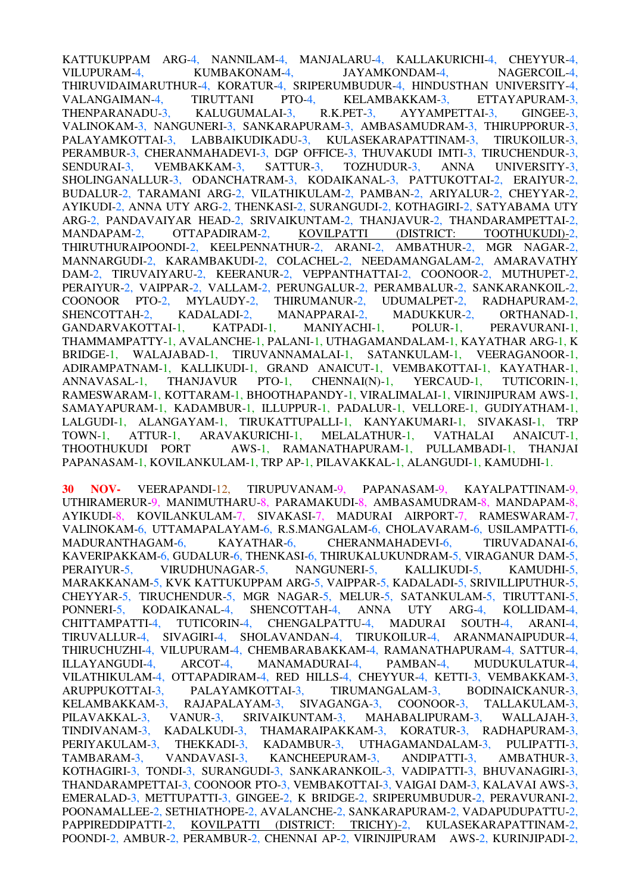KATTUKUPPAM ARG-4, NANNILAM-4, MANJALARU-4, KALLAKURICHI-4, CHEYYUR-4, VILUPURAM-4, KUMBAKONAM-4, JAYAMKONDAM-4, NAGERCOIL-4, THIRUVIDAIMARUTHUR-4, KORATUR-4, SRIPERUMBUDUR-4, HINDUSTHAN UNIVERSITY-4, VALANGAIMAN-4, TIRUTTANI PTO-4, KELAMBAKKAM-3, ETTAYAPURAM-3, THENPARANADU-3, KALUGUMALAI-3, R.K.PET-3, AYYAMPETTAI-3, GINGEE-3, VALINOKAM-3, NANGUNERI-3, SANKARAPURAM-3, AMBASAMUDRAM-3, THIRUPPORUR-3, PALAYAMKOTTAI-3, LABBAIKUDIKADU-3, KULASEKARAPATTINAM-3, TIRUKOILUR-3, PERAMBUR-3, CHERANMAHADEVI-3, DGP OFFICE-3, THUVAKUDI IMTI-3, TIRUCHENDUR-3, SENDURAI-3, VEMBAKKAM-3, SATTUR-3, TOZHUDUR-3, ANNA UNIVERSITY-3, SHOLINGANALLUR-3, ODANCHATRAM-3, KODAIKANAL-3, PATTUKOTTAI-2, ERAIYUR-2, BUDALUR-2, TARAMANI ARG-2, VILATHIKULAM-2, PAMBAN-2, ARIYALUR-2, CHEYYAR-2, AYIKUDI-2, ANNA UTY ARG-2, THENKASI-2, SURANGUDI-2, KOTHAGIRI-2, SATYABAMA UTY ARG-2, PANDAVAIYAR HEAD-2, SRIVAIKUNTAM-2, THANJAVUR-2, THANDARAMPETTAI-2, MANDAPAM-2, OTTAPADIRAM-2, KOVILPATTI (DISTRICT: TOOTHUKUDI)-2, THIRUTHURAIPOONDI-2, KEELPENNATHUR-2, ARANI-2, AMBATHUR-2, MGR NAGAR-2, MANNARGUDI-2, KARAMBAKUDI-2, COLACHEL-2, NEEDAMANGALAM-2, AMARAVATHY DAM-2, TIRUVAIYARU-2, KEERANUR-2, VEPPANTHATTAI-2, COONOOR-2, MUTHUPET-2, PERAIYUR-2, VAIPPAR-2, VALLAM-2, PERUNGALUR-2, PERAMBALUR-2, SANKARANKOIL-2, COONOOR PTO-2, MYLAUDY-2, THIRUMANUR-2, UDUMALPET-2, RADHAPURAM-2, SHENCOTTAH-2, KADALADI-2, MANAPPARAI-2, MADUKKUR-2, ORTHANAD-1, GANDARVAKOTTAI-1, KATPADI-1, MANIYACHI-1, POLUR-1, PERAVURANI-1, THAMMAMPATTY-1, AVALANCHE-1, PALANI-1, UTHAGAMANDALAM-1, KAYATHAR ARG-1, K BRIDGE-1, WALAJABAD-1, TIRUVANNAMALAI-1, SATANKULAM-1, VEERAGANOOR-1, ADIRAMPATNAM-1, KALLIKUDI-1, GRAND ANAICUT-1, VEMBAKOTTAI-1, KAYATHAR-1, ANNAVASAL-1, THANJAVUR PTO-1, CHENNAI(N)-1, YERCAUD-1, TUTICORIN-1, RAMESWARAM-1, KOTTARAM-1, BHOOTHAPANDY-1, VIRALIMALAI-1, VIRINJIPURAM AWS-1, SAMAYAPURAM-1, KADAMBUR-1, ILLUPPUR-1, PADALUR-1, VELLORE-1, GUDIYATHAM-1, LALGUDI-1, ALANGAYAM-1, TIRUKATTUPALLI-1, KANYAKUMARI-1, SIVAKASI-1, TRP TOWN-1, ATTUR-1, ARAVAKURICHI-1, MELALATHUR-1, VATHALAI ANAICUT-1, THOOTHUKUDI PORT AWS-1, RAMANATHAPURAM-1, PULLAMBADI-1, THANJAI PAPANASAM-1, KOVILANKULAM-1, TRP AP-1, PILAVAKKAL-1, ALANGUDI-1, KAMUDHI-1.

**30 NOV-** VEERAPANDI-12, TIRUPUVANAM-9, PAPANASAM-9, KAYALPATTINAM-9, UTHIRAMERUR-9, MANIMUTHARU-8, PARAMAKUDI-8, AMBASAMUDRAM-8, MANDAPAM-8, AYIKUDI-8, KOVILANKULAM-7, SIVAKASI-7, MADURAI AIRPORT-7, RAMESWARAM-7, VALINOKAM-6, UTTAMAPALAYAM-6, R.S.MANGALAM-6, CHOLAVARAM-6, USILAMPATTI-6, MADURANTHAGAM-6, KAYATHAR-6, CHERANMAHADEVI-6, TIRUVADANAI-6, KAVERIPAKKAM-6, GUDALUR-6, THENKASI-6, THIRUKALUKUNDRAM-5, VIRAGANUR DAM-5, PERAIYUR-5, VIRUDHUNAGAR-5, NANGUNERI-5, KALLIKUDI-5, KAMUDHI-5, MARAKKANAM-5, KVK KATTUKUPPAM ARG-5, VAIPPAR-5, KADALADI-5, SRIVILLIPUTHUR-5, CHEYYAR-5, TIRUCHENDUR-5, MGR NAGAR-5, MELUR-5, SATANKULAM-5, TIRUTTANI-5, PONNERI-5, KODAIKANAL-4, SHENCOTTAH-4, ANNA UTY ARG-4, KOLLIDAM-4, CHITTAMPATTI-4, TUTICORIN-4, CHENGALPATTU-4, MADURAI SOUTH-4, ARANI-4. CHITTAMPATTI-4, TUTICORIN-4, CHENGALPATTU-4, MADURAI SOUTH-4, ARANI-4, TIRUVALLUR-4, SIVAGIRI-4, SHOLAVANDAN-4, TIRUKOILUR-4, ARANMANAIPUDUR-4, THIRUCHUZHI-4, VILUPURAM-4, CHEMBARABAKKAM-4, RAMANATHAPURAM-4, SATTUR-4, ILLAYANGUDI-4, ARCOT-4, MANAMADURAI-4, PAMBAN-4, MUDUKULATUR-4, VILATHIKULAM-4, OTTAPADIRAM-4, RED HILLS-4, CHEYYUR-4, KETTI-3, VEMBAKKAM-3, ARUPPUKOTTAI-3. PALAYAMKOTTAI-3. TIRUMANGALAM-3. BODINAICKANUR-3. ARUPPUKOTTAI-3, PALAYAMKOTTAI-3, TIRUMANGALAM-3, BODINAICKANUR-3,<br>KELAMBAKKAM-3, RAJAPALAYAM-3, SIVAGANGA-3, COONOOR-3, TALLAKULAM-3, KELAMBAKKAM-3, RAJAPALAYAM-3, SIVAGANGA-3, COONOOR-3, TALLAKULAM-3, PILAVAKKAL-3, VANUR-3, SRIVAIKUNTAM-3, MAHABALIPURAM-3, WALLAJAH-3, TINDIVANAM-3, KADALKUDI-3, THAMARAIPAKKAM-3, KORATUR-3, RADHAPURAM-3, PERIYAKULAM-3, THEKKADI-3, KADAMBUR-3, UTHAGAMANDALAM-3, PULIPATTI-3, TAMBARAM-3, VANDAVASI-3, KANCHEEPURAM-3, ANDIPATTI-3, AMBATHUR-3, KOTHAGIRI-3, TONDI-3, SURANGUDI-3, SANKARANKOIL-3, VADIPATTI-3, BHUVANAGIRI-3, THANDARAMPETTAI-3, COONOOR PTO-3, VEMBAKOTTAI-3, VAIGAI DAM-3, KALAVAI AWS-3, EMERALAD-3, METTUPATTI-3, GINGEE-2, K BRIDGE-2, SRIPERUMBUDUR-2, PERAVURANI-2, POONAMALLEE-2, SETHIATHOPE-2, AVALANCHE-2, SANKARAPURAM-2, VADAPUDUPATTU-2, PAPPIREDDIPATTI-2, KOVILPATTI (DISTRICT: TRICHY)-2, KULASEKARAPATTINAM-2, POONDI-2, AMBUR-2, PERAMBUR-2, CHENNAI AP-2, VIRINJIPURAM AWS-2, KURINJIPADI-2,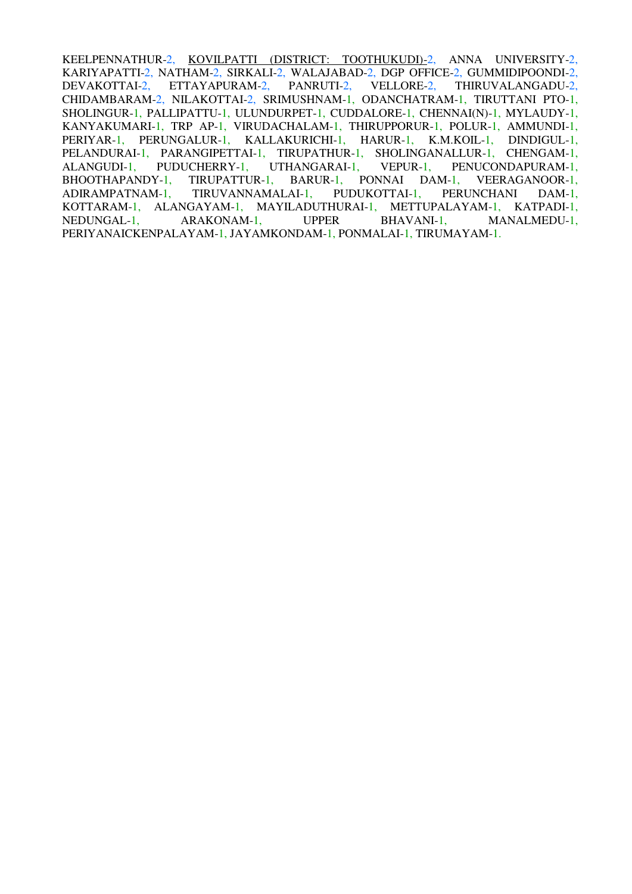KEELPENNATHUR-2, KOVILPATTI (DISTRICT: TOOTHUKUDI)-2, ANNA UNIVERSITY-2, KARIYAPATTI-2, NATHAM-2, SIRKALI-2, WALAJABAD-2, DGP OFFICE-2, GUMMIDIPOONDI-2, DEVAKOTTAI-2, ETTAYAPURAM-2, PANRUTI-2, VELLORE-2, THIRUVALANGADU-2, CHIDAMBARAM-2, NILAKOTTAI-2, SRIMUSHNAM-1, ODANCHATRAM-1, TIRUTTANI PTO-1, SHOLINGUR-1, PALLIPATTU-1, ULUNDURPET-1, CUDDALORE-1, CHENNAI(N)-1, MYLAUDY-1, KANYAKUMARI-1, TRP AP-1, VIRUDACHALAM-1, THIRUPPORUR-1, POLUR-1, AMMUNDI-1, PERIYAR-1, PERUNGALUR-1, KALLAKURICHI-1, HARUR-1, K.M.KOIL-1, DINDIGUL-1, PELANDURAI-1, PARANGIPETTAI-1, TIRUPATHUR-1, SHOLINGANALLUR-1, CHENGAM-1, ALANGUDI-1, PUDUCHERRY-1, UTHANGARAI-1, VEPUR-1, PENUCONDAPURAM-1, ALANGUDI-1, PUDUCHERRY-1, UTHANGARAI-1, VEPUR-1, PENUCONDAPURAM-1, BHOOTHAPANDY-1, TIRUPATTUR-1, BARUR-1, PONNAI DAM-1, VEERAGANOOR-1, ADIRAMPATNAM-1, TIRUVANNAMALAI-1, PUDUKOTTAI-1, PERUNCHANI DAM-1, KOTTARAM-1, ALANGAYAM-1, MAYILADUTHURAI-1, METTUPALAYAM-1, KATPADI-1, NEDUNGAL-1, ARAKONAM-1, UPPER BHAVANI-1, MANALMEDU-1, PERIYANAICKENPALAYAM-1, JAYAMKONDAM-1, PONMALAI-1, TIRUMAYAM-1.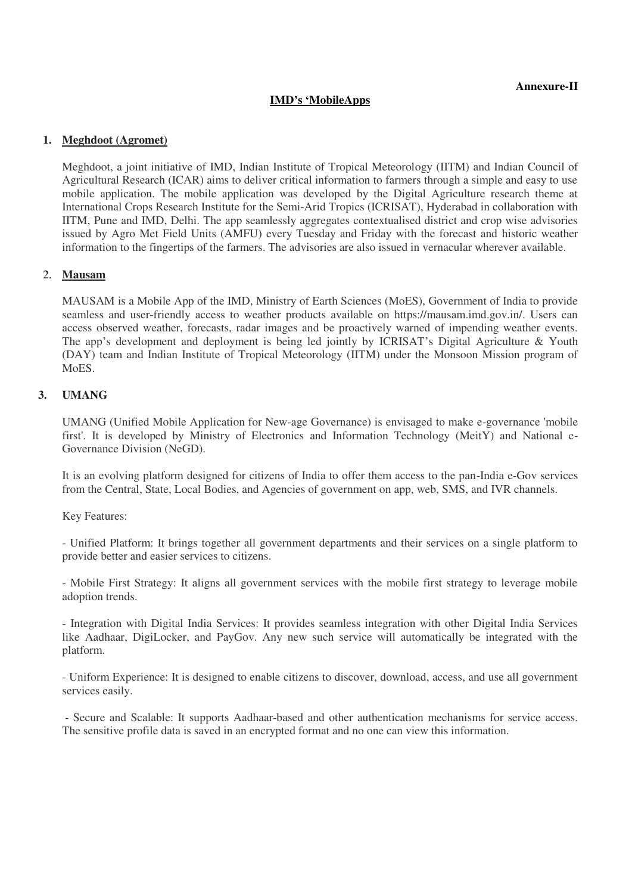## **IMD's 'MobileApps**

## **1. Meghdoot (Agromet)**

Meghdoot, a joint initiative of IMD, Indian Institute of Tropical Meteorology (IITM) and Indian Council of Agricultural Research (ICAR) aims to deliver critical information to farmers through a simple and easy to use mobile application. The mobile application was developed by the Digital Agriculture research theme at International Crops Research Institute for the Semi-Arid Tropics (ICRISAT), Hyderabad in collaboration with IITM, Pune and IMD, Delhi. The app seamlessly aggregates contextualised district and crop wise advisories issued by Agro Met Field Units (AMFU) every Tuesday and Friday with the forecast and historic weather information to the fingertips of the farmers. The advisories are also issued in vernacular wherever available.

## 2. **Mausam**

MAUSAM is a Mobile App of the IMD, Ministry of Earth Sciences (MoES), Government of India to provide seamless and user-friendly access to weather products available on https://mausam.imd.gov.in/. Users can access observed weather, forecasts, radar images and be proactively warned of impending weather events. The app's development and deployment is being led jointly by ICRISAT's Digital Agriculture & Youth (DAY) team and Indian Institute of Tropical Meteorology (IITM) under the Monsoon Mission program of M<sub>o</sub>ES.

## **3. UMANG**

UMANG (Unified Mobile Application for New-age Governance) is envisaged to make e-governance 'mobile first'. It is developed by Ministry of Electronics and Information Technology (MeitY) and National e-Governance Division (NeGD).

It is an evolving platform designed for citizens of India to offer them access to the pan-India e-Gov services from the Central, State, Local Bodies, and Agencies of government on app, web, SMS, and IVR channels.

Key Features:

- Unified Platform: It brings together all government departments and their services on a single platform to provide better and easier services to citizens.

- Mobile First Strategy: It aligns all government services with the mobile first strategy to leverage mobile adoption trends.

- Integration with Digital India Services: It provides seamless integration with other Digital India Services like Aadhaar, DigiLocker, and PayGov. Any new such service will automatically be integrated with the platform.

- Uniform Experience: It is designed to enable citizens to discover, download, access, and use all government services easily.

 - Secure and Scalable: It supports Aadhaar-based and other authentication mechanisms for service access. The sensitive profile data is saved in an encrypted format and no one can view this information.